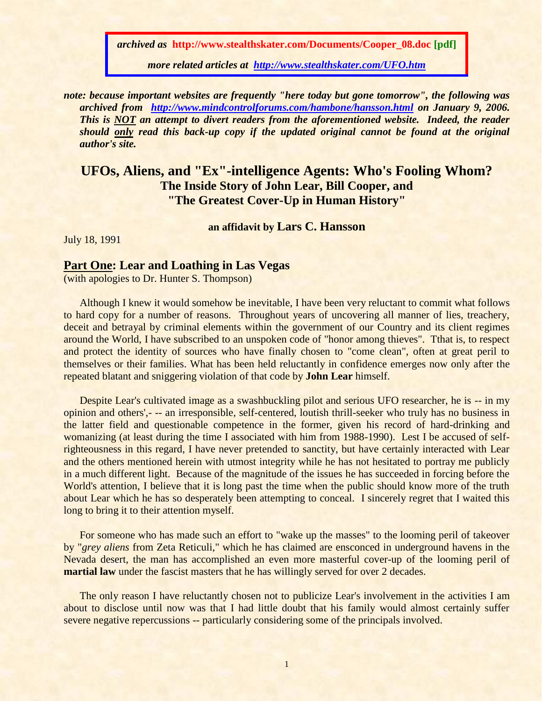*archived as* **http://www.stealthskater.com/Documents/Cooper\_08.doc [pdf]**

*more related articles at <http://www.stealthskater.com/UFO.htm>*

*note: because important websites are frequently "here today but gone tomorrow", the following was archived from <http://www.mindcontrolforums.com/hambone/hansson.html> on January 9, 2006. This is NOT an attempt to divert readers from the aforementioned website. Indeed, the reader should only read this back-up copy if the updated original cannot be found at the original author's site.*

**UFOs, Aliens, and "Ex"-intelligence Agents: Who's Fooling Whom? The Inside Story of John Lear, Bill Cooper, and "The Greatest Cover-Up in Human History"**

**an affidavit by Lars C. Hansson**

July 18, 1991

## **Part One: Lear and Loathing in Las Vegas**

(with apologies to Dr. Hunter S. Thompson)

Although I knew it would somehow be inevitable, I have been very reluctant to commit what follows to hard copy for a number of reasons. Throughout years of uncovering all manner of lies, treachery, deceit and betrayal by criminal elements within the government of our Country and its client regimes around the World, I have subscribed to an unspoken code of "honor among thieves". Tthat is, to respect and protect the identity of sources who have finally chosen to "come clean", often at great peril to themselves or their families. What has been held reluctantly in confidence emerges now only after the repeated blatant and sniggering violation of that code by **John Lear** himself.

Despite Lear's cultivated image as a swashbuckling pilot and serious UFO researcher, he is -- in my opinion and others',- -- an irresponsible, self-centered, loutish thrill-seeker who truly has no business in the latter field and questionable competence in the former, given his record of hard-drinking and womanizing (at least during the time I associated with him from 1988-1990). Lest I be accused of selfrighteousness in this regard, I have never pretended to sanctity, but have certainly interacted with Lear and the others mentioned herein with utmost integrity while he has not hesitated to portray me publicly in a much different light. Because of the magnitude of the issues he has succeeded in forcing before the World's attention, I believe that it is long past the time when the public should know more of the truth about Lear which he has so desperately been attempting to conceal. I sincerely regret that I waited this long to bring it to their attention myself.

For someone who has made such an effort to "wake up the masses" to the looming peril of takeover by "*grey aliens* from Zeta Reticuli," which he has claimed are ensconced in underground havens in the Nevada desert, the man has accomplished an even more masterful cover-up of the looming peril of **martial law** under the fascist masters that he has willingly served for over 2 decades.

The only reason I have reluctantly chosen not to publicize Lear's involvement in the activities I am about to disclose until now was that I had little doubt that his family would almost certainly suffer severe negative repercussions -- particularly considering some of the principals involved.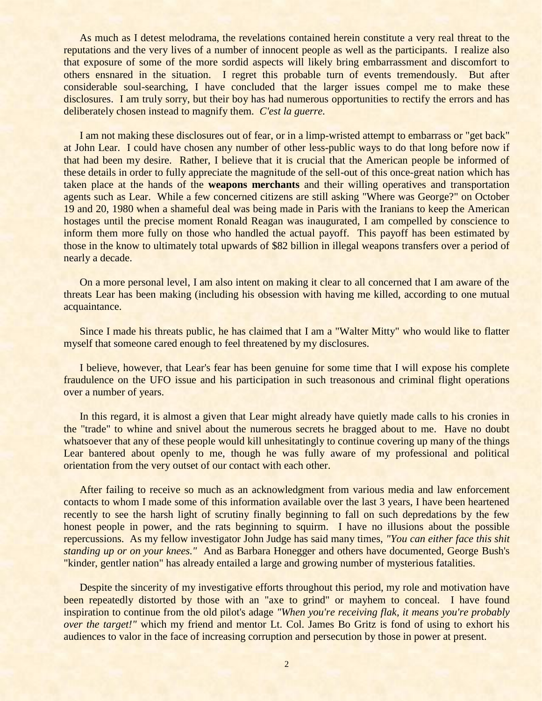As much as I detest melodrama, the revelations contained herein constitute a very real threat to the reputations and the very lives of a number of innocent people as well as the participants. I realize also that exposure of some of the more sordid aspects will likely bring embarrassment and discomfort to others ensnared in the situation. I regret this probable turn of events tremendously. But after considerable soul-searching, I have concluded that the larger issues compel me to make these disclosures. I am truly sorry, but their boy has had numerous opportunities to rectify the errors and has deliberately chosen instead to magnify them. *C'est la guerre.*

I am not making these disclosures out of fear, or in a limp-wristed attempt to embarrass or "get back" at John Lear. I could have chosen any number of other less-public ways to do that long before now if that had been my desire. Rather, I believe that it is crucial that the American people be informed of these details in order to fully appreciate the magnitude of the sell-out of this once-great nation which has taken place at the hands of the **weapons merchants** and their willing operatives and transportation agents such as Lear. While a few concerned citizens are still asking "Where was George?" on October 19 and 20, 1980 when a shameful deal was being made in Paris with the Iranians to keep the American hostages until the precise moment Ronald Reagan was inaugurated, I am compelled by conscience to inform them more fully on those who handled the actual payoff. This payoff has been estimated by those in the know to ultimately total upwards of \$82 billion in illegal weapons transfers over a period of nearly a decade.

On a more personal level, I am also intent on making it clear to all concerned that I am aware of the threats Lear has been making (including his obsession with having me killed, according to one mutual acquaintance.

Since I made his threats public, he has claimed that I am a "Walter Mitty" who would like to flatter myself that someone cared enough to feel threatened by my disclosures.

I believe, however, that Lear's fear has been genuine for some time that I will expose his complete fraudulence on the UFO issue and his participation in such treasonous and criminal flight operations over a number of years.

In this regard, it is almost a given that Lear might already have quietly made calls to his cronies in the "trade" to whine and snivel about the numerous secrets he bragged about to me. Have no doubt whatsoever that any of these people would kill unhesitatingly to continue covering up many of the things Lear bantered about openly to me, though he was fully aware of my professional and political orientation from the very outset of our contact with each other.

After failing to receive so much as an acknowledgment from various media and law enforcement contacts to whom I made some of this information available over the last 3 years, I have been heartened recently to see the harsh light of scrutiny finally beginning to fall on such depredations by the few honest people in power, and the rats beginning to squirm. I have no illusions about the possible repercussions. As my fellow investigator John Judge has said many times, *"You can either face this shit standing up or on your knees."* And as Barbara Honegger and others have documented, George Bush's "kinder, gentler nation" has already entailed a large and growing number of mysterious fatalities.

Despite the sincerity of my investigative efforts throughout this period, my role and motivation have been repeatedly distorted by those with an "axe to grind" or mayhem to conceal. I have found inspiration to continue from the old pilot's adage *"When you're receiving flak, it means you're probably over the target!"* which my friend and mentor Lt. Col. James Bo Gritz is fond of using to exhort his audiences to valor in the face of increasing corruption and persecution by those in power at present.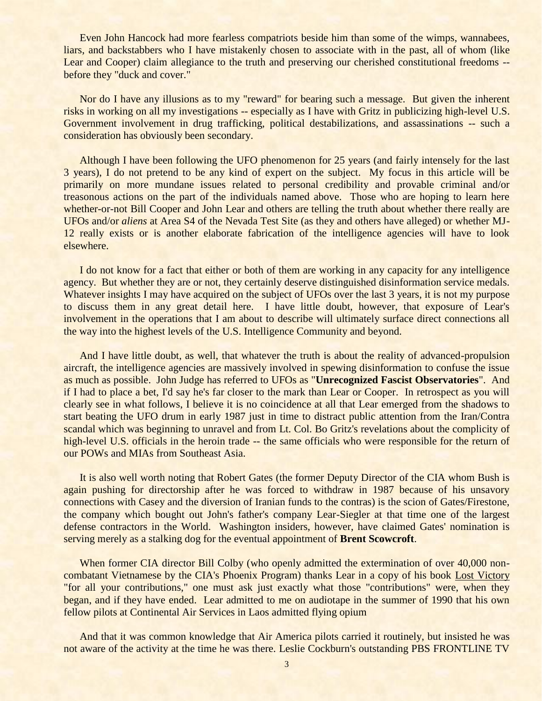Even John Hancock had more fearless compatriots beside him than some of the wimps, wannabees, liars, and backstabbers who I have mistakenly chosen to associate with in the past, all of whom (like Lear and Cooper) claim allegiance to the truth and preserving our cherished constitutional freedoms -before they "duck and cover."

Nor do I have any illusions as to my "reward" for bearing such a message. But given the inherent risks in working on all my investigations -- especially as I have with Gritz in publicizing high-level U.S. Government involvement in drug trafficking, political destabilizations, and assassinations -- such a consideration has obviously been secondary.

Although I have been following the UFO phenomenon for 25 years (and fairly intensely for the last 3 years), I do not pretend to be any kind of expert on the subject. My focus in this article will be primarily on more mundane issues related to personal credibility and provable criminal and/or treasonous actions on the part of the individuals named above. Those who are hoping to learn here whether-or-not Bill Cooper and John Lear and others are telling the truth about whether there really are UFOs and/or *aliens* at Area S4 of the Nevada Test Site (as they and others have alleged) or whether MJ-12 really exists or is another elaborate fabrication of the intelligence agencies will have to look elsewhere.

I do not know for a fact that either or both of them are working in any capacity for any intelligence agency. But whether they are or not, they certainly deserve distinguished disinformation service medals. Whatever insights I may have acquired on the subject of UFOs over the last 3 years, it is not my purpose to discuss them in any great detail here. I have little doubt, however, that exposure of Lear's involvement in the operations that I am about to describe will ultimately surface direct connections all the way into the highest levels of the U.S. Intelligence Community and beyond.

And I have little doubt, as well, that whatever the truth is about the reality of advanced-propulsion aircraft, the intelligence agencies are massively involved in spewing disinformation to confuse the issue as much as possible. John Judge has referred to UFOs as "**Unrecognized Fascist Observatories**". And if I had to place a bet, I'd say he's far closer to the mark than Lear or Cooper. In retrospect as you will clearly see in what follows, I believe it is no coincidence at all that Lear emerged from the shadows to start beating the UFO drum in early 1987 just in time to distract public attention from the Iran/Contra scandal which was beginning to unravel and from Lt. Col. Bo Gritz's revelations about the complicity of high-level U.S. officials in the heroin trade -- the same officials who were responsible for the return of our POWs and MIAs from Southeast Asia.

It is also well worth noting that Robert Gates (the former Deputy Director of the CIA whom Bush is again pushing for directorship after he was forced to withdraw in 1987 because of his unsavory connections with Casey and the diversion of Iranian funds to the contras) is the scion of Gates/Firestone, the company which bought out John's father's company Lear-Siegler at that time one of the largest defense contractors in the World. Washington insiders, however, have claimed Gates' nomination is serving merely as a stalking dog for the eventual appointment of **Brent Scowcroft**.

When former CIA director Bill Colby (who openly admitted the extermination of over 40,000 noncombatant Vietnamese by the CIA's Phoenix Program) thanks Lear in a copy of his book Lost Victory "for all your contributions," one must ask just exactly what those "contributions" were, when they began, and if they have ended. Lear admitted to me on audiotape in the summer of 1990 that his own fellow pilots at Continental Air Services in Laos admitted flying opium

And that it was common knowledge that Air America pilots carried it routinely, but insisted he was not aware of the activity at the time he was there. Leslie Cockburn's outstanding PBS FRONTLINE TV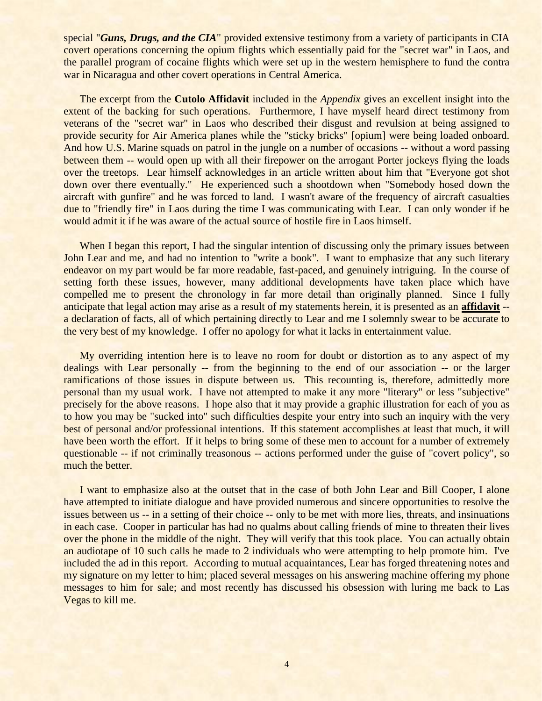special "*Guns, Drugs, and the CIA*" provided extensive testimony from a variety of participants in CIA covert operations concerning the opium flights which essentially paid for the "secret war" in Laos, and the parallel program of cocaine flights which were set up in the western hemisphere to fund the contra war in Nicaragua and other covert operations in Central America.

The excerpt from the **Cutolo Affidavit** included in the *Appendix* gives an excellent insight into the extent of the backing for such operations. Furthermore, I have myself heard direct testimony from veterans of the "secret war" in Laos who described their disgust and revulsion at being assigned to provide security for Air America planes while the "sticky bricks" [opium] were being loaded onboard. And how U.S. Marine squads on patrol in the jungle on a number of occasions -- without a word passing between them -- would open up with all their firepower on the arrogant Porter jockeys flying the loads over the treetops. Lear himself acknowledges in an article written about him that "Everyone got shot down over there eventually." He experienced such a shootdown when "Somebody hosed down the aircraft with gunfire" and he was forced to land. I wasn't aware of the frequency of aircraft casualties due to "friendly fire" in Laos during the time I was communicating with Lear. I can only wonder if he would admit it if he was aware of the actual source of hostile fire in Laos himself.

When I began this report, I had the singular intention of discussing only the primary issues between John Lear and me, and had no intention to "write a book". I want to emphasize that any such literary endeavor on my part would be far more readable, fast-paced, and genuinely intriguing. In the course of setting forth these issues, however, many additional developments have taken place which have compelled me to present the chronology in far more detail than originally planned. Since I fully anticipate that legal action may arise as a result of my statements herein, it is presented as an **affidavit** - a declaration of facts, all of which pertaining directly to Lear and me I solemnly swear to be accurate to the very best of my knowledge. I offer no apology for what it lacks in entertainment value.

My overriding intention here is to leave no room for doubt or distortion as to any aspect of my dealings with Lear personally -- from the beginning to the end of our association -- or the larger ramifications of those issues in dispute between us. This recounting is, therefore, admittedly more personal than my usual work. I have not attempted to make it any more "literary" or less "subjective" precisely for the above reasons. I hope also that it may provide a graphic illustration for each of you as to how you may be "sucked into" such difficulties despite your entry into such an inquiry with the very best of personal and/or professional intentions. If this statement accomplishes at least that much, it will have been worth the effort. If it helps to bring some of these men to account for a number of extremely questionable -- if not criminally treasonous -- actions performed under the guise of "covert policy", so much the better.

I want to emphasize also at the outset that in the case of both John Lear and Bill Cooper, I alone have attempted to initiate dialogue and have provided numerous and sincere opportunities to resolve the issues between us -- in a setting of their choice -- only to be met with more lies, threats, and insinuations in each case. Cooper in particular has had no qualms about calling friends of mine to threaten their lives over the phone in the middle of the night. They will verify that this took place. You can actually obtain an audiotape of 10 such calls he made to 2 individuals who were attempting to help promote him. I've included the ad in this report. According to mutual acquaintances, Lear has forged threatening notes and my signature on my letter to him; placed several messages on his answering machine offering my phone messages to him for sale; and most recently has discussed his obsession with luring me back to Las Vegas to kill me.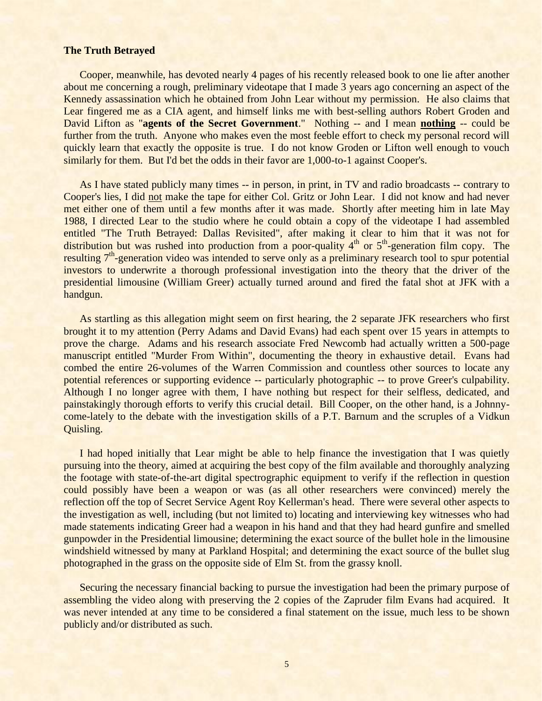#### **The Truth Betrayed**

Cooper, meanwhile, has devoted nearly 4 pages of his recently released book to one lie after another about me concerning a rough, preliminary videotape that I made 3 years ago concerning an aspect of the Kennedy assassination which he obtained from John Lear without my permission. He also claims that Lear fingered me as a CIA agent, and himself links me with best-selling authors Robert Groden and David Lifton as "**agents of the Secret Government**." Nothing -- and I mean **nothing** -- could be further from the truth. Anyone who makes even the most feeble effort to check my personal record will quickly learn that exactly the opposite is true. I do not know Groden or Lifton well enough to vouch similarly for them. But I'd bet the odds in their favor are 1,000-to-1 against Cooper's.

As I have stated publicly many times -- in person, in print, in TV and radio broadcasts -- contrary to Cooper's lies, I did not make the tape for either Col. Gritz or John Lear. I did not know and had never met either one of them until a few months after it was made. Shortly after meeting him in late May 1988, I directed Lear to the studio where he could obtain a copy of the videotape I had assembled entitled "The Truth Betrayed: Dallas Revisited", after making it clear to him that it was not for distribution but was rushed into production from a poor-quality  $4<sup>th</sup>$  or  $5<sup>th</sup>$ -generation film copy. The resulting 7<sup>th</sup>-generation video was intended to serve only as a preliminary research tool to spur potential investors to underwrite a thorough professional investigation into the theory that the driver of the presidential limousine (William Greer) actually turned around and fired the fatal shot at JFK with a handgun.

As startling as this allegation might seem on first hearing, the 2 separate JFK researchers who first brought it to my attention (Perry Adams and David Evans) had each spent over 15 years in attempts to prove the charge. Adams and his research associate Fred Newcomb had actually written a 500-page manuscript entitled "Murder From Within", documenting the theory in exhaustive detail. Evans had combed the entire 26-volumes of the Warren Commission and countless other sources to locate any potential references or supporting evidence -- particularly photographic -- to prove Greer's culpability. Although I no longer agree with them, I have nothing but respect for their selfless, dedicated, and painstakingly thorough efforts to verify this crucial detail. Bill Cooper, on the other hand, is a Johnnycome-lately to the debate with the investigation skills of a P.T. Barnum and the scruples of a Vidkun Quisling.

I had hoped initially that Lear might be able to help finance the investigation that I was quietly pursuing into the theory, aimed at acquiring the best copy of the film available and thoroughly analyzing the footage with state-of-the-art digital spectrographic equipment to verify if the reflection in question could possibly have been a weapon or was (as all other researchers were convinced) merely the reflection off the top of Secret Service Agent Roy Kellerman's head. There were several other aspects to the investigation as well, including (but not limited to) locating and interviewing key witnesses who had made statements indicating Greer had a weapon in his hand and that they had heard gunfire and smelled gunpowder in the Presidential limousine; determining the exact source of the bullet hole in the limousine windshield witnessed by many at Parkland Hospital; and determining the exact source of the bullet slug photographed in the grass on the opposite side of Elm St. from the grassy knoll.

Securing the necessary financial backing to pursue the investigation had been the primary purpose of assembling the video along with preserving the 2 copies of the Zapruder film Evans had acquired. It was never intended at any time to be considered a final statement on the issue, much less to be shown publicly and/or distributed as such.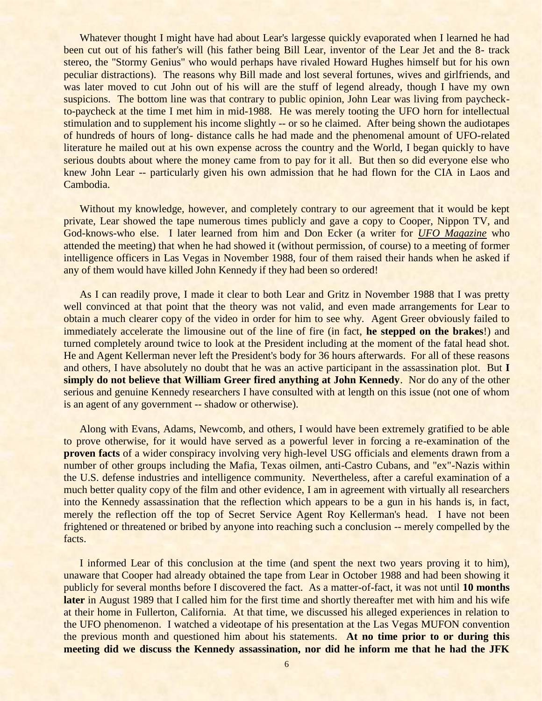Whatever thought I might have had about Lear's largesse quickly evaporated when I learned he had been cut out of his father's will (his father being Bill Lear, inventor of the Lear Jet and the 8- track stereo, the "Stormy Genius" who would perhaps have rivaled Howard Hughes himself but for his own peculiar distractions). The reasons why Bill made and lost several fortunes, wives and girlfriends, and was later moved to cut John out of his will are the stuff of legend already, though I have my own suspicions. The bottom line was that contrary to public opinion, John Lear was living from paycheckto-paycheck at the time I met him in mid-1988. He was merely tooting the UFO horn for intellectual stimulation and to supplement his income slightly -- or so he claimed. After being shown the audiotapes of hundreds of hours of long- distance calls he had made and the phenomenal amount of UFO-related literature he mailed out at his own expense across the country and the World, I began quickly to have serious doubts about where the money came from to pay for it all. But then so did everyone else who knew John Lear -- particularly given his own admission that he had flown for the CIA in Laos and Cambodia.

Without my knowledge, however, and completely contrary to our agreement that it would be kept private, Lear showed the tape numerous times publicly and gave a copy to Cooper, Nippon TV, and God-knows-who else. I later learned from him and Don Ecker (a writer for *UFO Magazine* who attended the meeting) that when he had showed it (without permission, of course) to a meeting of former intelligence officers in Las Vegas in November 1988, four of them raised their hands when he asked if any of them would have killed John Kennedy if they had been so ordered!

As I can readily prove, I made it clear to both Lear and Gritz in November 1988 that I was pretty well convinced at that point that the theory was not valid, and even made arrangements for Lear to obtain a much clearer copy of the video in order for him to see why. Agent Greer obviously failed to immediately accelerate the limousine out of the line of fire (in fact, **he stepped on the brakes**!) and turned completely around twice to look at the President including at the moment of the fatal head shot. He and Agent Kellerman never left the President's body for 36 hours afterwards. For all of these reasons and others, I have absolutely no doubt that he was an active participant in the assassination plot. But **I simply do not believe that William Greer fired anything at John Kennedy**. Nor do any of the other serious and genuine Kennedy researchers I have consulted with at length on this issue (not one of whom is an agent of any government -- shadow or otherwise).

Along with Evans, Adams, Newcomb, and others, I would have been extremely gratified to be able to prove otherwise, for it would have served as a powerful lever in forcing a re-examination of the **proven facts** of a wider conspiracy involving very high-level USG officials and elements drawn from a number of other groups including the Mafia, Texas oilmen, anti-Castro Cubans, and "ex"-Nazis within the U.S. defense industries and intelligence community. Nevertheless, after a careful examination of a much better quality copy of the film and other evidence, I am in agreement with virtually all researchers into the Kennedy assassination that the reflection which appears to be a gun in his hands is, in fact, merely the reflection off the top of Secret Service Agent Roy Kellerman's head. I have not been frightened or threatened or bribed by anyone into reaching such a conclusion -- merely compelled by the facts.

I informed Lear of this conclusion at the time (and spent the next two years proving it to him), unaware that Cooper had already obtained the tape from Lear in October 1988 and had been showing it publicly for several months before I discovered the fact. As a matter-of-fact, it was not until **10 months later** in August 1989 that I called him for the first time and shortly thereafter met with him and his wife at their home in Fullerton, California. At that time, we discussed his alleged experiences in relation to the UFO phenomenon. I watched a videotape of his presentation at the Las Vegas MUFON convention the previous month and questioned him about his statements. **At no time prior to or during this meeting did we discuss the Kennedy assassination, nor did he inform me that he had the JFK**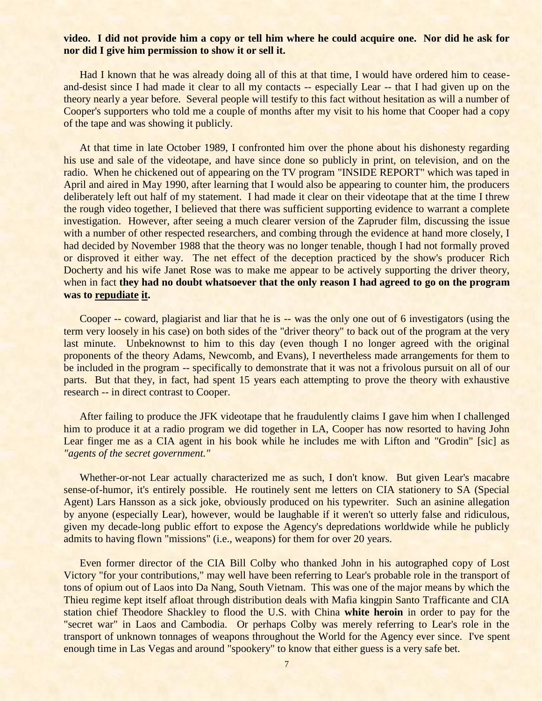## **video. I did not provide him a copy or tell him where he could acquire one. Nor did he ask for nor did I give him permission to show it or sell it.**

Had I known that he was already doing all of this at that time, I would have ordered him to ceaseand-desist since I had made it clear to all my contacts -- especially Lear -- that I had given up on the theory nearly a year before. Several people will testify to this fact without hesitation as will a number of Cooper's supporters who told me a couple of months after my visit to his home that Cooper had a copy of the tape and was showing it publicly.

At that time in late October 1989, I confronted him over the phone about his dishonesty regarding his use and sale of the videotape, and have since done so publicly in print, on television, and on the radio. When he chickened out of appearing on the TV program "INSIDE REPORT" which was taped in April and aired in May 1990, after learning that I would also be appearing to counter him, the producers deliberately left out half of my statement. I had made it clear on their videotape that at the time I threw the rough video together, I believed that there was sufficient supporting evidence to warrant a complete investigation. However, after seeing a much clearer version of the Zapruder film, discussing the issue with a number of other respected researchers, and combing through the evidence at hand more closely, I had decided by November 1988 that the theory was no longer tenable, though I had not formally proved or disproved it either way. The net effect of the deception practiced by the show's producer Rich Docherty and his wife Janet Rose was to make me appear to be actively supporting the driver theory, when in fact they had no doubt whatsoever that the only reason I had agreed to go on the program **was to repudiate it.**

Cooper -- coward, plagiarist and liar that he is -- was the only one out of 6 investigators (using the term very loosely in his case) on both sides of the "driver theory" to back out of the program at the very last minute. Unbeknownst to him to this day (even though I no longer agreed with the original proponents of the theory Adams, Newcomb, and Evans), I nevertheless made arrangements for them to be included in the program -- specifically to demonstrate that it was not a frivolous pursuit on all of our parts. But that they, in fact, had spent 15 years each attempting to prove the theory with exhaustive research -- in direct contrast to Cooper.

After failing to produce the JFK videotape that he fraudulently claims I gave him when I challenged him to produce it at a radio program we did together in LA, Cooper has now resorted to having John Lear finger me as a CIA agent in his book while he includes me with Lifton and "Grodin" [sic] as *"agents of the secret government."*

Whether-or-not Lear actually characterized me as such, I don't know. But given Lear's macabre sense-of-humor, it's entirely possible. He routinely sent me letters on CIA stationery to SA (Special Agent) Lars Hansson as a sick joke, obviously produced on his typewriter. Such an asinine allegation by anyone (especially Lear), however, would be laughable if it weren't so utterly false and ridiculous, given my decade-long public effort to expose the Agency's depredations worldwide while he publicly admits to having flown "missions" (i.e., weapons) for them for over 20 years.

Even former director of the CIA Bill Colby who thanked John in his autographed copy of Lost Victory "for your contributions," may well have been referring to Lear's probable role in the transport of tons of opium out of Laos into Da Nang, South Vietnam. This was one of the major means by which the Thieu regime kept itself afloat through distribution deals with Mafia kingpin Santo Trafficante and CIA station chief Theodore Shackley to flood the U.S. with China **white heroin** in order to pay for the "secret war" in Laos and Cambodia. Or perhaps Colby was merely referring to Lear's role in the transport of unknown tonnages of weapons throughout the World for the Agency ever since. I've spent enough time in Las Vegas and around "spookery" to know that either guess is a very safe bet.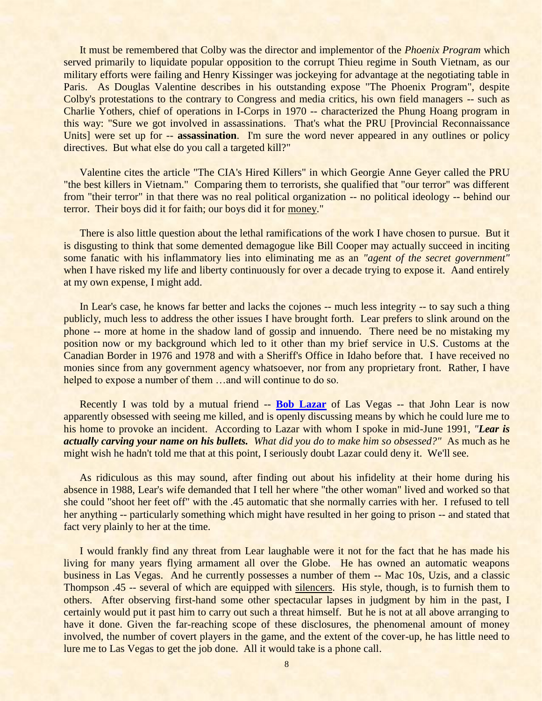It must be remembered that Colby was the director and implementor of the *Phoenix Program* which served primarily to liquidate popular opposition to the corrupt Thieu regime in South Vietnam, as our military efforts were failing and Henry Kissinger was jockeying for advantage at the negotiating table in Paris. As Douglas Valentine describes in his outstanding expose "The Phoenix Program", despite Colby's protestations to the contrary to Congress and media critics, his own field managers -- such as Charlie Yothers, chief of operations in I-Corps in 1970 -- characterized the Phung Hoang program in this way: "Sure we got involved in assassinations. That's what the PRU [Provincial Reconnaissance Units] were set up for -- **assassination**. I'm sure the word never appeared in any outlines or policy directives. But what else do you call a targeted kill?"

Valentine cites the article "The CIA's Hired Killers" in which Georgie Anne Geyer called the PRU "the best killers in Vietnam." Comparing them to terrorists, she qualified that "our terror" was different from "their terror" in that there was no real political organization -- no political ideology -- behind our terror. Their boys did it for faith; our boys did it for money."

There is also little question about the lethal ramifications of the work I have chosen to pursue. But it is disgusting to think that some demented demagogue like Bill Cooper may actually succeed in inciting some fanatic with his inflammatory lies into eliminating me as an *"agent of the secret government"* when I have risked my life and liberty continuously for over a decade trying to expose it. Aand entirely at my own expense, I might add.

In Lear's case, he knows far better and lacks the cojones -- much less integrity -- to say such a thing publicly, much less to address the other issues I have brought forth. Lear prefers to slink around on the phone -- more at home in the shadow land of gossip and innuendo. There need be no mistaking my position now or my background which led to it other than my brief service in U.S. Customs at the Canadian Border in 1976 and 1978 and with a Sheriff's Office in Idaho before that. I have received no monies since from any government agency whatsoever, nor from any proprietary front. Rather, I have helped to expose a number of them ...and will continue to do so.

Recently I was told by a mutual friend -- **[Bob Lazar](http://www.stealthskater.com/UFO.htm#Lazar)** of Las Vegas -- that John Lear is now apparently obsessed with seeing me killed, and is openly discussing means by which he could lure me to his home to provoke an incident. According to Lazar with whom I spoke in mid-June 1991, *"Lear is actually carving your name on his bullets. What did you do to make him so obsessed?"* As much as he might wish he hadn't told me that at this point, I seriously doubt Lazar could deny it. We'll see.

As ridiculous as this may sound, after finding out about his infidelity at their home during his absence in 1988, Lear's wife demanded that I tell her where "the other woman" lived and worked so that she could "shoot her feet off" with the .45 automatic that she normally carries with her. I refused to tell her anything -- particularly something which might have resulted in her going to prison -- and stated that fact very plainly to her at the time.

I would frankly find any threat from Lear laughable were it not for the fact that he has made his living for many years flying armament all over the Globe. He has owned an automatic weapons business in Las Vegas. And he currently possesses a number of them -- Mac 10s, Uzis, and a classic Thompson .45 -- several of which are equipped with silencers. His style, though, is to furnish them to others. After observing first-hand some other spectacular lapses in judgment by him in the past, I certainly would put it past him to carry out such a threat himself. But he is not at all above arranging to have it done. Given the far-reaching scope of these disclosures, the phenomenal amount of money involved, the number of covert players in the game, and the extent of the cover-up, he has little need to lure me to Las Vegas to get the job done. All it would take is a phone call.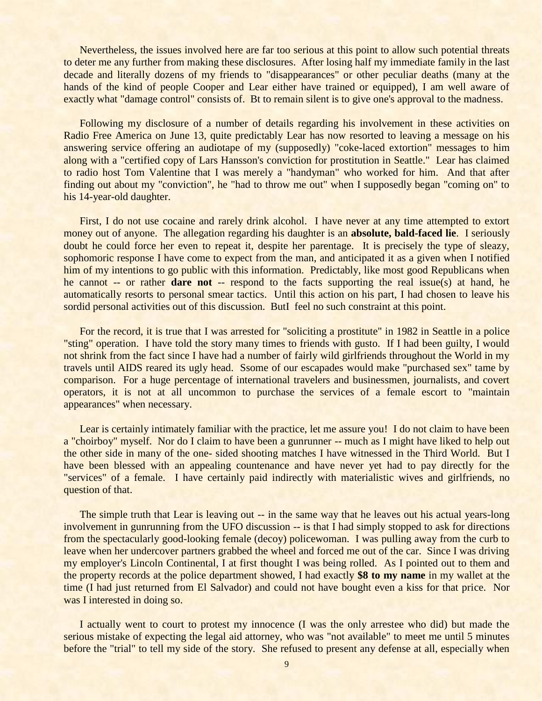Nevertheless, the issues involved here are far too serious at this point to allow such potential threats to deter me any further from making these disclosures. After losing half my immediate family in the last decade and literally dozens of my friends to "disappearances" or other peculiar deaths (many at the hands of the kind of people Cooper and Lear either have trained or equipped), I am well aware of exactly what "damage control" consists of. Bt to remain silent is to give one's approval to the madness.

Following my disclosure of a number of details regarding his involvement in these activities on Radio Free America on June 13, quite predictably Lear has now resorted to leaving a message on his answering service offering an audiotape of my (supposedly) "coke-laced extortion" messages to him along with a "certified copy of Lars Hansson's conviction for prostitution in Seattle." Lear has claimed to radio host Tom Valentine that I was merely a "handyman" who worked for him. And that after finding out about my "conviction", he "had to throw me out" when I supposedly began "coming on" to his 14-year-old daughter.

First, I do not use cocaine and rarely drink alcohol. I have never at any time attempted to extort money out of anyone. The allegation regarding his daughter is an **absolute, bald-faced lie**. I seriously doubt he could force her even to repeat it, despite her parentage. It is precisely the type of sleazy, sophomoric response I have come to expect from the man, and anticipated it as a given when I notified him of my intentions to go public with this information. Predictably, like most good Republicans when he cannot -- or rather **dare not** -- respond to the facts supporting the real issue(s) at hand, he automatically resorts to personal smear tactics. Until this action on his part, I had chosen to leave his sordid personal activities out of this discussion. ButI feel no such constraint at this point.

For the record, it is true that I was arrested for "soliciting a prostitute" in 1982 in Seattle in a police "sting" operation. I have told the story many times to friends with gusto. If I had been guilty, I would not shrink from the fact since I have had a number of fairly wild girlfriends throughout the World in my travels until AIDS reared its ugly head. Ssome of our escapades would make "purchased sex" tame by comparison. For a huge percentage of international travelers and businessmen, journalists, and covert operators, it is not at all uncommon to purchase the services of a female escort to "maintain appearances" when necessary.

Lear is certainly intimately familiar with the practice, let me assure you! I do not claim to have been a "choirboy" myself. Nor do I claim to have been a gunrunner -- much as I might have liked to help out the other side in many of the one- sided shooting matches I have witnessed in the Third World. But I have been blessed with an appealing countenance and have never yet had to pay directly for the "services" of a female. I have certainly paid indirectly with materialistic wives and girlfriends, no question of that.

The simple truth that Lear is leaving out -- in the same way that he leaves out his actual years-long involvement in gunrunning from the UFO discussion -- is that I had simply stopped to ask for directions from the spectacularly good-looking female (decoy) policewoman. I was pulling away from the curb to leave when her undercover partners grabbed the wheel and forced me out of the car. Since I was driving my employer's Lincoln Continental, I at first thought I was being rolled. As I pointed out to them and the property records at the police department showed, I had exactly **\$8 to my name** in my wallet at the time (I had just returned from El Salvador) and could not have bought even a kiss for that price. Nor was I interested in doing so.

I actually went to court to protest my innocence (I was the only arrestee who did) but made the serious mistake of expecting the legal aid attorney, who was "not available" to meet me until 5 minutes before the "trial" to tell my side of the story. She refused to present any defense at all, especially when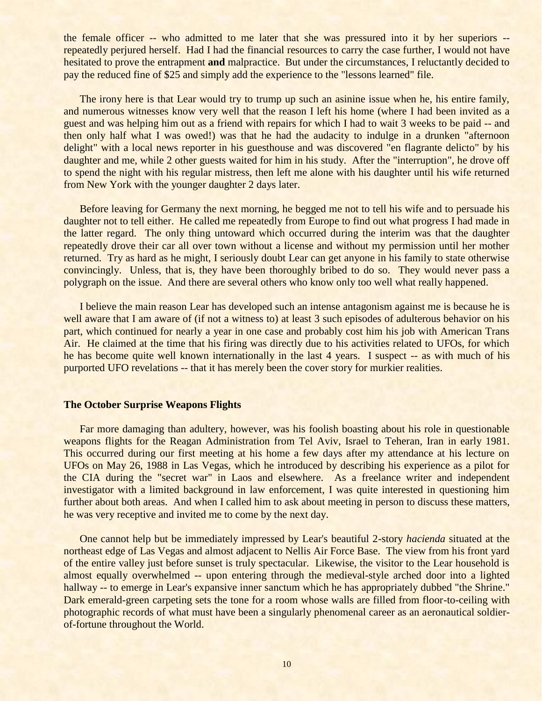the female officer -- who admitted to me later that she was pressured into it by her superiors - repeatedly perjured herself. Had I had the financial resources to carry the case further, I would not have hesitated to prove the entrapment **and** malpractice. But under the circumstances, I reluctantly decided to pay the reduced fine of \$25 and simply add the experience to the "lessons learned" file.

The irony here is that Lear would try to trump up such an asinine issue when he, his entire family, and numerous witnesses know very well that the reason I left his home (where I had been invited as a guest and was helping him out as a friend with repairs for which I had to wait 3 weeks to be paid -- and then only half what I was owed!) was that he had the audacity to indulge in a drunken "afternoon delight" with a local news reporter in his guesthouse and was discovered "en flagrante delicto" by his daughter and me, while 2 other guests waited for him in his study. After the "interruption", he drove off to spend the night with his regular mistress, then left me alone with his daughter until his wife returned from New York with the younger daughter 2 days later.

Before leaving for Germany the next morning, he begged me not to tell his wife and to persuade his daughter not to tell either. He called me repeatedly from Europe to find out what progress I had made in the latter regard. The only thing untoward which occurred during the interim was that the daughter repeatedly drove their car all over town without a license and without my permission until her mother returned. Try as hard as he might, I seriously doubt Lear can get anyone in his family to state otherwise convincingly. Unless, that is, they have been thoroughly bribed to do so. They would never pass a polygraph on the issue. And there are several others who know only too well what really happened.

I believe the main reason Lear has developed such an intense antagonism against me is because he is well aware that I am aware of (if not a witness to) at least 3 such episodes of adulterous behavior on his part, which continued for nearly a year in one case and probably cost him his job with American Trans Air. He claimed at the time that his firing was directly due to his activities related to UFOs, for which he has become quite well known internationally in the last 4 years. I suspect -- as with much of his purported UFO revelations -- that it has merely been the cover story for murkier realities.

## **The October Surprise Weapons Flights**

Far more damaging than adultery, however, was his foolish boasting about his role in questionable weapons flights for the Reagan Administration from Tel Aviv, Israel to Teheran, Iran in early 1981. This occurred during our first meeting at his home a few days after my attendance at his lecture on UFOs on May 26, 1988 in Las Vegas, which he introduced by describing his experience as a pilot for the CIA during the "secret war" in Laos and elsewhere. As a freelance writer and independent investigator with a limited background in law enforcement, I was quite interested in questioning him further about both areas. And when I called him to ask about meeting in person to discuss these matters, he was very receptive and invited me to come by the next day.

One cannot help but be immediately impressed by Lear's beautiful 2-story *hacienda* situated at the northeast edge of Las Vegas and almost adjacent to Nellis Air Force Base. The view from his front yard of the entire valley just before sunset is truly spectacular. Likewise, the visitor to the Lear household is almost equally overwhelmed -- upon entering through the medieval-style arched door into a lighted hallway -- to emerge in Lear's expansive inner sanctum which he has appropriately dubbed "the Shrine." Dark emerald-green carpeting sets the tone for a room whose walls are filled from floor-to-ceiling with photographic records of what must have been a singularly phenomenal career as an aeronautical soldierof-fortune throughout the World.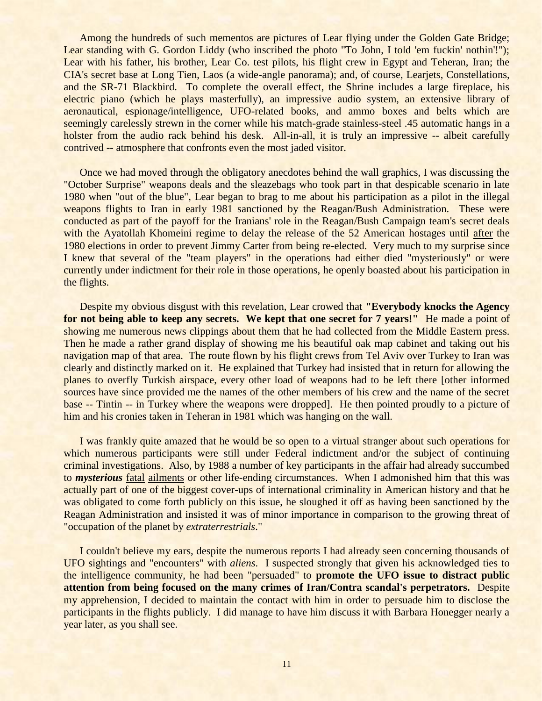Among the hundreds of such mementos are pictures of Lear flying under the Golden Gate Bridge; Lear standing with G. Gordon Liddy (who inscribed the photo "To John, I told 'em fuckin' nothin'!"); Lear with his father, his brother, Lear Co. test pilots, his flight crew in Egypt and Teheran, Iran; the CIA's secret base at Long Tien, Laos (a wide-angle panorama); and, of course, Learjets, Constellations, and the SR-71 Blackbird. To complete the overall effect, the Shrine includes a large fireplace, his electric piano (which he plays masterfully), an impressive audio system, an extensive library of aeronautical, espionage/intelligence, UFO-related books, and ammo boxes and belts which are seemingly carelessly strewn in the corner while his match-grade stainless-steel .45 automatic hangs in a holster from the audio rack behind his desk. All-in-all, it is truly an impressive -- albeit carefully contrived -- atmosphere that confronts even the most jaded visitor.

Once we had moved through the obligatory anecdotes behind the wall graphics, I was discussing the "October Surprise" weapons deals and the sleazebags who took part in that despicable scenario in late 1980 when "out of the blue", Lear began to brag to me about his participation as a pilot in the illegal weapons flights to Iran in early 1981 sanctioned by the Reagan/Bush Administration. These were conducted as part of the payoff for the Iranians' role in the Reagan/Bush Campaign team's secret deals with the Ayatollah Khomeini regime to delay the release of the 52 American hostages until after the 1980 elections in order to prevent Jimmy Carter from being re-elected. Very much to my surprise since I knew that several of the "team players" in the operations had either died "mysteriously" or were currently under indictment for their role in those operations, he openly boasted about his participation in the flights.

Despite my obvious disgust with this revelation, Lear crowed that **"Everybody knocks the Agency**  for not being able to keep any secrets. We kept that one secret for 7 years!" He made a point of showing me numerous news clippings about them that he had collected from the Middle Eastern press. Then he made a rather grand display of showing me his beautiful oak map cabinet and taking out his navigation map of that area. The route flown by his flight crews from Tel Aviv over Turkey to Iran was clearly and distinctly marked on it. He explained that Turkey had insisted that in return for allowing the planes to overfly Turkish airspace, every other load of weapons had to be left there [other informed sources have since provided me the names of the other members of his crew and the name of the secret base -- Tintin -- in Turkey where the weapons were dropped]. He then pointed proudly to a picture of him and his cronies taken in Teheran in 1981 which was hanging on the wall.

I was frankly quite amazed that he would be so open to a virtual stranger about such operations for which numerous participants were still under Federal indictment and/or the subject of continuing criminal investigations. Also, by 1988 a number of key participants in the affair had already succumbed to *mysterious* fatal ailments or other life-ending circumstances. When I admonished him that this was actually part of one of the biggest cover-ups of international criminality in American history and that he was obligated to come forth publicly on this issue, he sloughed it off as having been sanctioned by the Reagan Administration and insisted it was of minor importance in comparison to the growing threat of "occupation of the planet by *extraterrestrials*."

I couldn't believe my ears, despite the numerous reports I had already seen concerning thousands of UFO sightings and "encounters" with *aliens*. I suspected strongly that given his acknowledged ties to the intelligence community, he had been "persuaded" to **promote the UFO issue to distract public attention from being focused on the many crimes of Iran/Contra scandal's perpetrators.** Despite my apprehension, I decided to maintain the contact with him in order to persuade him to disclose the participants in the flights publicly. I did manage to have him discuss it with Barbara Honegger nearly a year later, as you shall see.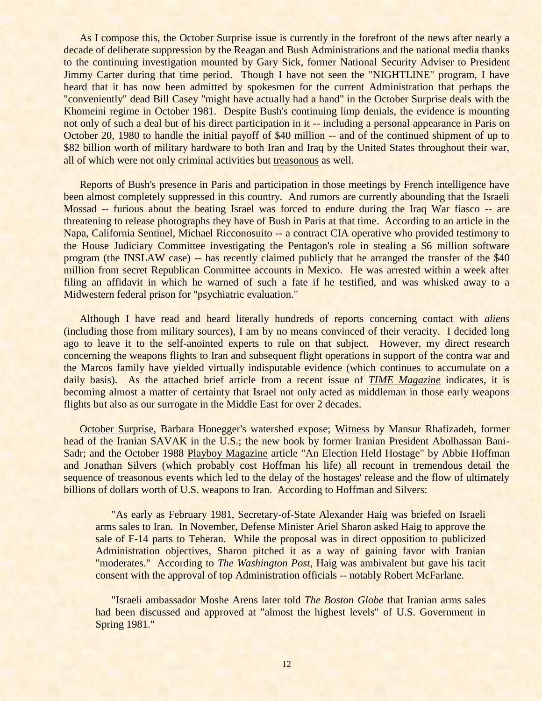As I compose this, the October Surprise issue is currently in the forefront of the news after nearly a decade of deliberate suppression by the Reagan and Bush Administrations and the national media thanks to the continuing investigation mounted by Gary Sick, former National Security Adviser to President Jimmy Carter during that time period. Though I have not seen the "NIGHTLINE" program, I have heard that it has now been admitted by spokesmen for the current Administration that perhaps the "conveniently" dead Bill Casey "might have actually had a hand" in the October Surprise deals with the Khomeini regime in October 1981. Despite Bush's continuing limp denials, the evidence is mounting not only of such a deal but of his direct participation in it -- including a personal appearance in Paris on October 20, 1980 to handle the initial payoff of \$40 million -- and of the continued shipment of up to \$82 billion worth of military hardware to both Iran and Iraq by the United States throughout their war, all of which were not only criminal activities but treasonous as well.

Reports of Bush's presence in Paris and participation in those meetings by French intelligence have been almost completely suppressed in this country. And rumors are currently abounding that the Israeli Mossad -- furious about the beating Israel was forced to endure during the Iraq War fiasco -- are threatening to release photographs they have of Bush in Paris at that time. According to an article in the Napa, California Sentinel, Michael Ricconosuito -- a contract CIA operative who provided testimony to the House Judiciary Committee investigating the Pentagon's role in stealing a \$6 million software program (the INSLAW case) -- has recently claimed publicly that he arranged the transfer of the \$40 million from secret Republican Committee accounts in Mexico. He was arrested within a week after filing an affidavit in which he warned of such a fate if he testified, and was whisked away to a Midwestern federal prison for "psychiatric evaluation."

Although I have read and heard literally hundreds of reports concerning contact with *aliens* (including those from military sources), I am by no means convinced of their veracity. I decided long ago to leave it to the self-anointed experts to rule on that subject. However, my direct research concerning the weapons flights to Iran and subsequent flight operations in support of the contra war and the Marcos family have yielded virtually indisputable evidence (which continues to accumulate on a daily basis). As the attached brief article from a recent issue of *TIME Magazine* indicates, it is becoming almost a matter of certainty that Israel not only acted as middleman in those early weapons flights but also as our surrogate in the Middle East for over 2 decades.

October Surprise, Barbara Honegger's watershed expose; Witness by Mansur Rhafizadeh, former head of the Iranian SAVAK in the U.S.; the new book by former Iranian President Abolhassan Bani-Sadr; and the October 1988 Playboy Magazine article "An Election Held Hostage" by Abbie Hoffman and Jonathan Silvers (which probably cost Hoffman his life) all recount in tremendous detail the sequence of treasonous events which led to the delay of the hostages' release and the flow of ultimately billions of dollars worth of U.S. weapons to Iran. According to Hoffman and Silvers:

"As early as February 1981, Secretary-of-State Alexander Haig was briefed on Israeli arms sales to Iran. In November, Defense Minister Ariel Sharon asked Haig to approve the sale of F-14 parts to Teheran. While the proposal was in direct opposition to publicized Administration objectives, Sharon pitched it as a way of gaining favor with Iranian "moderates." According to *The Washington Post*, Haig was ambivalent but gave his tacit consent with the approval of top Administration officials -- notably Robert McFarlane.

"Israeli ambassador Moshe Arens later told *The Boston Globe* that Iranian arms sales had been discussed and approved at "almost the highest levels" of U.S. Government in Spring 1981."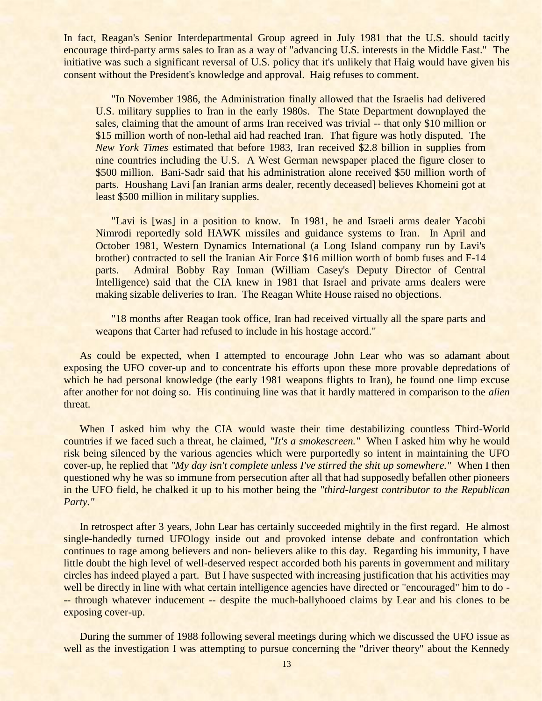In fact, Reagan's Senior Interdepartmental Group agreed in July 1981 that the U.S. should tacitly encourage third-party arms sales to Iran as a way of "advancing U.S. interests in the Middle East." The initiative was such a significant reversal of U.S. policy that it's unlikely that Haig would have given his consent without the President's knowledge and approval. Haig refuses to comment.

"In November 1986, the Administration finally allowed that the Israelis had delivered U.S. military supplies to Iran in the early 1980s. The State Department downplayed the sales, claiming that the amount of arms Iran received was trivial -- that only \$10 million or \$15 million worth of non-lethal aid had reached Iran. That figure was hotly disputed. The *New York Times* estimated that before 1983, Iran received \$2.8 billion in supplies from nine countries including the U.S. A West German newspaper placed the figure closer to \$500 million. Bani-Sadr said that his administration alone received \$50 million worth of parts. Houshang Lavi [an Iranian arms dealer, recently deceased] believes Khomeini got at least \$500 million in military supplies.

"Lavi is [was] in a position to know. In 1981, he and Israeli arms dealer Yacobi Nimrodi reportedly sold HAWK missiles and guidance systems to Iran. In April and October 1981, Western Dynamics International (a Long Island company run by Lavi's brother) contracted to sell the Iranian Air Force \$16 million worth of bomb fuses and F-14 parts. Admiral Bobby Ray Inman (William Casey's Deputy Director of Central Intelligence) said that the CIA knew in 1981 that Israel and private arms dealers were making sizable deliveries to Iran. The Reagan White House raised no objections.

"18 months after Reagan took office, Iran had received virtually all the spare parts and weapons that Carter had refused to include in his hostage accord."

As could be expected, when I attempted to encourage John Lear who was so adamant about exposing the UFO cover-up and to concentrate his efforts upon these more provable depredations of which he had personal knowledge (the early 1981 weapons flights to Iran), he found one limp excuse after another for not doing so. His continuing line was that it hardly mattered in comparison to the *alien* threat.

When I asked him why the CIA would waste their time destabilizing countless Third-World countries if we faced such a threat, he claimed, *"It's a smokescreen."* When I asked him why he would risk being silenced by the various agencies which were purportedly so intent in maintaining the UFO cover-up, he replied that *"My day isn't complete unless I've stirred the shit up somewhere."* When I then questioned why he was so immune from persecution after all that had supposedly befallen other pioneers in the UFO field, he chalked it up to his mother being the *"third-largest contributor to the Republican Party."*

In retrospect after 3 years, John Lear has certainly succeeded mightily in the first regard. He almost single-handedly turned UFOlogy inside out and provoked intense debate and confrontation which continues to rage among believers and non- believers alike to this day. Regarding his immunity, I have little doubt the high level of well-deserved respect accorded both his parents in government and military circles has indeed played a part. But I have suspected with increasing justification that his activities may well be directly in line with what certain intelligence agencies have directed or "encouraged" him to do --- through whatever inducement -- despite the much-ballyhooed claims by Lear and his clones to be exposing cover-up.

During the summer of 1988 following several meetings during which we discussed the UFO issue as well as the investigation I was attempting to pursue concerning the "driver theory" about the Kennedy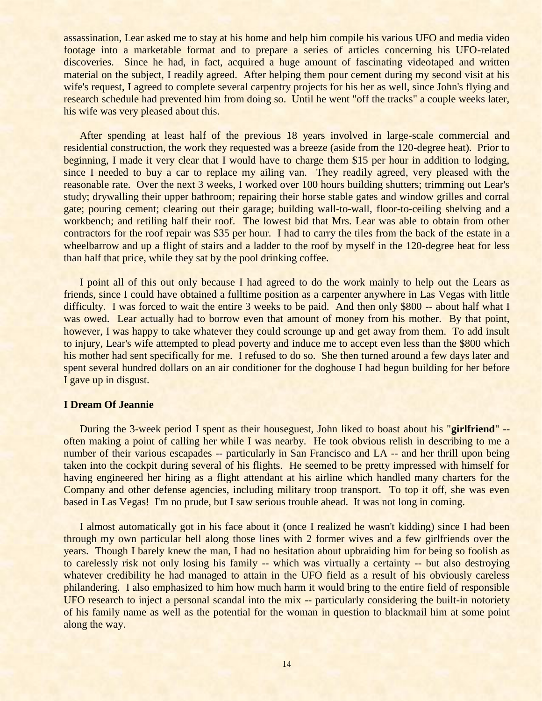assassination, Lear asked me to stay at his home and help him compile his various UFO and media video footage into a marketable format and to prepare a series of articles concerning his UFO-related discoveries. Since he had, in fact, acquired a huge amount of fascinating videotaped and written material on the subject, I readily agreed. After helping them pour cement during my second visit at his wife's request, I agreed to complete several carpentry projects for his her as well, since John's flying and research schedule had prevented him from doing so. Until he went "off the tracks" a couple weeks later, his wife was very pleased about this.

After spending at least half of the previous 18 years involved in large-scale commercial and residential construction, the work they requested was a breeze (aside from the 120-degree heat). Prior to beginning, I made it very clear that I would have to charge them \$15 per hour in addition to lodging, since I needed to buy a car to replace my ailing van. They readily agreed, very pleased with the reasonable rate. Over the next 3 weeks, I worked over 100 hours building shutters; trimming out Lear's study; drywalling their upper bathroom; repairing their horse stable gates and window grilles and corral gate; pouring cement; clearing out their garage; building wall-to-wall, floor-to-ceiling shelving and a workbench; and retiling half their roof. The lowest bid that Mrs. Lear was able to obtain from other contractors for the roof repair was \$35 per hour. I had to carry the tiles from the back of the estate in a wheelbarrow and up a flight of stairs and a ladder to the roof by myself in the 120-degree heat for less than half that price, while they sat by the pool drinking coffee.

I point all of this out only because I had agreed to do the work mainly to help out the Lears as friends, since I could have obtained a fulltime position as a carpenter anywhere in Las Vegas with little difficulty. I was forced to wait the entire 3 weeks to be paid. And then only \$800 -- about half what I was owed. Lear actually had to borrow even that amount of money from his mother. By that point, however, I was happy to take whatever they could scrounge up and get away from them. To add insult to injury, Lear's wife attempted to plead poverty and induce me to accept even less than the \$800 which his mother had sent specifically for me. I refused to do so. She then turned around a few days later and spent several hundred dollars on an air conditioner for the doghouse I had begun building for her before I gave up in disgust.

## **I Dream Of Jeannie**

During the 3-week period I spent as their houseguest, John liked to boast about his "**girlfriend**" - often making a point of calling her while I was nearby. He took obvious relish in describing to me a number of their various escapades -- particularly in San Francisco and LA -- and her thrill upon being taken into the cockpit during several of his flights. He seemed to be pretty impressed with himself for having engineered her hiring as a flight attendant at his airline which handled many charters for the Company and other defense agencies, including military troop transport. To top it off, she was even based in Las Vegas! I'm no prude, but I saw serious trouble ahead. It was not long in coming.

I almost automatically got in his face about it (once I realized he wasn't kidding) since I had been through my own particular hell along those lines with 2 former wives and a few girlfriends over the years. Though I barely knew the man, I had no hesitation about upbraiding him for being so foolish as to carelessly risk not only losing his family -- which was virtually a certainty -- but also destroying whatever credibility he had managed to attain in the UFO field as a result of his obviously careless philandering. I also emphasized to him how much harm it would bring to the entire field of responsible UFO research to inject a personal scandal into the mix -- particularly considering the built-in notoriety of his family name as well as the potential for the woman in question to blackmail him at some point along the way.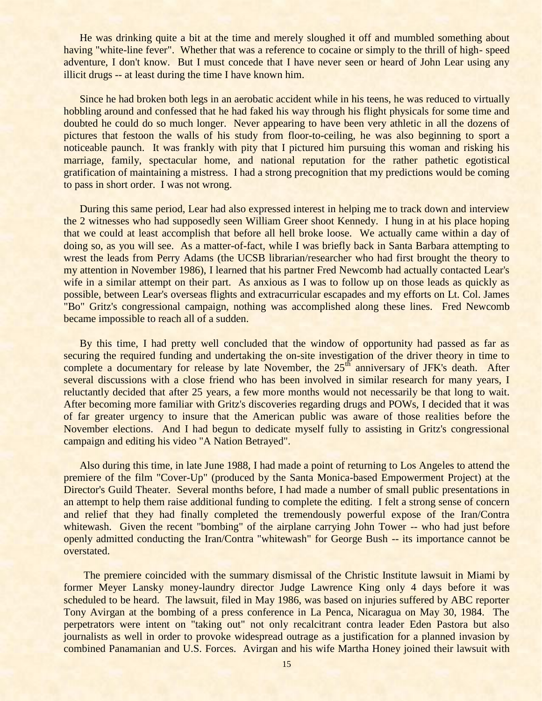He was drinking quite a bit at the time and merely sloughed it off and mumbled something about having "white-line fever". Whether that was a reference to cocaine or simply to the thrill of high- speed adventure, I don't know. But I must concede that I have never seen or heard of John Lear using any illicit drugs -- at least during the time I have known him.

Since he had broken both legs in an aerobatic accident while in his teens, he was reduced to virtually hobbling around and confessed that he had faked his way through his flight physicals for some time and doubted he could do so much longer. Never appearing to have been very athletic in all the dozens of pictures that festoon the walls of his study from floor-to-ceiling, he was also beginning to sport a noticeable paunch. It was frankly with pity that I pictured him pursuing this woman and risking his marriage, family, spectacular home, and national reputation for the rather pathetic egotistical gratification of maintaining a mistress. I had a strong precognition that my predictions would be coming to pass in short order. I was not wrong.

During this same period, Lear had also expressed interest in helping me to track down and interview the 2 witnesses who had supposedly seen William Greer shoot Kennedy. I hung in at his place hoping that we could at least accomplish that before all hell broke loose. We actually came within a day of doing so, as you will see. As a matter-of-fact, while I was briefly back in Santa Barbara attempting to wrest the leads from Perry Adams (the UCSB librarian/researcher who had first brought the theory to my attention in November 1986), I learned that his partner Fred Newcomb had actually contacted Lear's wife in a similar attempt on their part. As anxious as I was to follow up on those leads as quickly as possible, between Lear's overseas flights and extracurricular escapades and my efforts on Lt. Col. James "Bo" Gritz's congressional campaign, nothing was accomplished along these lines. Fred Newcomb became impossible to reach all of a sudden.

By this time, I had pretty well concluded that the window of opportunity had passed as far as securing the required funding and undertaking the on-site investigation of the driver theory in time to complete a documentary for release by late November, the  $25<sup>th</sup>$  anniversary of JFK's death. After several discussions with a close friend who has been involved in similar research for many years, I reluctantly decided that after 25 years, a few more months would not necessarily be that long to wait. After becoming more familiar with Gritz's discoveries regarding drugs and POWs, I decided that it was of far greater urgency to insure that the American public was aware of those realities before the November elections. And I had begun to dedicate myself fully to assisting in Gritz's congressional campaign and editing his video "A Nation Betrayed".

Also during this time, in late June 1988, I had made a point of returning to Los Angeles to attend the premiere of the film "Cover-Up" (produced by the Santa Monica-based Empowerment Project) at the Director's Guild Theater. Several months before, I had made a number of small public presentations in an attempt to help them raise additional funding to complete the editing. I felt a strong sense of concern and relief that they had finally completed the tremendously powerful expose of the Iran/Contra whitewash. Given the recent "bombing" of the airplane carrying John Tower -- who had just before openly admitted conducting the Iran/Contra "whitewash" for George Bush -- its importance cannot be overstated.

The premiere coincided with the summary dismissal of the Christic Institute lawsuit in Miami by former Meyer Lansky money-laundry director Judge Lawrence King only 4 days before it was scheduled to be heard. The lawsuit, filed in May 1986, was based on injuries suffered by ABC reporter Tony Avirgan at the bombing of a press conference in La Penca, Nicaragua on May 30, 1984. The perpetrators were intent on "taking out" not only recalcitrant contra leader Eden Pastora but also journalists as well in order to provoke widespread outrage as a justification for a planned invasion by combined Panamanian and U.S. Forces. Avirgan and his wife Martha Honey joined their lawsuit with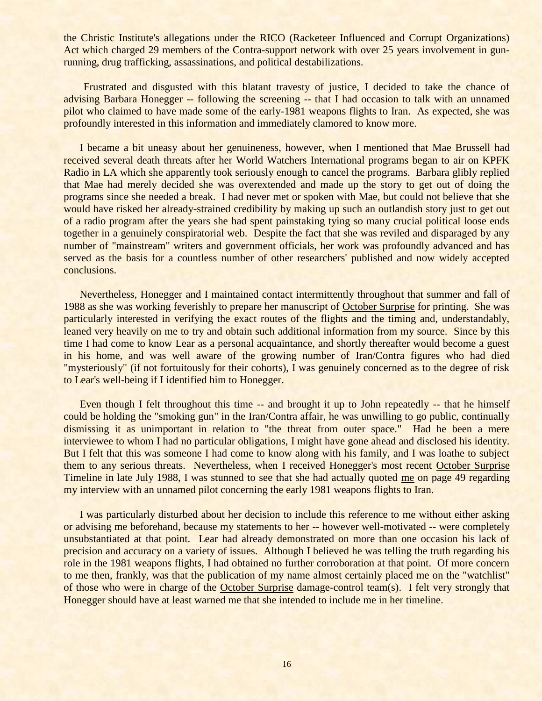the Christic Institute's allegations under the RICO (Racketeer Influenced and Corrupt Organizations) Act which charged 29 members of the Contra-support network with over 25 years involvement in gunrunning, drug trafficking, assassinations, and political destabilizations.

Frustrated and disgusted with this blatant travesty of justice, I decided to take the chance of advising Barbara Honegger -- following the screening -- that I had occasion to talk with an unnamed pilot who claimed to have made some of the early-1981 weapons flights to Iran. As expected, she was profoundly interested in this information and immediately clamored to know more.

I became a bit uneasy about her genuineness, however, when I mentioned that Mae Brussell had received several death threats after her World Watchers International programs began to air on KPFK Radio in LA which she apparently took seriously enough to cancel the programs. Barbara glibly replied that Mae had merely decided she was overextended and made up the story to get out of doing the programs since she needed a break. I had never met or spoken with Mae, but could not believe that she would have risked her already-strained credibility by making up such an outlandish story just to get out of a radio program after the years she had spent painstaking tying so many crucial political loose ends together in a genuinely conspiratorial web. Despite the fact that she was reviled and disparaged by any number of "mainstream" writers and government officials, her work was profoundly advanced and has served as the basis for a countless number of other researchers' published and now widely accepted conclusions.

Nevertheless, Honegger and I maintained contact intermittently throughout that summer and fall of 1988 as she was working feverishly to prepare her manuscript of October Surprise for printing. She was particularly interested in verifying the exact routes of the flights and the timing and, understandably, leaned very heavily on me to try and obtain such additional information from my source. Since by this time I had come to know Lear as a personal acquaintance, and shortly thereafter would become a guest in his home, and was well aware of the growing number of Iran/Contra figures who had died "mysteriously" (if not fortuitously for their cohorts), I was genuinely concerned as to the degree of risk to Lear's well-being if I identified him to Honegger.

Even though I felt throughout this time -- and brought it up to John repeatedly -- that he himself could be holding the "smoking gun" in the Iran/Contra affair, he was unwilling to go public, continually dismissing it as unimportant in relation to "the threat from outer space." Had he been a mere interviewee to whom I had no particular obligations, I might have gone ahead and disclosed his identity. But I felt that this was someone I had come to know along with his family, and I was loathe to subject them to any serious threats. Nevertheless, when I received Honegger's most recent October Surprise Timeline in late July 1988, I was stunned to see that she had actually quoted me on page 49 regarding my interview with an unnamed pilot concerning the early 1981 weapons flights to Iran.

I was particularly disturbed about her decision to include this reference to me without either asking or advising me beforehand, because my statements to her -- however well-motivated -- were completely unsubstantiated at that point. Lear had already demonstrated on more than one occasion his lack of precision and accuracy on a variety of issues. Although I believed he was telling the truth regarding his role in the 1981 weapons flights, I had obtained no further corroboration at that point. Of more concern to me then, frankly, was that the publication of my name almost certainly placed me on the "watchlist" of those who were in charge of the October Surprise damage-control team(s). I felt very strongly that Honegger should have at least warned me that she intended to include me in her timeline.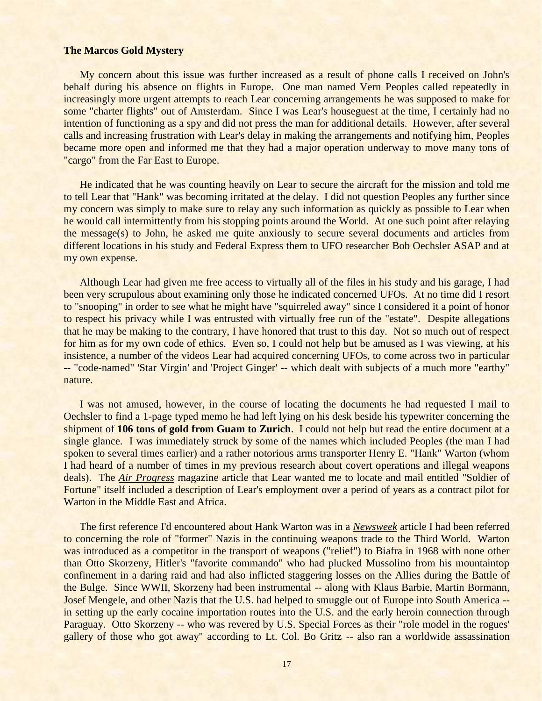#### **The Marcos Gold Mystery**

My concern about this issue was further increased as a result of phone calls I received on John's behalf during his absence on flights in Europe. One man named Vern Peoples called repeatedly in increasingly more urgent attempts to reach Lear concerning arrangements he was supposed to make for some "charter flights" out of Amsterdam. Since I was Lear's houseguest at the time, I certainly had no intention of functioning as a spy and did not press the man for additional details. However, after several calls and increasing frustration with Lear's delay in making the arrangements and notifying him, Peoples became more open and informed me that they had a major operation underway to move many tons of "cargo" from the Far East to Europe.

He indicated that he was counting heavily on Lear to secure the aircraft for the mission and told me to tell Lear that "Hank" was becoming irritated at the delay. I did not question Peoples any further since my concern was simply to make sure to relay any such information as quickly as possible to Lear when he would call intermittently from his stopping points around the World. At one such point after relaying the message(s) to John, he asked me quite anxiously to secure several documents and articles from different locations in his study and Federal Express them to UFO researcher Bob Oechsler ASAP and at my own expense.

Although Lear had given me free access to virtually all of the files in his study and his garage, I had been very scrupulous about examining only those he indicated concerned UFOs. At no time did I resort to "snooping" in order to see what he might have "squirreled away" since I considered it a point of honor to respect his privacy while I was entrusted with virtually free run of the "estate". Despite allegations that he may be making to the contrary, I have honored that trust to this day. Not so much out of respect for him as for my own code of ethics. Even so, I could not help but be amused as I was viewing, at his insistence, a number of the videos Lear had acquired concerning UFOs, to come across two in particular -- "code-named" 'Star Virgin' and 'Project Ginger' -- which dealt with subjects of a much more "earthy" nature.

I was not amused, however, in the course of locating the documents he had requested I mail to Oechsler to find a 1-page typed memo he had left lying on his desk beside his typewriter concerning the shipment of **106 tons of gold from Guam to Zurich**. I could not help but read the entire document at a single glance. I was immediately struck by some of the names which included Peoples (the man I had spoken to several times earlier) and a rather notorious arms transporter Henry E. "Hank" Warton (whom I had heard of a number of times in my previous research about covert operations and illegal weapons deals). The *Air Progress* magazine article that Lear wanted me to locate and mail entitled "Soldier of Fortune" itself included a description of Lear's employment over a period of years as a contract pilot for Warton in the Middle East and Africa.

The first reference I'd encountered about Hank Warton was in a *Newsweek* article I had been referred to concerning the role of "former" Nazis in the continuing weapons trade to the Third World. Warton was introduced as a competitor in the transport of weapons ("relief") to Biafra in 1968 with none other than Otto Skorzeny, Hitler's "favorite commando" who had plucked Mussolino from his mountaintop confinement in a daring raid and had also inflicted staggering losses on the Allies during the Battle of the Bulge. Since WWII, Skorzeny had been instrumental -- along with Klaus Barbie, Martin Bormann, Josef Mengele, and other Nazis that the U.S. had helped to smuggle out of Europe into South America - in setting up the early cocaine importation routes into the U.S. and the early heroin connection through Paraguay. Otto Skorzeny -- who was revered by U.S. Special Forces as their "role model in the rogues' gallery of those who got away" according to Lt. Col. Bo Gritz -- also ran a worldwide assassination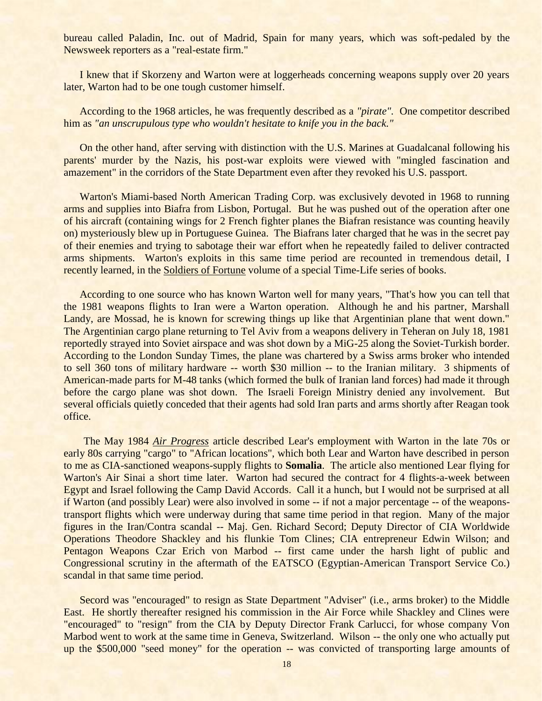bureau called Paladin, Inc. out of Madrid, Spain for many years, which was soft-pedaled by the Newsweek reporters as a "real-estate firm."

I knew that if Skorzeny and Warton were at loggerheads concerning weapons supply over 20 years later, Warton had to be one tough customer himself.

According to the 1968 articles, he was frequently described as a *"pirate".* One competitor described him as *"an unscrupulous type who wouldn't hesitate to knife you in the back."*

On the other hand, after serving with distinction with the U.S. Marines at Guadalcanal following his parents' murder by the Nazis, his post-war exploits were viewed with "mingled fascination and amazement" in the corridors of the State Department even after they revoked his U.S. passport.

Warton's Miami-based North American Trading Corp. was exclusively devoted in 1968 to running arms and supplies into Biafra from Lisbon, Portugal. But he was pushed out of the operation after one of his aircraft (containing wings for 2 French fighter planes the Biafran resistance was counting heavily on) mysteriously blew up in Portuguese Guinea. The Biafrans later charged that he was in the secret pay of their enemies and trying to sabotage their war effort when he repeatedly failed to deliver contracted arms shipments. Warton's exploits in this same time period are recounted in tremendous detail, I recently learned, in the Soldiers of Fortune volume of a special Time-Life series of books.

According to one source who has known Warton well for many years, "That's how you can tell that the 1981 weapons flights to Iran were a Warton operation. Although he and his partner, Marshall Landy, are Mossad, he is known for screwing things up like that Argentinian plane that went down." The Argentinian cargo plane returning to Tel Aviv from a weapons delivery in Teheran on July 18, 1981 reportedly strayed into Soviet airspace and was shot down by a MiG-25 along the Soviet-Turkish border. According to the London Sunday Times, the plane was chartered by a Swiss arms broker who intended to sell 360 tons of military hardware -- worth \$30 million -- to the Iranian military. 3 shipments of American-made parts for M-48 tanks (which formed the bulk of Iranian land forces) had made it through before the cargo plane was shot down. The Israeli Foreign Ministry denied any involvement. But several officials quietly conceded that their agents had sold Iran parts and arms shortly after Reagan took office.

The May 1984 *Air Progress* article described Lear's employment with Warton in the late 70s or early 80s carrying "cargo" to "African locations", which both Lear and Warton have described in person to me as CIA-sanctioned weapons-supply flights to **Somalia**. The article also mentioned Lear flying for Warton's Air Sinai a short time later. Warton had secured the contract for 4 flights-a-week between Egypt and Israel following the Camp David Accords. Call it a hunch, but I would not be surprised at all if Warton (and possibly Lear) were also involved in some -- if not a major percentage -- of the weaponstransport flights which were underway during that same time period in that region. Many of the major figures in the Iran/Contra scandal -- Maj. Gen. Richard Secord; Deputy Director of CIA Worldwide Operations Theodore Shackley and his flunkie Tom Clines; CIA entrepreneur Edwin Wilson; and Pentagon Weapons Czar Erich von Marbod -- first came under the harsh light of public and Congressional scrutiny in the aftermath of the EATSCO (Egyptian-American Transport Service Co.) scandal in that same time period.

Secord was "encouraged" to resign as State Department "Adviser" (i.e., arms broker) to the Middle East. He shortly thereafter resigned his commission in the Air Force while Shackley and Clines were "encouraged" to "resign" from the CIA by Deputy Director Frank Carlucci, for whose company Von Marbod went to work at the same time in Geneva, Switzerland. Wilson -- the only one who actually put up the \$500,000 "seed money" for the operation -- was convicted of transporting large amounts of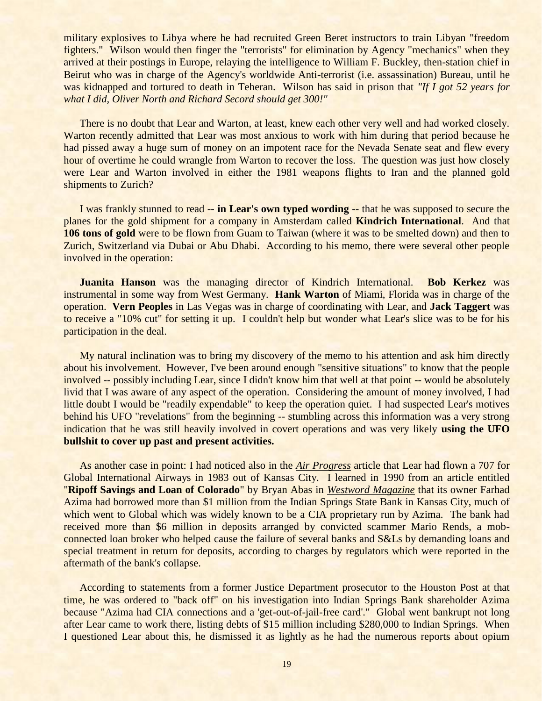military explosives to Libya where he had recruited Green Beret instructors to train Libyan "freedom fighters." Wilson would then finger the "terrorists" for elimination by Agency "mechanics" when they arrived at their postings in Europe, relaying the intelligence to William F. Buckley, then-station chief in Beirut who was in charge of the Agency's worldwide Anti-terrorist (i.e. assassination) Bureau, until he was kidnapped and tortured to death in Teheran. Wilson has said in prison that *"If I got 52 years for what I did, Oliver North and Richard Secord should get 300!"* 

There is no doubt that Lear and Warton, at least, knew each other very well and had worked closely. Warton recently admitted that Lear was most anxious to work with him during that period because he had pissed away a huge sum of money on an impotent race for the Nevada Senate seat and flew every hour of overtime he could wrangle from Warton to recover the loss. The question was just how closely were Lear and Warton involved in either the 1981 weapons flights to Iran and the planned gold shipments to Zurich?

I was frankly stunned to read -- **in Lear's own typed wording** -- that he was supposed to secure the planes for the gold shipment for a company in Amsterdam called **Kindrich International**. And that **106 tons of gold** were to be flown from Guam to Taiwan (where it was to be smelted down) and then to Zurich, Switzerland via Dubai or Abu Dhabi. According to his memo, there were several other people involved in the operation:

**Juanita Hanson** was the managing director of Kindrich International. **Bob Kerkez** was instrumental in some way from West Germany. **Hank Warton** of Miami, Florida was in charge of the operation. **Vern Peoples** in Las Vegas was in charge of coordinating with Lear, and **Jack Taggert** was to receive a "10% cut" for setting it up. I couldn't help but wonder what Lear's slice was to be for his participation in the deal.

My natural inclination was to bring my discovery of the memo to his attention and ask him directly about his involvement. However, I've been around enough "sensitive situations" to know that the people involved -- possibly including Lear, since I didn't know him that well at that point -- would be absolutely livid that I was aware of any aspect of the operation. Considering the amount of money involved, I had little doubt I would be "readily expendable" to keep the operation quiet. I had suspected Lear's motives behind his UFO "revelations" from the beginning -- stumbling across this information was a very strong indication that he was still heavily involved in covert operations and was very likely **using the UFO bullshit to cover up past and present activities.**

As another case in point: I had noticed also in the *Air Progress* article that Lear had flown a 707 for Global International Airways in 1983 out of Kansas City. I learned in 1990 from an article entitled "**Ripoff Savings and Loan of Colorado**" by Bryan Abas in *Westword Magazine* that its owner Farhad Azima had borrowed more than \$1 million from the Indian Springs State Bank in Kansas City, much of which went to Global which was widely known to be a CIA proprietary run by Azima. The bank had received more than \$6 million in deposits arranged by convicted scammer Mario Rends, a mobconnected loan broker who helped cause the failure of several banks and S&Ls by demanding loans and special treatment in return for deposits, according to charges by regulators which were reported in the aftermath of the bank's collapse.

According to statements from a former Justice Department prosecutor to the Houston Post at that time, he was ordered to "back off" on his investigation into Indian Springs Bank shareholder Azima because "Azima had CIA connections and a 'get-out-of-jail-free card'." Global went bankrupt not long after Lear came to work there, listing debts of \$15 million including \$280,000 to Indian Springs. When I questioned Lear about this, he dismissed it as lightly as he had the numerous reports about opium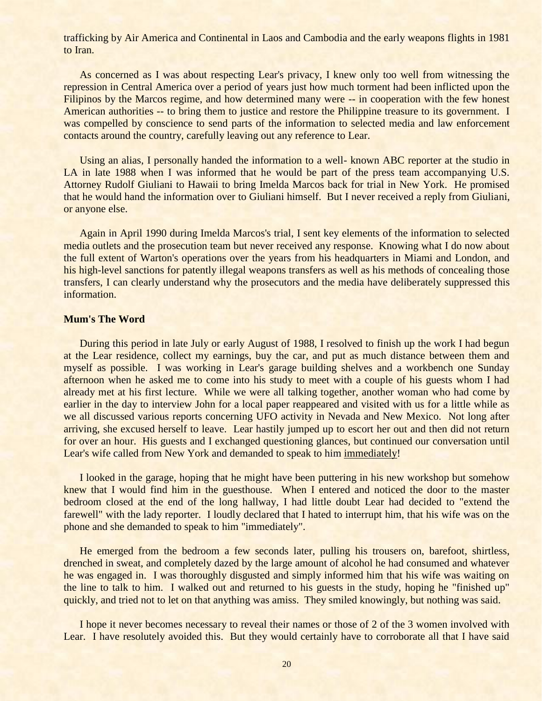trafficking by Air America and Continental in Laos and Cambodia and the early weapons flights in 1981 to Iran.

As concerned as I was about respecting Lear's privacy, I knew only too well from witnessing the repression in Central America over a period of years just how much torment had been inflicted upon the Filipinos by the Marcos regime, and how determined many were -- in cooperation with the few honest American authorities -- to bring them to justice and restore the Philippine treasure to its government. I was compelled by conscience to send parts of the information to selected media and law enforcement contacts around the country, carefully leaving out any reference to Lear.

Using an alias, I personally handed the information to a well- known ABC reporter at the studio in LA in late 1988 when I was informed that he would be part of the press team accompanying U.S. Attorney Rudolf Giuliani to Hawaii to bring Imelda Marcos back for trial in New York. He promised that he would hand the information over to Giuliani himself. But I never received a reply from Giuliani, or anyone else.

Again in April 1990 during Imelda Marcos's trial, I sent key elements of the information to selected media outlets and the prosecution team but never received any response. Knowing what I do now about the full extent of Warton's operations over the years from his headquarters in Miami and London, and his high-level sanctions for patently illegal weapons transfers as well as his methods of concealing those transfers, I can clearly understand why the prosecutors and the media have deliberately suppressed this information.

## **Mum's The Word**

During this period in late July or early August of 1988, I resolved to finish up the work I had begun at the Lear residence, collect my earnings, buy the car, and put as much distance between them and myself as possible. I was working in Lear's garage building shelves and a workbench one Sunday afternoon when he asked me to come into his study to meet with a couple of his guests whom I had already met at his first lecture. While we were all talking together, another woman who had come by earlier in the day to interview John for a local paper reappeared and visited with us for a little while as we all discussed various reports concerning UFO activity in Nevada and New Mexico. Not long after arriving, she excused herself to leave. Lear hastily jumped up to escort her out and then did not return for over an hour. His guests and I exchanged questioning glances, but continued our conversation until Lear's wife called from New York and demanded to speak to him immediately!

I looked in the garage, hoping that he might have been puttering in his new workshop but somehow knew that I would find him in the guesthouse. When I entered and noticed the door to the master bedroom closed at the end of the long hallway, I had little doubt Lear had decided to "extend the farewell" with the lady reporter. I loudly declared that I hated to interrupt him, that his wife was on the phone and she demanded to speak to him "immediately".

He emerged from the bedroom a few seconds later, pulling his trousers on, barefoot, shirtless, drenched in sweat, and completely dazed by the large amount of alcohol he had consumed and whatever he was engaged in. I was thoroughly disgusted and simply informed him that his wife was waiting on the line to talk to him. I walked out and returned to his guests in the study, hoping he "finished up" quickly, and tried not to let on that anything was amiss. They smiled knowingly, but nothing was said.

I hope it never becomes necessary to reveal their names or those of 2 of the 3 women involved with Lear. I have resolutely avoided this. But they would certainly have to corroborate all that I have said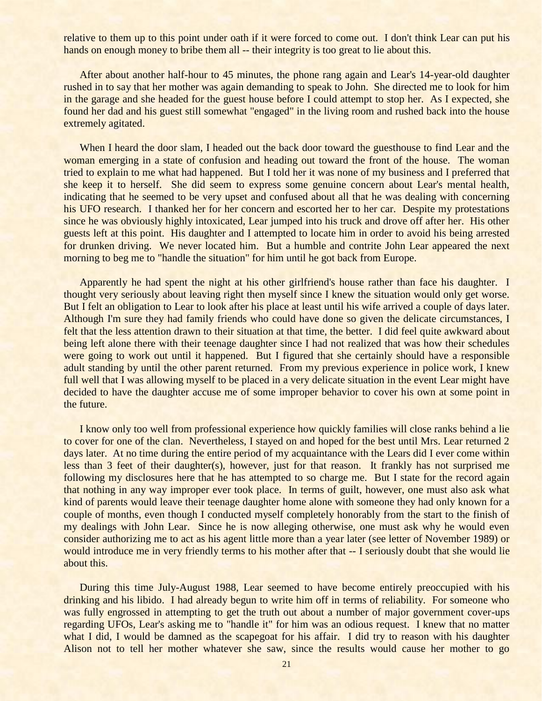relative to them up to this point under oath if it were forced to come out. I don't think Lear can put his hands on enough money to bribe them all -- their integrity is too great to lie about this.

After about another half-hour to 45 minutes, the phone rang again and Lear's 14-year-old daughter rushed in to say that her mother was again demanding to speak to John. She directed me to look for him in the garage and she headed for the guest house before I could attempt to stop her. As I expected, she found her dad and his guest still somewhat "engaged" in the living room and rushed back into the house extremely agitated.

When I heard the door slam, I headed out the back door toward the guesthouse to find Lear and the woman emerging in a state of confusion and heading out toward the front of the house. The woman tried to explain to me what had happened. But I told her it was none of my business and I preferred that she keep it to herself. She did seem to express some genuine concern about Lear's mental health, indicating that he seemed to be very upset and confused about all that he was dealing with concerning his UFO research. I thanked her for her concern and escorted her to her car. Despite my protestations since he was obviously highly intoxicated, Lear jumped into his truck and drove off after her. His other guests left at this point. His daughter and I attempted to locate him in order to avoid his being arrested for drunken driving. We never located him. But a humble and contrite John Lear appeared the next morning to beg me to "handle the situation" for him until he got back from Europe.

Apparently he had spent the night at his other girlfriend's house rather than face his daughter. I thought very seriously about leaving right then myself since I knew the situation would only get worse. But I felt an obligation to Lear to look after his place at least until his wife arrived a couple of days later. Although I'm sure they had family friends who could have done so given the delicate circumstances, I felt that the less attention drawn to their situation at that time, the better. I did feel quite awkward about being left alone there with their teenage daughter since I had not realized that was how their schedules were going to work out until it happened. But I figured that she certainly should have a responsible adult standing by until the other parent returned. From my previous experience in police work, I knew full well that I was allowing myself to be placed in a very delicate situation in the event Lear might have decided to have the daughter accuse me of some improper behavior to cover his own at some point in the future.

I know only too well from professional experience how quickly families will close ranks behind a lie to cover for one of the clan. Nevertheless, I stayed on and hoped for the best until Mrs. Lear returned 2 days later. At no time during the entire period of my acquaintance with the Lears did I ever come within less than 3 feet of their daughter(s), however, just for that reason. It frankly has not surprised me following my disclosures here that he has attempted to so charge me. But I state for the record again that nothing in any way improper ever took place. In terms of guilt, however, one must also ask what kind of parents would leave their teenage daughter home alone with someone they had only known for a couple of months, even though I conducted myself completely honorably from the start to the finish of my dealings with John Lear. Since he is now alleging otherwise, one must ask why he would even consider authorizing me to act as his agent little more than a year later (see letter of November 1989) or would introduce me in very friendly terms to his mother after that -- I seriously doubt that she would lie about this.

During this time July-August 1988, Lear seemed to have become entirely preoccupied with his drinking and his libido. I had already begun to write him off in terms of reliability. For someone who was fully engrossed in attempting to get the truth out about a number of major government cover-ups regarding UFOs, Lear's asking me to "handle it" for him was an odious request. I knew that no matter what I did, I would be damned as the scapegoat for his affair. I did try to reason with his daughter Alison not to tell her mother whatever she saw, since the results would cause her mother to go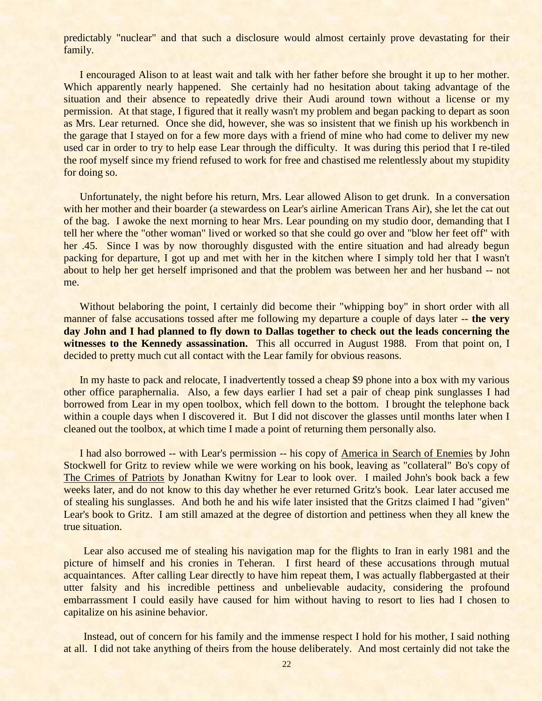predictably "nuclear" and that such a disclosure would almost certainly prove devastating for their family.

I encouraged Alison to at least wait and talk with her father before she brought it up to her mother. Which apparently nearly happened. She certainly had no hesitation about taking advantage of the situation and their absence to repeatedly drive their Audi around town without a license or my permission. At that stage, I figured that it really wasn't my problem and began packing to depart as soon as Mrs. Lear returned. Once she did, however, she was so insistent that we finish up his workbench in the garage that I stayed on for a few more days with a friend of mine who had come to deliver my new used car in order to try to help ease Lear through the difficulty. It was during this period that I re-tiled the roof myself since my friend refused to work for free and chastised me relentlessly about my stupidity for doing so.

Unfortunately, the night before his return, Mrs. Lear allowed Alison to get drunk. In a conversation with her mother and their boarder (a stewardess on Lear's airline American Trans Air), she let the cat out of the bag. I awoke the next morning to hear Mrs. Lear pounding on my studio door, demanding that I tell her where the "other woman" lived or worked so that she could go over and "blow her feet off" with her .45. Since I was by now thoroughly disgusted with the entire situation and had already begun packing for departure, I got up and met with her in the kitchen where I simply told her that I wasn't about to help her get herself imprisoned and that the problem was between her and her husband -- not me.

Without belaboring the point, I certainly did become their "whipping boy" in short order with all manner of false accusations tossed after me following my departure a couple of days later -- **the very day John and I had planned to fly down to Dallas together to check out the leads concerning the witnesses to the Kennedy assassination.** This all occurred in August 1988. From that point on, I decided to pretty much cut all contact with the Lear family for obvious reasons.

In my haste to pack and relocate, I inadvertently tossed a cheap \$9 phone into a box with my various other office paraphernalia. Also, a few days earlier I had set a pair of cheap pink sunglasses I had borrowed from Lear in my open toolbox, which fell down to the bottom. I brought the telephone back within a couple days when I discovered it. But I did not discover the glasses until months later when I cleaned out the toolbox, at which time I made a point of returning them personally also.

I had also borrowed -- with Lear's permission -- his copy of America in Search of Enemies by John Stockwell for Gritz to review while we were working on his book, leaving as "collateral" Bo's copy of The Crimes of Patriots by Jonathan Kwitny for Lear to look over. I mailed John's book back a few weeks later, and do not know to this day whether he ever returned Gritz's book. Lear later accused me of stealing his sunglasses. And both he and his wife later insisted that the Gritzs claimed I had "given" Lear's book to Gritz. I am still amazed at the degree of distortion and pettiness when they all knew the true situation.

Lear also accused me of stealing his navigation map for the flights to Iran in early 1981 and the picture of himself and his cronies in Teheran. I first heard of these accusations through mutual acquaintances. After calling Lear directly to have him repeat them, I was actually flabbergasted at their utter falsity and his incredible pettiness and unbelievable audacity, considering the profound embarrassment I could easily have caused for him without having to resort to lies had I chosen to capitalize on his asinine behavior.

Instead, out of concern for his family and the immense respect I hold for his mother, I said nothing at all. I did not take anything of theirs from the house deliberately. And most certainly did not take the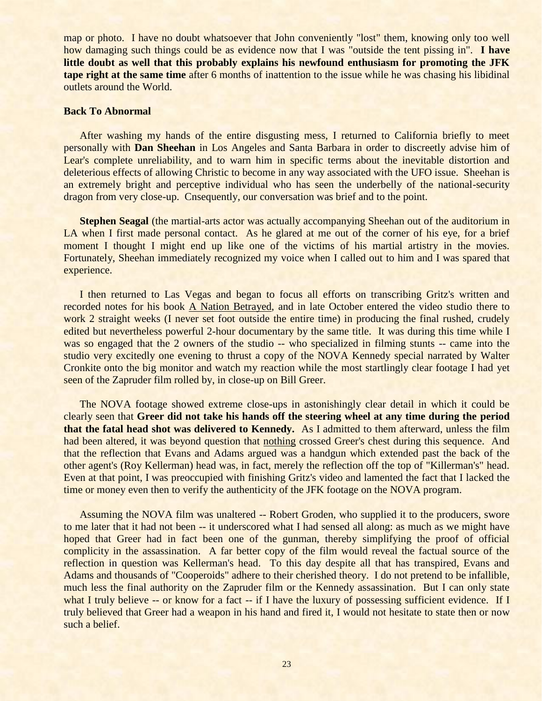map or photo. I have no doubt whatsoever that John conveniently "lost" them, knowing only too well how damaging such things could be as evidence now that I was "outside the tent pissing in". **I have little doubt as well that this probably explains his newfound enthusiasm for promoting the JFK tape right at the same time** after 6 months of inattention to the issue while he was chasing his libidinal outlets around the World.

#### **Back To Abnormal**

After washing my hands of the entire disgusting mess, I returned to California briefly to meet personally with **Dan Sheehan** in Los Angeles and Santa Barbara in order to discreetly advise him of Lear's complete unreliability, and to warn him in specific terms about the inevitable distortion and deleterious effects of allowing Christic to become in any way associated with the UFO issue. Sheehan is an extremely bright and perceptive individual who has seen the underbelly of the national-security dragon from very close-up. Cnsequently, our conversation was brief and to the point.

**Stephen Seagal** (the martial-arts actor was actually accompanying Sheehan out of the auditorium in LA when I first made personal contact. As he glared at me out of the corner of his eye, for a brief moment I thought I might end up like one of the victims of his martial artistry in the movies. Fortunately, Sheehan immediately recognized my voice when I called out to him and I was spared that experience.

I then returned to Las Vegas and began to focus all efforts on transcribing Gritz's written and recorded notes for his book A Nation Betrayed, and in late October entered the video studio there to work 2 straight weeks (I never set foot outside the entire time) in producing the final rushed, crudely edited but nevertheless powerful 2-hour documentary by the same title. It was during this time while I was so engaged that the 2 owners of the studio -- who specialized in filming stunts -- came into the studio very excitedly one evening to thrust a copy of the NOVA Kennedy special narrated by Walter Cronkite onto the big monitor and watch my reaction while the most startlingly clear footage I had yet seen of the Zapruder film rolled by, in close-up on Bill Greer.

The NOVA footage showed extreme close-ups in astonishingly clear detail in which it could be clearly seen that **Greer did not take his hands off the steering wheel at any time during the period that the fatal head shot was delivered to Kennedy.** As I admitted to them afterward, unless the film had been altered, it was beyond question that nothing crossed Greer's chest during this sequence. And that the reflection that Evans and Adams argued was a handgun which extended past the back of the other agent's (Roy Kellerman) head was, in fact, merely the reflection off the top of "Killerman's" head. Even at that point, I was preoccupied with finishing Gritz's video and lamented the fact that I lacked the time or money even then to verify the authenticity of the JFK footage on the NOVA program.

Assuming the NOVA film was unaltered -- Robert Groden, who supplied it to the producers, swore to me later that it had not been -- it underscored what I had sensed all along: as much as we might have hoped that Greer had in fact been one of the gunman, thereby simplifying the proof of official complicity in the assassination. A far better copy of the film would reveal the factual source of the reflection in question was Kellerman's head. To this day despite all that has transpired, Evans and Adams and thousands of "Cooperoids" adhere to their cherished theory. I do not pretend to be infallible, much less the final authority on the Zapruder film or the Kennedy assassination. But I can only state what I truly believe -- or know for a fact -- if I have the luxury of possessing sufficient evidence. If I truly believed that Greer had a weapon in his hand and fired it, I would not hesitate to state then or now such a belief.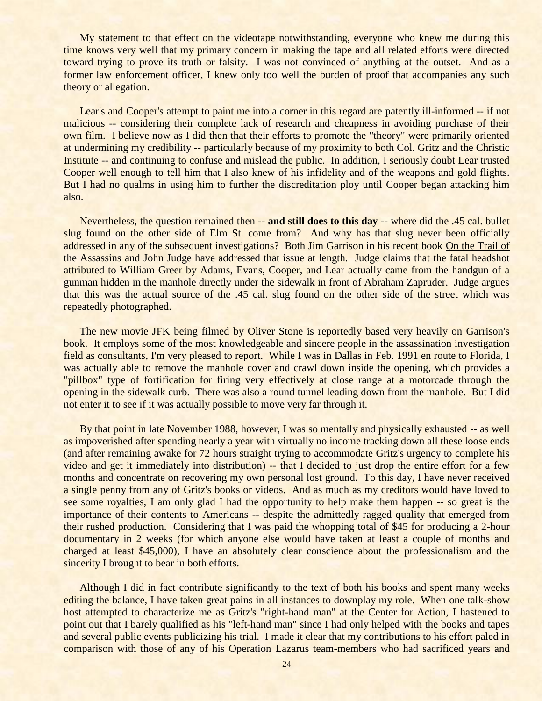My statement to that effect on the videotape notwithstanding, everyone who knew me during this time knows very well that my primary concern in making the tape and all related efforts were directed toward trying to prove its truth or falsity. I was not convinced of anything at the outset. And as a former law enforcement officer, I knew only too well the burden of proof that accompanies any such theory or allegation.

Lear's and Cooper's attempt to paint me into a corner in this regard are patently ill-informed -- if not malicious -- considering their complete lack of research and cheapness in avoiding purchase of their own film. I believe now as I did then that their efforts to promote the "theory" were primarily oriented at undermining my credibility -- particularly because of my proximity to both Col. Gritz and the Christic Institute -- and continuing to confuse and mislead the public. In addition, I seriously doubt Lear trusted Cooper well enough to tell him that I also knew of his infidelity and of the weapons and gold flights. But I had no qualms in using him to further the discreditation ploy until Cooper began attacking him also.

Nevertheless, the question remained then -- **and still does to this day** -- where did the .45 cal. bullet slug found on the other side of Elm St. come from? And why has that slug never been officially addressed in any of the subsequent investigations? Both Jim Garrison in his recent book On the Trail of the Assassins and John Judge have addressed that issue at length. Judge claims that the fatal headshot attributed to William Greer by Adams, Evans, Cooper, and Lear actually came from the handgun of a gunman hidden in the manhole directly under the sidewalk in front of Abraham Zapruder. Judge argues that this was the actual source of the .45 cal. slug found on the other side of the street which was repeatedly photographed.

The new movie JFK being filmed by Oliver Stone is reportedly based very heavily on Garrison's book. It employs some of the most knowledgeable and sincere people in the assassination investigation field as consultants, I'm very pleased to report. While I was in Dallas in Feb. 1991 en route to Florida, I was actually able to remove the manhole cover and crawl down inside the opening, which provides a "pillbox" type of fortification for firing very effectively at close range at a motorcade through the opening in the sidewalk curb. There was also a round tunnel leading down from the manhole. But I did not enter it to see if it was actually possible to move very far through it.

By that point in late November 1988, however, I was so mentally and physically exhausted -- as well as impoverished after spending nearly a year with virtually no income tracking down all these loose ends (and after remaining awake for 72 hours straight trying to accommodate Gritz's urgency to complete his video and get it immediately into distribution) -- that I decided to just drop the entire effort for a few months and concentrate on recovering my own personal lost ground. To this day, I have never received a single penny from any of Gritz's books or videos. And as much as my creditors would have loved to see some royalties, I am only glad I had the opportunity to help make them happen -- so great is the importance of their contents to Americans -- despite the admittedly ragged quality that emerged from their rushed production. Considering that I was paid the whopping total of \$45 for producing a 2-hour documentary in 2 weeks (for which anyone else would have taken at least a couple of months and charged at least \$45,000), I have an absolutely clear conscience about the professionalism and the sincerity I brought to bear in both efforts.

Although I did in fact contribute significantly to the text of both his books and spent many weeks editing the balance, I have taken great pains in all instances to downplay my role. When one talk-show host attempted to characterize me as Gritz's "right-hand man" at the Center for Action, I hastened to point out that I barely qualified as his "left-hand man" since I had only helped with the books and tapes and several public events publicizing his trial. I made it clear that my contributions to his effort paled in comparison with those of any of his Operation Lazarus team-members who had sacrificed years and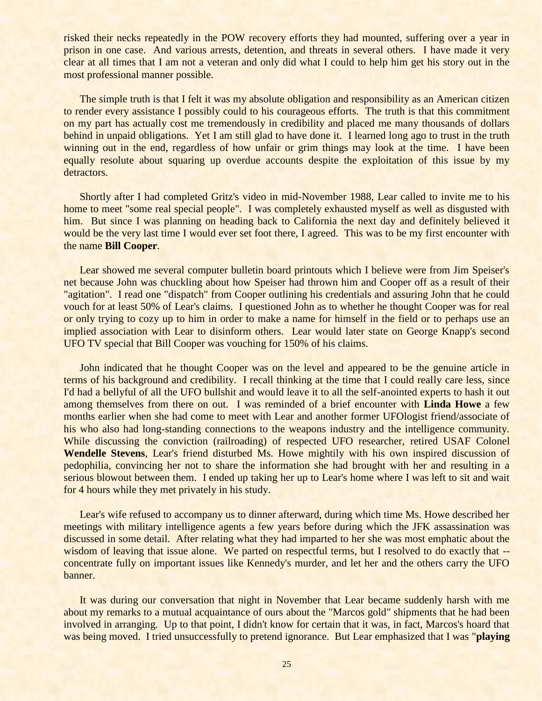risked their necks repeatedly in the POW recovery efforts they had mounted, suffering over a year in prison in one case. And various arrests, detention, and threats in several others. I have made it very clear at all times that I am not a veteran and only did what I could to help him get his story out in the most professional manner possible.

The simple truth is that I felt it was my absolute obligation and responsibility as an American citizen to render every assistance I possibly could to his courageous efforts. The truth is that this commitment on my part has actually cost me tremendously in credibility and placed me many thousands of dollars behind in unpaid obligations. Yet I am still glad to have done it. I learned long ago to trust in the truth winning out in the end, regardless of how unfair or grim things may look at the time. I have been equally resolute about squaring up overdue accounts despite the exploitation of this issue by my detractors.

Shortly after I had completed Gritz's video in mid-November 1988, Lear called to invite me to his home to meet "some real special people". I was completely exhausted myself as well as disgusted with him. But since I was planning on heading back to California the next day and definitely believed it would be the very last time I would ever set foot there, I agreed. This was to be my first encounter with the name **Bill Cooper**.

Lear showed me several computer bulletin board printouts which I believe were from Jim Speiser's net because John was chuckling about how Speiser had thrown him and Cooper off as a result of their "agitation". I read one "dispatch" from Cooper outlining his credentials and assuring John that he could vouch for at least 50% of Lear's claims. I questioned John as to whether he thought Cooper was for real or only trying to cozy up to him in order to make a name for himself in the field or to perhaps use an implied association with Lear to disinform others. Lear would later state on George Knapp's second UFO TV special that Bill Cooper was vouching for 150% of his claims.

John indicated that he thought Cooper was on the level and appeared to be the genuine article in terms of his background and credibility. I recall thinking at the time that I could really care less, since I'd had a bellyful of all the UFO bullshit and would leave it to all the self-anointed experts to hash it out among themselves from there on out. I was reminded of a brief encounter with **Linda Howe** a few months earlier when she had come to meet with Lear and another former UFOlogist friend/associate of his who also had long-standing connections to the weapons industry and the intelligence community. While discussing the conviction (railroading) of respected UFO researcher, retired USAF Colonel **Wendelle Stevens**, Lear's friend disturbed Ms. Howe mightily with his own inspired discussion of pedophilia, convincing her not to share the information she had brought with her and resulting in a serious blowout between them. I ended up taking her up to Lear's home where I was left to sit and wait for 4 hours while they met privately in his study.

Lear's wife refused to accompany us to dinner afterward, during which time Ms. Howe described her meetings with military intelligence agents a few years before during which the JFK assassination was discussed in some detail. After relating what they had imparted to her she was most emphatic about the wisdom of leaving that issue alone. We parted on respectful terms, but I resolved to do exactly that -concentrate fully on important issues like Kennedy's murder, and let her and the others carry the UFO banner.

It was during our conversation that night in November that Lear became suddenly harsh with me about my remarks to a mutual acquaintance of ours about the "Marcos gold" shipments that he had been involved in arranging. Up to that point, I didn't know for certain that it was, in fact, Marcos's hoard that was being moved. I tried unsuccessfully to pretend ignorance. But Lear emphasized that I was "**playing**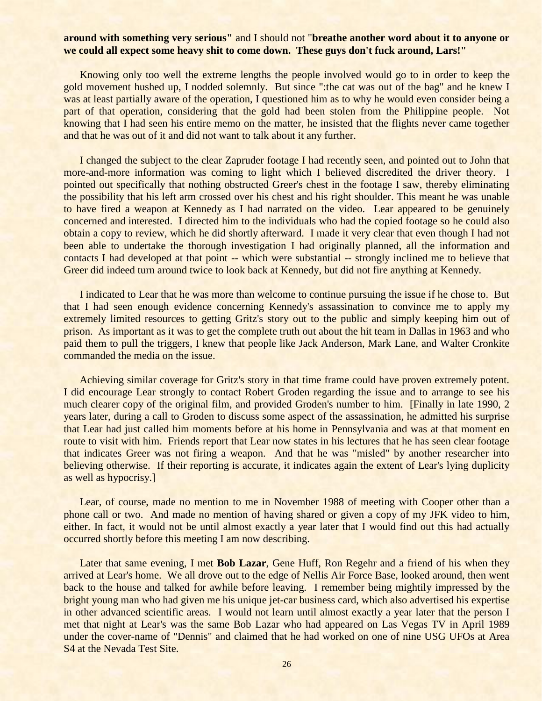# **around with something very serious"** and I should not "**breathe another word about it to anyone or we could all expect some heavy shit to come down. These guys don't fuck around, Lars!"**

Knowing only too well the extreme lengths the people involved would go to in order to keep the gold movement hushed up, I nodded solemnly. But since ":the cat was out of the bag" and he knew I was at least partially aware of the operation, I questioned him as to why he would even consider being a part of that operation, considering that the gold had been stolen from the Philippine people. Not knowing that I had seen his entire memo on the matter, he insisted that the flights never came together and that he was out of it and did not want to talk about it any further.

I changed the subject to the clear Zapruder footage I had recently seen, and pointed out to John that more-and-more information was coming to light which I believed discredited the driver theory. I pointed out specifically that nothing obstructed Greer's chest in the footage I saw, thereby eliminating the possibility that his left arm crossed over his chest and his right shoulder. This meant he was unable to have fired a weapon at Kennedy as I had narrated on the video. Lear appeared to be genuinely concerned and interested. I directed him to the individuals who had the copied footage so he could also obtain a copy to review, which he did shortly afterward. I made it very clear that even though I had not been able to undertake the thorough investigation I had originally planned, all the information and contacts I had developed at that point -- which were substantial -- strongly inclined me to believe that Greer did indeed turn around twice to look back at Kennedy, but did not fire anything at Kennedy.

I indicated to Lear that he was more than welcome to continue pursuing the issue if he chose to. But that I had seen enough evidence concerning Kennedy's assassination to convince me to apply my extremely limited resources to getting Gritz's story out to the public and simply keeping him out of prison. As important as it was to get the complete truth out about the hit team in Dallas in 1963 and who paid them to pull the triggers, I knew that people like Jack Anderson, Mark Lane, and Walter Cronkite commanded the media on the issue.

Achieving similar coverage for Gritz's story in that time frame could have proven extremely potent. I did encourage Lear strongly to contact Robert Groden regarding the issue and to arrange to see his much clearer copy of the original film, and provided Groden's number to him. [Finally in late 1990, 2 years later, during a call to Groden to discuss some aspect of the assassination, he admitted his surprise that Lear had just called him moments before at his home in Pennsylvania and was at that moment en route to visit with him. Friends report that Lear now states in his lectures that he has seen clear footage that indicates Greer was not firing a weapon. And that he was "misled" by another researcher into believing otherwise. If their reporting is accurate, it indicates again the extent of Lear's lying duplicity as well as hypocrisy.]

Lear, of course, made no mention to me in November 1988 of meeting with Cooper other than a phone call or two. And made no mention of having shared or given a copy of my JFK video to him, either. In fact, it would not be until almost exactly a year later that I would find out this had actually occurred shortly before this meeting I am now describing.

Later that same evening, I met **Bob Lazar**, Gene Huff, Ron Regehr and a friend of his when they arrived at Lear's home. We all drove out to the edge of Nellis Air Force Base, looked around, then went back to the house and talked for awhile before leaving. I remember being mightily impressed by the bright young man who had given me his unique jet-car business card, which also advertised his expertise in other advanced scientific areas. I would not learn until almost exactly a year later that the person I met that night at Lear's was the same Bob Lazar who had appeared on Las Vegas TV in April 1989 under the cover-name of "Dennis" and claimed that he had worked on one of nine USG UFOs at Area S4 at the Nevada Test Site.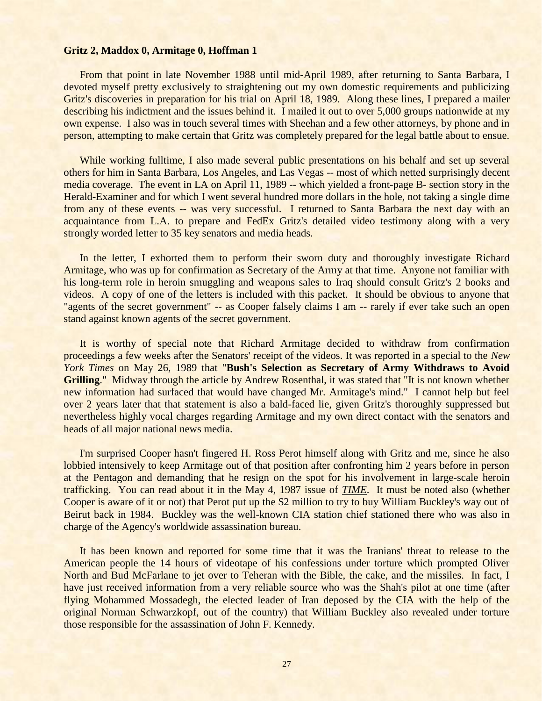#### **Gritz 2, Maddox 0, Armitage 0, Hoffman 1**

From that point in late November 1988 until mid-April 1989, after returning to Santa Barbara, I devoted myself pretty exclusively to straightening out my own domestic requirements and publicizing Gritz's discoveries in preparation for his trial on April 18, 1989. Along these lines, I prepared a mailer describing his indictment and the issues behind it. I mailed it out to over 5,000 groups nationwide at my own expense. I also was in touch several times with Sheehan and a few other attorneys, by phone and in person, attempting to make certain that Gritz was completely prepared for the legal battle about to ensue.

While working fulltime, I also made several public presentations on his behalf and set up several others for him in Santa Barbara, Los Angeles, and Las Vegas -- most of which netted surprisingly decent media coverage. The event in LA on April 11, 1989 -- which yielded a front-page B- section story in the Herald-Examiner and for which I went several hundred more dollars in the hole, not taking a single dime from any of these events -- was very successful. I returned to Santa Barbara the next day with an acquaintance from L.A. to prepare and FedEx Gritz's detailed video testimony along with a very strongly worded letter to 35 key senators and media heads.

In the letter, I exhorted them to perform their sworn duty and thoroughly investigate Richard Armitage, who was up for confirmation as Secretary of the Army at that time. Anyone not familiar with his long-term role in heroin smuggling and weapons sales to Iraq should consult Gritz's 2 books and videos. A copy of one of the letters is included with this packet. It should be obvious to anyone that "agents of the secret government" -- as Cooper falsely claims I am -- rarely if ever take such an open stand against known agents of the secret government.

It is worthy of special note that Richard Armitage decided to withdraw from confirmation proceedings a few weeks after the Senators' receipt of the videos. It was reported in a special to the *New York Times* on May 26, 1989 that "**Bush's Selection as Secretary of Army Withdraws to Avoid Grilling**." Midway through the article by Andrew Rosenthal, it was stated that "It is not known whether new information had surfaced that would have changed Mr. Armitage's mind." I cannot help but feel over 2 years later that that statement is also a bald-faced lie, given Gritz's thoroughly suppressed but nevertheless highly vocal charges regarding Armitage and my own direct contact with the senators and heads of all major national news media.

I'm surprised Cooper hasn't fingered H. Ross Perot himself along with Gritz and me, since he also lobbied intensively to keep Armitage out of that position after confronting him 2 years before in person at the Pentagon and demanding that he resign on the spot for his involvement in large-scale heroin trafficking. You can read about it in the May 4, 1987 issue of *TIME*. It must be noted also (whether Cooper is aware of it or not) that Perot put up the \$2 million to try to buy William Buckley's way out of Beirut back in 1984. Buckley was the well-known CIA station chief stationed there who was also in charge of the Agency's worldwide assassination bureau.

It has been known and reported for some time that it was the Iranians' threat to release to the American people the 14 hours of videotape of his confessions under torture which prompted Oliver North and Bud McFarlane to jet over to Teheran with the Bible, the cake, and the missiles. In fact, I have just received information from a very reliable source who was the Shah's pilot at one time (after flying Mohammed Mossadegh, the elected leader of Iran deposed by the CIA with the help of the original Norman Schwarzkopf, out of the country) that William Buckley also revealed under torture those responsible for the assassination of John F. Kennedy.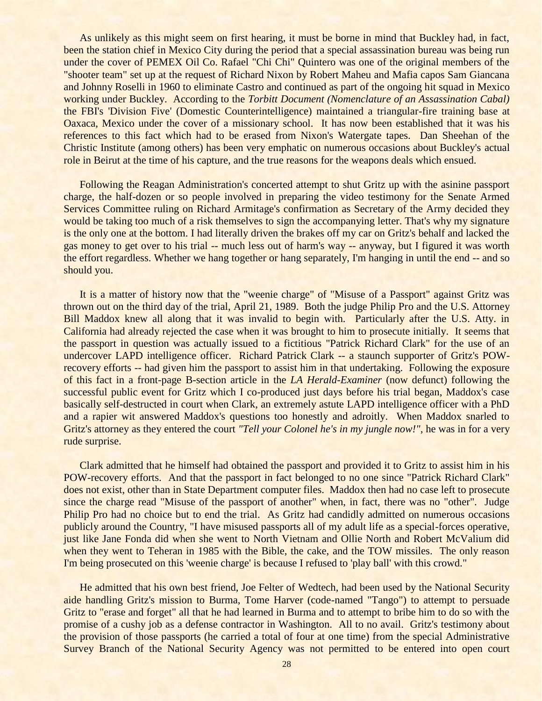As unlikely as this might seem on first hearing, it must be borne in mind that Buckley had, in fact, been the station chief in Mexico City during the period that a special assassination bureau was being run under the cover of PEMEX Oil Co. Rafael "Chi Chi" Quintero was one of the original members of the "shooter team" set up at the request of Richard Nixon by Robert Maheu and Mafia capos Sam Giancana and Johnny Roselli in 1960 to eliminate Castro and continued as part of the ongoing hit squad in Mexico working under Buckley. According to the *Torbitt Document (Nomenclature of an Assassination Cabal)* the FBI's 'Division Five' (Domestic Counterintelligence) maintained a triangular-fire training base at Oaxaca, Mexico under the cover of a missionary school. It has now been established that it was his references to this fact which had to be erased from Nixon's Watergate tapes. Dan Sheehan of the Christic Institute (among others) has been very emphatic on numerous occasions about Buckley's actual role in Beirut at the time of his capture, and the true reasons for the weapons deals which ensued.

Following the Reagan Administration's concerted attempt to shut Gritz up with the asinine passport charge, the half-dozen or so people involved in preparing the video testimony for the Senate Armed Services Committee ruling on Richard Armitage's confirmation as Secretary of the Army decided they would be taking too much of a risk themselves to sign the accompanying letter. That's why my signature is the only one at the bottom. I had literally driven the brakes off my car on Gritz's behalf and lacked the gas money to get over to his trial -- much less out of harm's way -- anyway, but I figured it was worth the effort regardless. Whether we hang together or hang separately, I'm hanging in until the end -- and so should you.

It is a matter of history now that the "weenie charge" of "Misuse of a Passport" against Gritz was thrown out on the third day of the trial, April 21, 1989. Both the judge Philip Pro and the U.S. Attorney Bill Maddox knew all along that it was invalid to begin with. Particularly after the U.S. Atty. in California had already rejected the case when it was brought to him to prosecute initially. It seems that the passport in question was actually issued to a fictitious "Patrick Richard Clark" for the use of an undercover LAPD intelligence officer. Richard Patrick Clark -- a staunch supporter of Gritz's POWrecovery efforts -- had given him the passport to assist him in that undertaking. Following the exposure of this fact in a front-page B-section article in the *LA Herald-Examiner* (now defunct) following the successful public event for Gritz which I co-produced just days before his trial began, Maddox's case basically self-destructed in court when Clark, an extremely astute LAPD intelligence officer with a PhD and a rapier wit answered Maddox's questions too honestly and adroitly. When Maddox snarled to Gritz's attorney as they entered the court *"Tell your Colonel he's in my jungle now!",* he was in for a very rude surprise.

Clark admitted that he himself had obtained the passport and provided it to Gritz to assist him in his POW-recovery efforts. And that the passport in fact belonged to no one since "Patrick Richard Clark" does not exist, other than in State Department computer files. Maddox then had no case left to prosecute since the charge read "Misuse of the passport of another" when, in fact, there was no "other". Judge Philip Pro had no choice but to end the trial. As Gritz had candidly admitted on numerous occasions publicly around the Country, "I have misused passports all of my adult life as a special-forces operative, just like Jane Fonda did when she went to North Vietnam and Ollie North and Robert McValium did when they went to Teheran in 1985 with the Bible, the cake, and the TOW missiles. The only reason I'm being prosecuted on this 'weenie charge' is because I refused to 'play ball' with this crowd."

He admitted that his own best friend, Joe Felter of Wedtech, had been used by the National Security aide handling Gritz's mission to Burma, Tome Harver (code-named "Tango") to attempt to persuade Gritz to "erase and forget" all that he had learned in Burma and to attempt to bribe him to do so with the promise of a cushy job as a defense contractor in Washington. All to no avail. Gritz's testimony about the provision of those passports (he carried a total of four at one time) from the special Administrative Survey Branch of the National Security Agency was not permitted to be entered into open court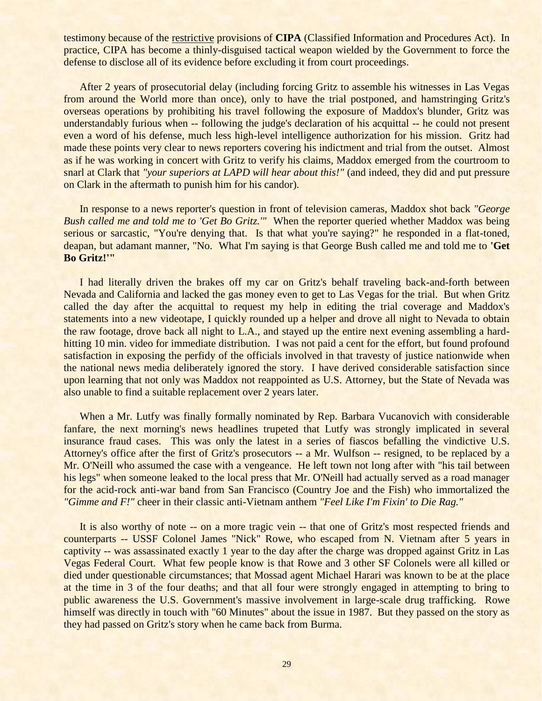testimony because of the restrictive provisions of **CIPA** (Classified Information and Procedures Act). In practice, CIPA has become a thinly-disguised tactical weapon wielded by the Government to force the defense to disclose all of its evidence before excluding it from court proceedings.

After 2 years of prosecutorial delay (including forcing Gritz to assemble his witnesses in Las Vegas from around the World more than once), only to have the trial postponed, and hamstringing Gritz's overseas operations by prohibiting his travel following the exposure of Maddox's blunder, Gritz was understandably furious when -- following the judge's declaration of his acquittal -- he could not present even a word of his defense, much less high-level intelligence authorization for his mission. Gritz had made these points very clear to news reporters covering his indictment and trial from the outset. Almost as if he was working in concert with Gritz to verify his claims, Maddox emerged from the courtroom to snarl at Clark that *"your superiors at LAPD will hear about this!"* (and indeed, they did and put pressure on Clark in the aftermath to punish him for his candor).

In response to a news reporter's question in front of television cameras, Maddox shot back *"George Bush called me and told me to 'Get Bo Gritz.'"* When the reporter queried whether Maddox was being serious or sarcastic, "You're denying that. Is that what you're saying?" he responded in a flat-toned, deapan, but adamant manner, "No. What I'm saying is that George Bush called me and told me to **'Get Bo Gritz!'"**

I had literally driven the brakes off my car on Gritz's behalf traveling back-and-forth between Nevada and California and lacked the gas money even to get to Las Vegas for the trial. But when Gritz called the day after the acquittal to request my help in editing the trial coverage and Maddox's statements into a new videotape, I quickly rounded up a helper and drove all night to Nevada to obtain the raw footage, drove back all night to L.A., and stayed up the entire next evening assembling a hardhitting 10 min. video for immediate distribution. I was not paid a cent for the effort, but found profound satisfaction in exposing the perfidy of the officials involved in that travesty of justice nationwide when the national news media deliberately ignored the story. I have derived considerable satisfaction since upon learning that not only was Maddox not reappointed as U.S. Attorney, but the State of Nevada was also unable to find a suitable replacement over 2 years later.

When a Mr. Lutfy was finally formally nominated by Rep. Barbara Vucanovich with considerable fanfare, the next morning's news headlines trupeted that Lutfy was strongly implicated in several insurance fraud cases. This was only the latest in a series of fiascos befalling the vindictive U.S. Attorney's office after the first of Gritz's prosecutors -- a Mr. Wulfson -- resigned, to be replaced by a Mr. O'Neill who assumed the case with a vengeance. He left town not long after with "his tail between his legs" when someone leaked to the local press that Mr. O'Neill had actually served as a road manager for the acid-rock anti-war band from San Francisco (Country Joe and the Fish) who immortalized the *"Gimme and F!"* cheer in their classic anti-Vietnam anthem *"Feel Like I'm Fixin' to Die Rag."*

It is also worthy of note -- on a more tragic vein -- that one of Gritz's most respected friends and counterparts -- USSF Colonel James "Nick" Rowe, who escaped from N. Vietnam after 5 years in captivity -- was assassinated exactly 1 year to the day after the charge was dropped against Gritz in Las Vegas Federal Court. What few people know is that Rowe and 3 other SF Colonels were all killed or died under questionable circumstances; that Mossad agent Michael Harari was known to be at the place at the time in 3 of the four deaths; and that all four were strongly engaged in attempting to bring to public awareness the U.S. Government's massive involvement in large-scale drug trafficking. Rowe himself was directly in touch with "60 Minutes" about the issue in 1987. But they passed on the story as they had passed on Gritz's story when he came back from Burma.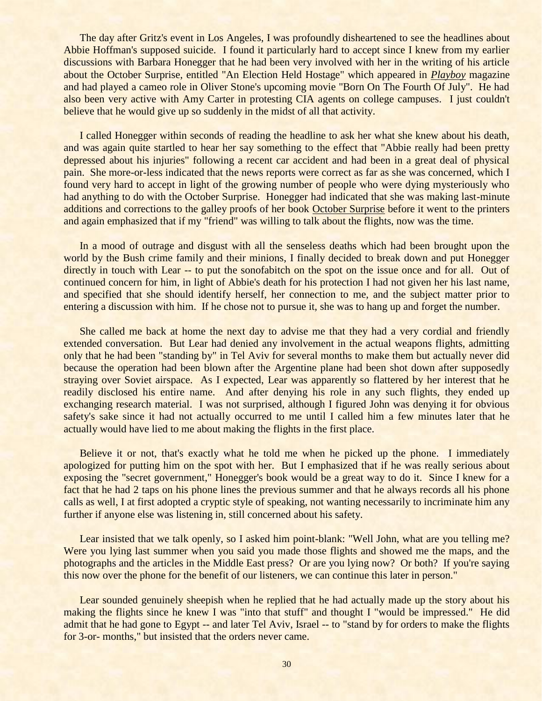The day after Gritz's event in Los Angeles, I was profoundly disheartened to see the headlines about Abbie Hoffman's supposed suicide. I found it particularly hard to accept since I knew from my earlier discussions with Barbara Honegger that he had been very involved with her in the writing of his article about the October Surprise, entitled "An Election Held Hostage" which appeared in *Playboy* magazine and had played a cameo role in Oliver Stone's upcoming movie "Born On The Fourth Of July". He had also been very active with Amy Carter in protesting CIA agents on college campuses. I just couldn't believe that he would give up so suddenly in the midst of all that activity.

I called Honegger within seconds of reading the headline to ask her what she knew about his death, and was again quite startled to hear her say something to the effect that "Abbie really had been pretty depressed about his injuries" following a recent car accident and had been in a great deal of physical pain. She more-or-less indicated that the news reports were correct as far as she was concerned, which I found very hard to accept in light of the growing number of people who were dying mysteriously who had anything to do with the October Surprise. Honegger had indicated that she was making last-minute additions and corrections to the galley proofs of her book October Surprise before it went to the printers and again emphasized that if my "friend" was willing to talk about the flights, now was the time.

In a mood of outrage and disgust with all the senseless deaths which had been brought upon the world by the Bush crime family and their minions, I finally decided to break down and put Honegger directly in touch with Lear -- to put the sonofabitch on the spot on the issue once and for all. Out of continued concern for him, in light of Abbie's death for his protection I had not given her his last name, and specified that she should identify herself, her connection to me, and the subject matter prior to entering a discussion with him. If he chose not to pursue it, she was to hang up and forget the number.

She called me back at home the next day to advise me that they had a very cordial and friendly extended conversation. But Lear had denied any involvement in the actual weapons flights, admitting only that he had been "standing by" in Tel Aviv for several months to make them but actually never did because the operation had been blown after the Argentine plane had been shot down after supposedly straying over Soviet airspace. As I expected, Lear was apparently so flattered by her interest that he readily disclosed his entire name. And after denying his role in any such flights, they ended up exchanging research material. I was not surprised, although I figured John was denying it for obvious safety's sake since it had not actually occurred to me until I called him a few minutes later that he actually would have lied to me about making the flights in the first place.

Believe it or not, that's exactly what he told me when he picked up the phone. I immediately apologized for putting him on the spot with her. But I emphasized that if he was really serious about exposing the "secret government," Honegger's book would be a great way to do it. Since I knew for a fact that he had 2 taps on his phone lines the previous summer and that he always records all his phone calls as well, I at first adopted a cryptic style of speaking, not wanting necessarily to incriminate him any further if anyone else was listening in, still concerned about his safety.

Lear insisted that we talk openly, so I asked him point-blank: "Well John, what are you telling me? Were you lying last summer when you said you made those flights and showed me the maps, and the photographs and the articles in the Middle East press? Or are you lying now? Or both? If you're saying this now over the phone for the benefit of our listeners, we can continue this later in person."

Lear sounded genuinely sheepish when he replied that he had actually made up the story about his making the flights since he knew I was "into that stuff" and thought I "would be impressed." He did admit that he had gone to Egypt -- and later Tel Aviv, Israel -- to "stand by for orders to make the flights for 3-or- months," but insisted that the orders never came.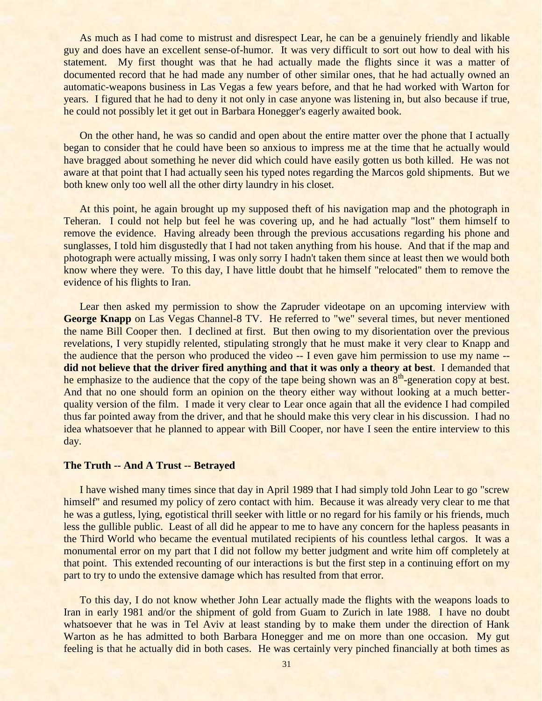As much as I had come to mistrust and disrespect Lear, he can be a genuinely friendly and likable guy and does have an excellent sense-of-humor. It was very difficult to sort out how to deal with his statement. My first thought was that he had actually made the flights since it was a matter of documented record that he had made any number of other similar ones, that he had actually owned an automatic-weapons business in Las Vegas a few years before, and that he had worked with Warton for years. I figured that he had to deny it not only in case anyone was listening in, but also because if true, he could not possibly let it get out in Barbara Honegger's eagerly awaited book.

On the other hand, he was so candid and open about the entire matter over the phone that I actually began to consider that he could have been so anxious to impress me at the time that he actually would have bragged about something he never did which could have easily gotten us both killed. He was not aware at that point that I had actually seen his typed notes regarding the Marcos gold shipments. But we both knew only too well all the other dirty laundry in his closet.

At this point, he again brought up my supposed theft of his navigation map and the photograph in Teheran. I could not help but feel he was covering up, and he had actually "lost" them himself to remove the evidence. Having already been through the previous accusations regarding his phone and sunglasses, I told him disgustedly that I had not taken anything from his house. And that if the map and photograph were actually missing, I was only sorry I hadn't taken them since at least then we would both know where they were. To this day, I have little doubt that he himself "relocated" them to remove the evidence of his flights to Iran.

Lear then asked my permission to show the Zapruder videotape on an upcoming interview with **George Knapp** on Las Vegas Channel-8 TV. He referred to "we" several times, but never mentioned the name Bill Cooper then. I declined at first. But then owing to my disorientation over the previous revelations, I very stupidly relented, stipulating strongly that he must make it very clear to Knapp and the audience that the person who produced the video -- I even gave him permission to use my name - **did not believe that the driver fired anything and that it was only a theory at best**. I demanded that he emphasize to the audience that the copy of the tape being shown was an  $8<sup>th</sup>$ -generation copy at best. And that no one should form an opinion on the theory either way without looking at a much betterquality version of the film. I made it very clear to Lear once again that all the evidence I had compiled thus far pointed away from the driver, and that he should make this very clear in his discussion. I had no idea whatsoever that he planned to appear with Bill Cooper, nor have I seen the entire interview to this day.

#### **The Truth -- And A Trust -- Betrayed**

I have wished many times since that day in April 1989 that I had simply told John Lear to go "screw himself" and resumed my policy of zero contact with him. Because it was already very clear to me that he was a gutless, lying, egotistical thrill seeker with little or no regard for his family or his friends, much less the gullible public. Least of all did he appear to me to have any concern for the hapless peasants in the Third World who became the eventual mutilated recipients of his countless lethal cargos. It was a monumental error on my part that I did not follow my better judgment and write him off completely at that point. This extended recounting of our interactions is but the first step in a continuing effort on my part to try to undo the extensive damage which has resulted from that error.

To this day, I do not know whether John Lear actually made the flights with the weapons loads to Iran in early 1981 and/or the shipment of gold from Guam to Zurich in late 1988. I have no doubt whatsoever that he was in Tel Aviv at least standing by to make them under the direction of Hank Warton as he has admitted to both Barbara Honegger and me on more than one occasion. My gut feeling is that he actually did in both cases. He was certainly very pinched financially at both times as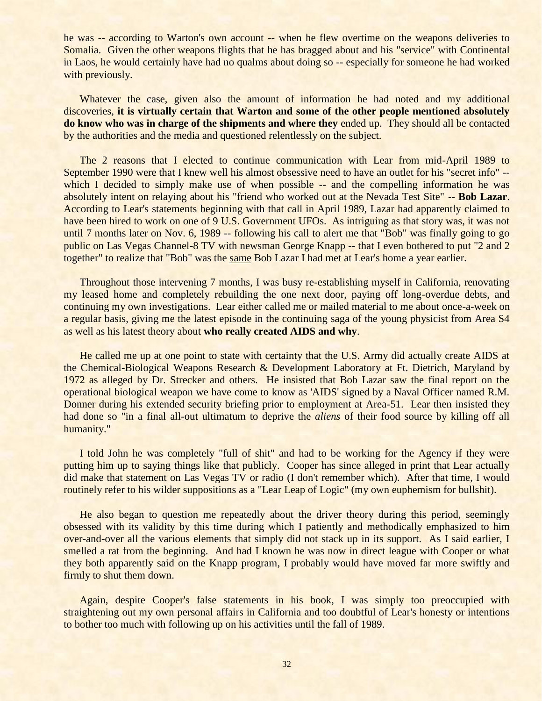he was -- according to Warton's own account -- when he flew overtime on the weapons deliveries to Somalia. Given the other weapons flights that he has bragged about and his "service" with Continental in Laos, he would certainly have had no qualms about doing so -- especially for someone he had worked with previously.

Whatever the case, given also the amount of information he had noted and my additional discoveries, **it is virtually certain that Warton and some of the other people mentioned absolutely do know who was in charge of the shipments and where they** ended up. They should all be contacted by the authorities and the media and questioned relentlessly on the subject.

The 2 reasons that I elected to continue communication with Lear from mid-April 1989 to September 1990 were that I knew well his almost obsessive need to have an outlet for his "secret info" - which I decided to simply make use of when possible -- and the compelling information he was absolutely intent on relaying about his "friend who worked out at the Nevada Test Site" -- **Bob Lazar**. According to Lear's statements beginning with that call in April 1989, Lazar had apparently claimed to have been hired to work on one of 9 U.S. Government UFOs. As intriguing as that story was, it was not until 7 months later on Nov. 6, 1989 -- following his call to alert me that "Bob" was finally going to go public on Las Vegas Channel-8 TV with newsman George Knapp -- that I even bothered to put "2 and 2 together" to realize that "Bob" was the same Bob Lazar I had met at Lear's home a year earlier.

Throughout those intervening 7 months, I was busy re-establishing myself in California, renovating my leased home and completely rebuilding the one next door, paying off long-overdue debts, and continuing my own investigations. Lear either called me or mailed material to me about once-a-week on a regular basis, giving me the latest episode in the continuing saga of the young physicist from Area S4 as well as his latest theory about **who really created AIDS and why**.

He called me up at one point to state with certainty that the U.S. Army did actually create AIDS at the Chemical-Biological Weapons Research & Development Laboratory at Ft. Dietrich, Maryland by 1972 as alleged by Dr. Strecker and others. He insisted that Bob Lazar saw the final report on the operational biological weapon we have come to know as 'AIDS' signed by a Naval Officer named R.M. Donner during his extended security briefing prior to employment at Area-51. Lear then insisted they had done so "in a final all-out ultimatum to deprive the *aliens* of their food source by killing off all humanity."

I told John he was completely "full of shit" and had to be working for the Agency if they were putting him up to saying things like that publicly. Cooper has since alleged in print that Lear actually did make that statement on Las Vegas TV or radio (I don't remember which). After that time, I would routinely refer to his wilder suppositions as a "Lear Leap of Logic" (my own euphemism for bullshit).

He also began to question me repeatedly about the driver theory during this period, seemingly obsessed with its validity by this time during which I patiently and methodically emphasized to him over-and-over all the various elements that simply did not stack up in its support. As I said earlier, I smelled a rat from the beginning. And had I known he was now in direct league with Cooper or what they both apparently said on the Knapp program, I probably would have moved far more swiftly and firmly to shut them down.

Again, despite Cooper's false statements in his book, I was simply too preoccupied with straightening out my own personal affairs in California and too doubtful of Lear's honesty or intentions to bother too much with following up on his activities until the fall of 1989.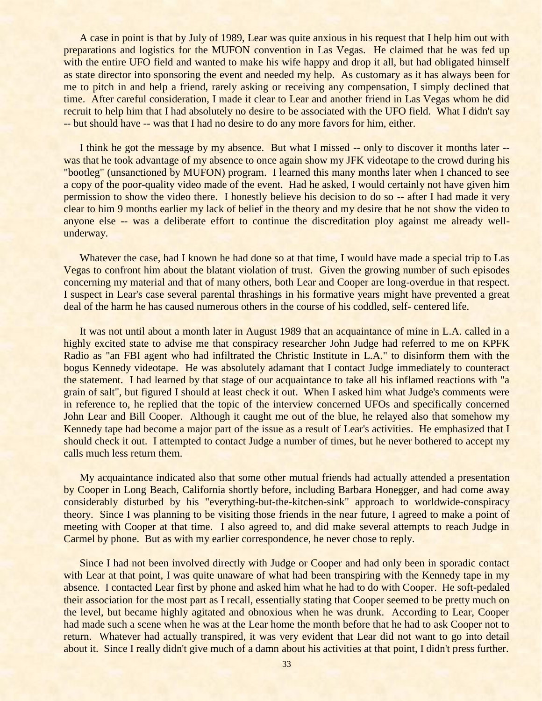A case in point is that by July of 1989, Lear was quite anxious in his request that I help him out with preparations and logistics for the MUFON convention in Las Vegas. He claimed that he was fed up with the entire UFO field and wanted to make his wife happy and drop it all, but had obligated himself as state director into sponsoring the event and needed my help. As customary as it has always been for me to pitch in and help a friend, rarely asking or receiving any compensation, I simply declined that time. After careful consideration, I made it clear to Lear and another friend in Las Vegas whom he did recruit to help him that I had absolutely no desire to be associated with the UFO field. What I didn't say -- but should have -- was that I had no desire to do any more favors for him, either.

I think he got the message by my absence. But what I missed -- only to discover it months later -was that he took advantage of my absence to once again show my JFK videotape to the crowd during his "bootleg" (unsanctioned by MUFON) program. I learned this many months later when I chanced to see a copy of the poor-quality video made of the event. Had he asked, I would certainly not have given him permission to show the video there. I honestly believe his decision to do so -- after I had made it very clear to him 9 months earlier my lack of belief in the theory and my desire that he not show the video to anyone else -- was a deliberate effort to continue the discreditation ploy against me already wellunderway.

Whatever the case, had I known he had done so at that time, I would have made a special trip to Las Vegas to confront him about the blatant violation of trust. Given the growing number of such episodes concerning my material and that of many others, both Lear and Cooper are long-overdue in that respect. I suspect in Lear's case several parental thrashings in his formative years might have prevented a great deal of the harm he has caused numerous others in the course of his coddled, self- centered life.

It was not until about a month later in August 1989 that an acquaintance of mine in L.A. called in a highly excited state to advise me that conspiracy researcher John Judge had referred to me on KPFK Radio as "an FBI agent who had infiltrated the Christic Institute in L.A." to disinform them with the bogus Kennedy videotape. He was absolutely adamant that I contact Judge immediately to counteract the statement. I had learned by that stage of our acquaintance to take all his inflamed reactions with "a grain of salt", but figured I should at least check it out. When I asked him what Judge's comments were in reference to, he replied that the topic of the interview concerned UFOs and specifically concerned John Lear and Bill Cooper. Although it caught me out of the blue, he relayed also that somehow my Kennedy tape had become a major part of the issue as a result of Lear's activities. He emphasized that I should check it out. I attempted to contact Judge a number of times, but he never bothered to accept my calls much less return them.

My acquaintance indicated also that some other mutual friends had actually attended a presentation by Cooper in Long Beach, California shortly before, including Barbara Honegger, and had come away considerably disturbed by his "everything-but-the-kitchen-sink" approach to worldwide-conspiracy theory. Since I was planning to be visiting those friends in the near future, I agreed to make a point of meeting with Cooper at that time. I also agreed to, and did make several attempts to reach Judge in Carmel by phone. But as with my earlier correspondence, he never chose to reply.

Since I had not been involved directly with Judge or Cooper and had only been in sporadic contact with Lear at that point, I was quite unaware of what had been transpiring with the Kennedy tape in my absence. I contacted Lear first by phone and asked him what he had to do with Cooper. He soft-pedaled their association for the most part as I recall, essentially stating that Cooper seemed to be pretty much on the level, but became highly agitated and obnoxious when he was drunk. According to Lear, Cooper had made such a scene when he was at the Lear home the month before that he had to ask Cooper not to return. Whatever had actually transpired, it was very evident that Lear did not want to go into detail about it. Since I really didn't give much of a damn about his activities at that point, I didn't press further.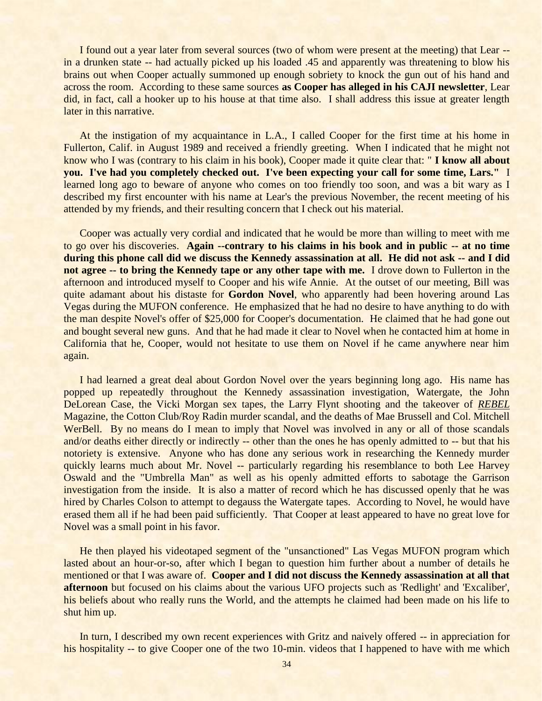I found out a year later from several sources (two of whom were present at the meeting) that Lear - in a drunken state -- had actually picked up his loaded .45 and apparently was threatening to blow his brains out when Cooper actually summoned up enough sobriety to knock the gun out of his hand and across the room. According to these same sources **as Cooper has alleged in his CAJI newsletter**, Lear did, in fact, call a hooker up to his house at that time also. I shall address this issue at greater length later in this narrative.

At the instigation of my acquaintance in L.A., I called Cooper for the first time at his home in Fullerton, Calif. in August 1989 and received a friendly greeting. When I indicated that he might not know who I was (contrary to his claim in his book), Cooper made it quite clear that: " **I know all about you. I've had you completely checked out. I've been expecting your call for some time, Lars."** I learned long ago to beware of anyone who comes on too friendly too soon, and was a bit wary as I described my first encounter with his name at Lear's the previous November, the recent meeting of his attended by my friends, and their resulting concern that I check out his material.

Cooper was actually very cordial and indicated that he would be more than willing to meet with me to go over his discoveries. **Again --contrary to his claims in his book and in public -- at no time during this phone call did we discuss the Kennedy assassination at all. He did not ask -- and I did not agree -- to bring the Kennedy tape or any other tape with me.** I drove down to Fullerton in the afternoon and introduced myself to Cooper and his wife Annie. At the outset of our meeting, Bill was quite adamant about his distaste for **Gordon Novel**, who apparently had been hovering around Las Vegas during the MUFON conference. He emphasized that he had no desire to have anything to do with the man despite Novel's offer of \$25,000 for Cooper's documentation. He claimed that he had gone out and bought several new guns. And that he had made it clear to Novel when he contacted him at home in California that he, Cooper, would not hesitate to use them on Novel if he came anywhere near him again.

I had learned a great deal about Gordon Novel over the years beginning long ago. His name has popped up repeatedly throughout the Kennedy assassination investigation, Watergate, the John DeLorean Case, the Vicki Morgan sex tapes, the Larry Flynt shooting and the takeover of *REBEL* Magazine, the Cotton Club/Roy Radin murder scandal, and the deaths of Mae Brussell and Col. Mitchell WerBell. By no means do I mean to imply that Novel was involved in any or all of those scandals and/or deaths either directly or indirectly -- other than the ones he has openly admitted to -- but that his notoriety is extensive. Anyone who has done any serious work in researching the Kennedy murder quickly learns much about Mr. Novel -- particularly regarding his resemblance to both Lee Harvey Oswald and the "Umbrella Man" as well as his openly admitted efforts to sabotage the Garrison investigation from the inside. It is also a matter of record which he has discussed openly that he was hired by Charles Colson to attempt to degauss the Watergate tapes. According to Novel, he would have erased them all if he had been paid sufficiently. That Cooper at least appeared to have no great love for Novel was a small point in his favor.

He then played his videotaped segment of the "unsanctioned" Las Vegas MUFON program which lasted about an hour-or-so, after which I began to question him further about a number of details he mentioned or that I was aware of. **Cooper and I did not discuss the Kennedy assassination at all that afternoon** but focused on his claims about the various UFO projects such as 'Redlight' and 'Excaliber', his beliefs about who really runs the World, and the attempts he claimed had been made on his life to shut him up.

In turn, I described my own recent experiences with Gritz and naively offered -- in appreciation for his hospitality -- to give Cooper one of the two 10-min. videos that I happened to have with me which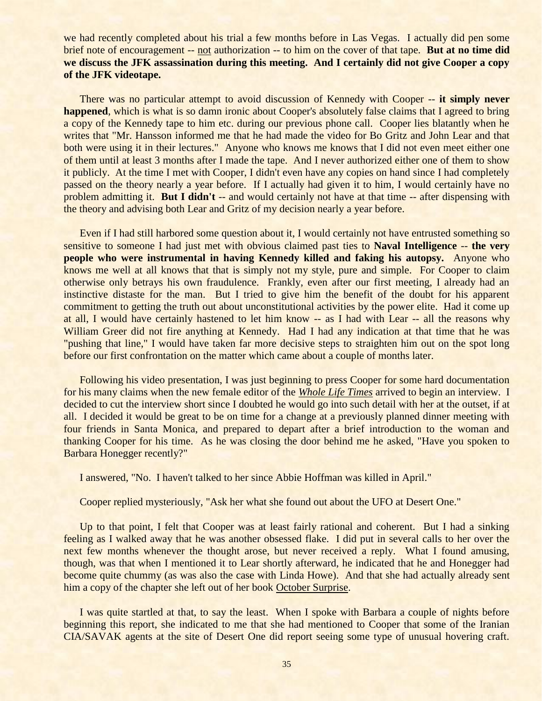we had recently completed about his trial a few months before in Las Vegas. I actually did pen some brief note of encouragement -- not authorization -- to him on the cover of that tape. **But at no time did we discuss the JFK assassination during this meeting. And I certainly did not give Cooper a copy of the JFK videotape.**

There was no particular attempt to avoid discussion of Kennedy with Cooper -- **it simply never happened**, which is what is so damn ironic about Cooper's absolutely false claims that I agreed to bring a copy of the Kennedy tape to him etc. during our previous phone call. Cooper lies blatantly when he writes that "Mr. Hansson informed me that he had made the video for Bo Gritz and John Lear and that both were using it in their lectures." Anyone who knows me knows that I did not even meet either one of them until at least 3 months after I made the tape. And I never authorized either one of them to show it publicly. At the time I met with Cooper, I didn't even have any copies on hand since I had completely passed on the theory nearly a year before. If I actually had given it to him, I would certainly have no problem admitting it. **But I didn't** -- and would certainly not have at that time -- after dispensing with the theory and advising both Lear and Gritz of my decision nearly a year before.

Even if I had still harbored some question about it, I would certainly not have entrusted something so sensitive to someone I had just met with obvious claimed past ties to **Naval Intelligence** -- **the very people who were instrumental in having Kennedy killed and faking his autopsy.** Anyone who knows me well at all knows that that is simply not my style, pure and simple. For Cooper to claim otherwise only betrays his own fraudulence. Frankly, even after our first meeting, I already had an instinctive distaste for the man. But I tried to give him the benefit of the doubt for his apparent commitment to getting the truth out about unconstitutional activities by the power elite. Had it come up at all, I would have certainly hastened to let him know -- as I had with Lear -- all the reasons why William Greer did not fire anything at Kennedy. Had I had any indication at that time that he was "pushing that line," I would have taken far more decisive steps to straighten him out on the spot long before our first confrontation on the matter which came about a couple of months later.

Following his video presentation, I was just beginning to press Cooper for some hard documentation for his many claims when the new female editor of the *Whole Life Times* arrived to begin an interview. I decided to cut the interview short since I doubted he would go into such detail with her at the outset, if at all. I decided it would be great to be on time for a change at a previously planned dinner meeting with four friends in Santa Monica, and prepared to depart after a brief introduction to the woman and thanking Cooper for his time. As he was closing the door behind me he asked, "Have you spoken to Barbara Honegger recently?"

I answered, "No. I haven't talked to her since Abbie Hoffman was killed in April."

Cooper replied mysteriously, "Ask her what she found out about the UFO at Desert One."

Up to that point, I felt that Cooper was at least fairly rational and coherent. But I had a sinking feeling as I walked away that he was another obsessed flake. I did put in several calls to her over the next few months whenever the thought arose, but never received a reply. What I found amusing, though, was that when I mentioned it to Lear shortly afterward, he indicated that he and Honegger had become quite chummy (as was also the case with Linda Howe). And that she had actually already sent him a copy of the chapter she left out of her book October Surprise.

I was quite startled at that, to say the least. When I spoke with Barbara a couple of nights before beginning this report, she indicated to me that she had mentioned to Cooper that some of the Iranian CIA/SAVAK agents at the site of Desert One did report seeing some type of unusual hovering craft.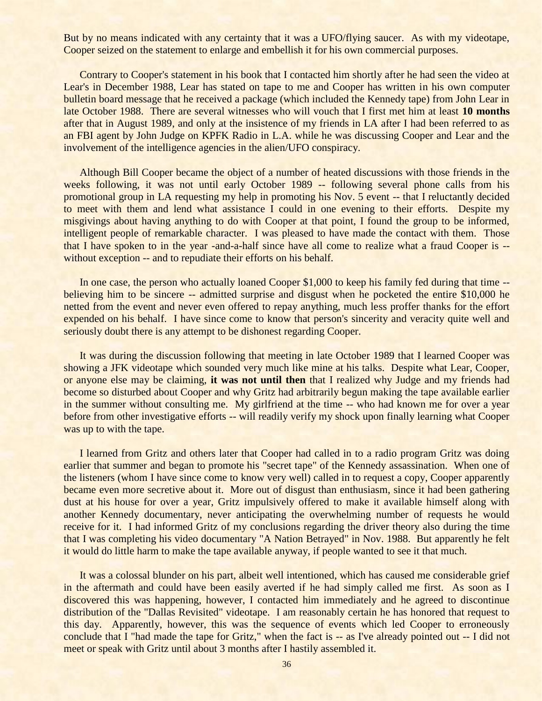But by no means indicated with any certainty that it was a UFO/flying saucer. As with my videotape, Cooper seized on the statement to enlarge and embellish it for his own commercial purposes.

Contrary to Cooper's statement in his book that I contacted him shortly after he had seen the video at Lear's in December 1988, Lear has stated on tape to me and Cooper has written in his own computer bulletin board message that he received a package (which included the Kennedy tape) from John Lear in late October 1988. There are several witnesses who will vouch that I first met him at least **10 months** after that in August 1989, and only at the insistence of my friends in LA after I had been referred to as an FBI agent by John Judge on KPFK Radio in L.A. while he was discussing Cooper and Lear and the involvement of the intelligence agencies in the alien/UFO conspiracy.

Although Bill Cooper became the object of a number of heated discussions with those friends in the weeks following, it was not until early October 1989 -- following several phone calls from his promotional group in LA requesting my help in promoting his Nov. 5 event -- that I reluctantly decided to meet with them and lend what assistance I could in one evening to their efforts. Despite my misgivings about having anything to do with Cooper at that point, I found the group to be informed, intelligent people of remarkable character. I was pleased to have made the contact with them. Those that I have spoken to in the year -and-a-half since have all come to realize what a fraud Cooper is - without exception -- and to repudiate their efforts on his behalf.

In one case, the person who actually loaned Cooper \$1,000 to keep his family fed during that time -believing him to be sincere -- admitted surprise and disgust when he pocketed the entire \$10,000 he netted from the event and never even offered to repay anything, much less proffer thanks for the effort expended on his behalf. I have since come to know that person's sincerity and veracity quite well and seriously doubt there is any attempt to be dishonest regarding Cooper.

It was during the discussion following that meeting in late October 1989 that I learned Cooper was showing a JFK videotape which sounded very much like mine at his talks. Despite what Lear, Cooper, or anyone else may be claiming, **it was not until then** that I realized why Judge and my friends had become so disturbed about Cooper and why Gritz had arbitrarily begun making the tape available earlier in the summer without consulting me. My girlfriend at the time -- who had known me for over a year before from other investigative efforts -- will readily verify my shock upon finally learning what Cooper was up to with the tape.

I learned from Gritz and others later that Cooper had called in to a radio program Gritz was doing earlier that summer and began to promote his "secret tape" of the Kennedy assassination. When one of the listeners (whom I have since come to know very well) called in to request a copy, Cooper apparently became even more secretive about it. More out of disgust than enthusiasm, since it had been gathering dust at his house for over a year, Gritz impulsively offered to make it available himself along with another Kennedy documentary, never anticipating the overwhelming number of requests he would receive for it. I had informed Gritz of my conclusions regarding the driver theory also during the time that I was completing his video documentary "A Nation Betrayed" in Nov. 1988. But apparently he felt it would do little harm to make the tape available anyway, if people wanted to see it that much.

It was a colossal blunder on his part, albeit well intentioned, which has caused me considerable grief in the aftermath and could have been easily averted if he had simply called me first. As soon as I discovered this was happening, however, I contacted him immediately and he agreed to discontinue distribution of the "Dallas Revisited" videotape. I am reasonably certain he has honored that request to this day. Apparently, however, this was the sequence of events which led Cooper to erroneously conclude that I "had made the tape for Gritz," when the fact is -- as I've already pointed out -- I did not meet or speak with Gritz until about 3 months after I hastily assembled it.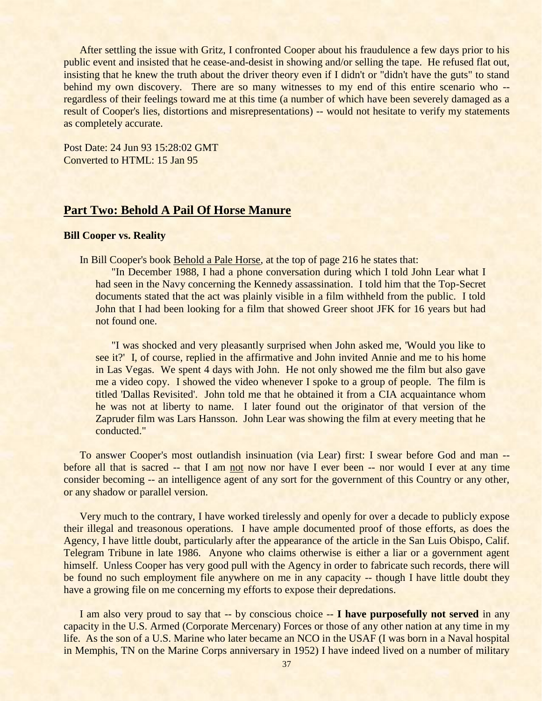After settling the issue with Gritz, I confronted Cooper about his fraudulence a few days prior to his public event and insisted that he cease-and-desist in showing and/or selling the tape. He refused flat out, insisting that he knew the truth about the driver theory even if I didn't or "didn't have the guts" to stand behind my own discovery. There are so many witnesses to my end of this entire scenario who -regardless of their feelings toward me at this time (a number of which have been severely damaged as a result of Cooper's lies, distortions and misrepresentations) -- would not hesitate to verify my statements as completely accurate.

Post Date: 24 Jun 93 15:28:02 GMT Converted to HTML: 15 Jan 95

# **Part Two: Behold A Pail Of Horse Manure**

### **Bill Cooper vs. Reality**

In Bill Cooper's book Behold a Pale Horse, at the top of page 216 he states that:

"In December 1988, I had a phone conversation during which I told John Lear what I had seen in the Navy concerning the Kennedy assassination. I told him that the Top-Secret documents stated that the act was plainly visible in a film withheld from the public. I told John that I had been looking for a film that showed Greer shoot JFK for 16 years but had not found one.

"I was shocked and very pleasantly surprised when John asked me, 'Would you like to see it?' I, of course, replied in the affirmative and John invited Annie and me to his home in Las Vegas. We spent 4 days with John. He not only showed me the film but also gave me a video copy. I showed the video whenever I spoke to a group of people. The film is titled 'Dallas Revisited'. John told me that he obtained it from a CIA acquaintance whom he was not at liberty to name. I later found out the originator of that version of the Zapruder film was Lars Hansson. John Lear was showing the film at every meeting that he conducted."

To answer Cooper's most outlandish insinuation (via Lear) first: I swear before God and man - before all that is sacred -- that I am not now nor have I ever been -- nor would I ever at any time consider becoming -- an intelligence agent of any sort for the government of this Country or any other, or any shadow or parallel version.

Very much to the contrary, I have worked tirelessly and openly for over a decade to publicly expose their illegal and treasonous operations. I have ample documented proof of those efforts, as does the Agency, I have little doubt, particularly after the appearance of the article in the San Luis Obispo, Calif. Telegram Tribune in late 1986. Anyone who claims otherwise is either a liar or a government agent himself. Unless Cooper has very good pull with the Agency in order to fabricate such records, there will be found no such employment file anywhere on me in any capacity -- though I have little doubt they have a growing file on me concerning my efforts to expose their depredations.

I am also very proud to say that -- by conscious choice -- **I have purposefully not served** in any capacity in the U.S. Armed (Corporate Mercenary) Forces or those of any other nation at any time in my life. As the son of a U.S. Marine who later became an NCO in the USAF (I was born in a Naval hospital in Memphis, TN on the Marine Corps anniversary in 1952) I have indeed lived on a number of military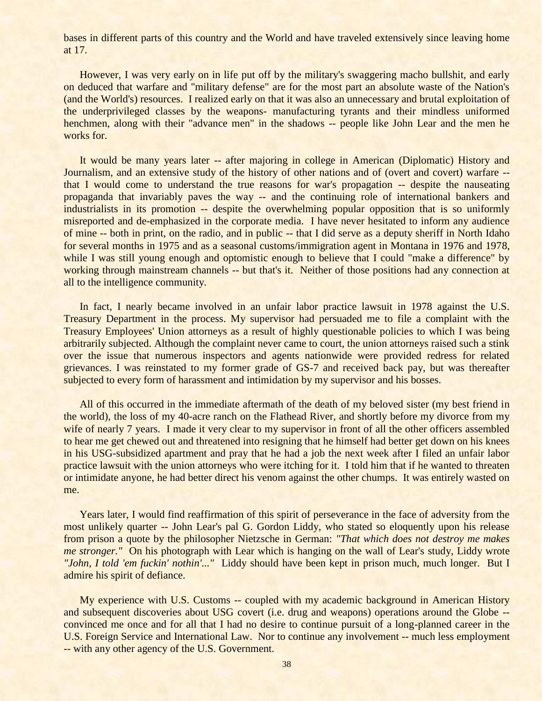bases in different parts of this country and the World and have traveled extensively since leaving home at 17.

However, I was very early on in life put off by the military's swaggering macho bullshit, and early on deduced that warfare and "military defense" are for the most part an absolute waste of the Nation's (and the World's) resources. I realized early on that it was also an unnecessary and brutal exploitation of the underprivileged classes by the weapons- manufacturing tyrants and their mindless uniformed henchmen, along with their "advance men" in the shadows -- people like John Lear and the men he works for.

It would be many years later -- after majoring in college in American (Diplomatic) History and Journalism, and an extensive study of the history of other nations and of (overt and covert) warfare - that I would come to understand the true reasons for war's propagation -- despite the nauseating propaganda that invariably paves the way -- and the continuing role of international bankers and industrialists in its promotion -- despite the overwhelming popular opposition that is so uniformly misreported and de-emphasized in the corporate media. I have never hesitated to inform any audience of mine -- both in print, on the radio, and in public -- that I did serve as a deputy sheriff in North Idaho for several months in 1975 and as a seasonal customs/immigration agent in Montana in 1976 and 1978, while I was still young enough and optomistic enough to believe that I could "make a difference" by working through mainstream channels -- but that's it. Neither of those positions had any connection at all to the intelligence community.

In fact, I nearly became involved in an unfair labor practice lawsuit in 1978 against the U.S. Treasury Department in the process. My supervisor had persuaded me to file a complaint with the Treasury Employees' Union attorneys as a result of highly questionable policies to which I was being arbitrarily subjected. Although the complaint never came to court, the union attorneys raised such a stink over the issue that numerous inspectors and agents nationwide were provided redress for related grievances. I was reinstated to my former grade of GS-7 and received back pay, but was thereafter subjected to every form of harassment and intimidation by my supervisor and his bosses.

All of this occurred in the immediate aftermath of the death of my beloved sister (my best friend in the world), the loss of my 40-acre ranch on the Flathead River, and shortly before my divorce from my wife of nearly 7 years. I made it very clear to my supervisor in front of all the other officers assembled to hear me get chewed out and threatened into resigning that he himself had better get down on his knees in his USG-subsidized apartment and pray that he had a job the next week after I filed an unfair labor practice lawsuit with the union attorneys who were itching for it. I told him that if he wanted to threaten or intimidate anyone, he had better direct his venom against the other chumps. It was entirely wasted on me.

Years later, I would find reaffirmation of this spirit of perseverance in the face of adversity from the most unlikely quarter -- John Lear's pal G. Gordon Liddy, who stated so eloquently upon his release from prison a quote by the philosopher Nietzsche in German: *"That which does not destroy me makes me stronger."* On his photograph with Lear which is hanging on the wall of Lear's study, Liddy wrote *"John, I told 'em fuckin' nothin'..."* Liddy should have been kept in prison much, much longer. But I admire his spirit of defiance.

My experience with U.S. Customs -- coupled with my academic background in American History and subsequent discoveries about USG covert (i.e. drug and weapons) operations around the Globe - convinced me once and for all that I had no desire to continue pursuit of a long-planned career in the U.S. Foreign Service and International Law. Nor to continue any involvement -- much less employment -- with any other agency of the U.S. Government.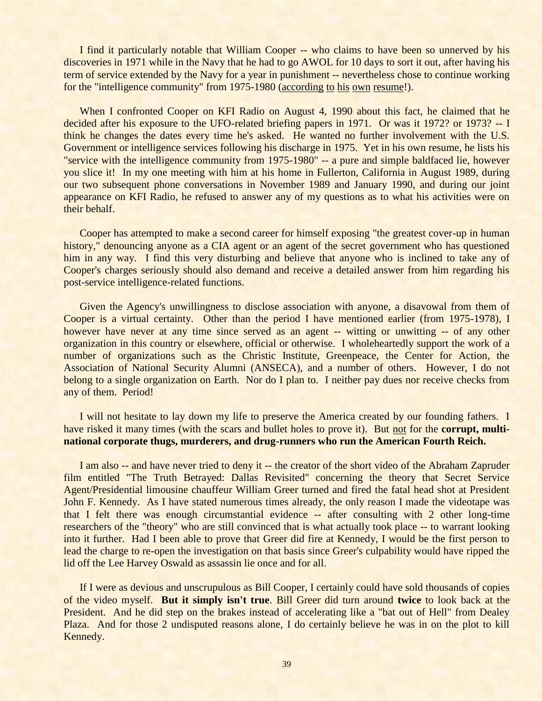I find it particularly notable that William Cooper -- who claims to have been so unnerved by his discoveries in 1971 while in the Navy that he had to go AWOL for 10 days to sort it out, after having his term of service extended by the Navy for a year in punishment -- nevertheless chose to continue working for the "intelligence community" from 1975-1980 (according to his own resume!).

When I confronted Cooper on KFI Radio on August 4, 1990 about this fact, he claimed that he decided after his exposure to the UFO-related briefing papers in 1971. Or was it 1972? or 1973? -- I think he changes the dates every time he's asked. He wanted no further involvement with the U.S. Government or intelligence services following his discharge in 1975. Yet in his own resume, he lists his "service with the intelligence community from 1975-1980" -- a pure and simple baldfaced lie, however you slice it! In my one meeting with him at his home in Fullerton, California in August 1989, during our two subsequent phone conversations in November 1989 and January 1990, and during our joint appearance on KFI Radio, he refused to answer any of my questions as to what his activities were on their behalf.

Cooper has attempted to make a second career for himself exposing "the greatest cover-up in human history," denouncing anyone as a CIA agent or an agent of the secret government who has questioned him in any way. I find this very disturbing and believe that anyone who is inclined to take any of Cooper's charges seriously should also demand and receive a detailed answer from him regarding his post-service intelligence-related functions.

Given the Agency's unwillingness to disclose association with anyone, a disavowal from them of Cooper is a virtual certainty. Other than the period I have mentioned earlier (from 1975-1978), I however have never at any time since served as an agent -- witting or unwitting -- of any other organization in this country or elsewhere, official or otherwise. I wholeheartedly support the work of a number of organizations such as the Christic Institute, Greenpeace, the Center for Action, the Association of National Security Alumni (ANSECA), and a number of others. However, I do not belong to a single organization on Earth. Nor do I plan to. I neither pay dues nor receive checks from any of them. Period!

I will not hesitate to lay down my life to preserve the America created by our founding fathers. I have risked it many times (with the scars and bullet holes to prove it). But not for the **corrupt, multinational corporate thugs, murderers, and drug-runners who run the American Fourth Reich.**

I am also -- and have never tried to deny it -- the creator of the short video of the Abraham Zapruder film entitled "The Truth Betrayed: Dallas Revisited" concerning the theory that Secret Service Agent/Presidential limousine chauffeur William Greer turned and fired the fatal head shot at President John F. Kennedy. As I have stated numerous times already, the only reason I made the videotape was that I felt there was enough circumstantial evidence -- after consulting with 2 other long-time researchers of the "theory" who are still convinced that is what actually took place -- to warrant looking into it further. Had I been able to prove that Greer did fire at Kennedy, I would be the first person to lead the charge to re-open the investigation on that basis since Greer's culpability would have ripped the lid off the Lee Harvey Oswald as assassin lie once and for all.

If I were as devious and unscrupulous as Bill Cooper, I certainly could have sold thousands of copies of the video myself. **But it simply isn't true**. Bill Greer did turn around **twice** to look back at the President. And he did step on the brakes instead of accelerating like a "bat out of Hell" from Dealey Plaza. And for those 2 undisputed reasons alone, I do certainly believe he was in on the plot to kill Kennedy.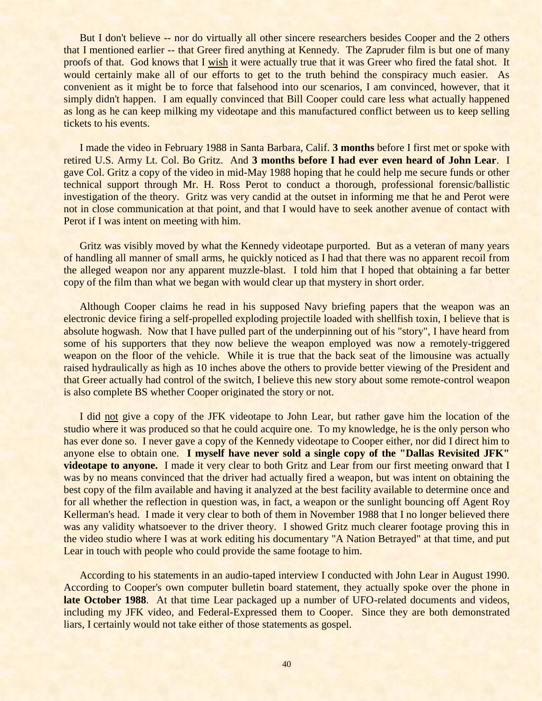But I don't believe -- nor do virtually all other sincere researchers besides Cooper and the 2 others that I mentioned earlier -- that Greer fired anything at Kennedy. The Zapruder film is but one of many proofs of that. God knows that I wish it were actually true that it was Greer who fired the fatal shot. It would certainly make all of our efforts to get to the truth behind the conspiracy much easier. As convenient as it might be to force that falsehood into our scenarios, I am convinced, however, that it simply didn't happen. I am equally convinced that Bill Cooper could care less what actually happened as long as he can keep milking my videotape and this manufactured conflict between us to keep selling tickets to his events.

I made the video in February 1988 in Santa Barbara, Calif. **3 months** before I first met or spoke with retired U.S. Army Lt. Col. Bo Gritz. And **3 months before I had ever even heard of John Lear**. I gave Col. Gritz a copy of the video in mid-May 1988 hoping that he could help me secure funds or other technical support through Mr. H. Ross Perot to conduct a thorough, professional forensic/ballistic investigation of the theory. Gritz was very candid at the outset in informing me that he and Perot were not in close communication at that point, and that I would have to seek another avenue of contact with Perot if I was intent on meeting with him.

Gritz was visibly moved by what the Kennedy videotape purported. But as a veteran of many years of handling all manner of small arms, he quickly noticed as I had that there was no apparent recoil from the alleged weapon nor any apparent muzzle-blast. I told him that I hoped that obtaining a far better copy of the film than what we began with would clear up that mystery in short order.

Although Cooper claims he read in his supposed Navy briefing papers that the weapon was an electronic device firing a self-propelled exploding projectile loaded with shellfish toxin, I believe that is absolute hogwash. Now that I have pulled part of the underpinning out of his "story", I have heard from some of his supporters that they now believe the weapon employed was now a remotely-triggered weapon on the floor of the vehicle. While it is true that the back seat of the limousine was actually raised hydraulically as high as 10 inches above the others to provide better viewing of the President and that Greer actually had control of the switch, I believe this new story about some remote-control weapon is also complete BS whether Cooper originated the story or not.

I did not give a copy of the JFK videotape to John Lear, but rather gave him the location of the studio where it was produced so that he could acquire one. To my knowledge, he is the only person who has ever done so. I never gave a copy of the Kennedy videotape to Cooper either, nor did I direct him to anyone else to obtain one. **I myself have never sold a single copy of the "Dallas Revisited JFK" videotape to anyone.** I made it very clear to both Gritz and Lear from our first meeting onward that I was by no means convinced that the driver had actually fired a weapon, but was intent on obtaining the best copy of the film available and having it analyzed at the best facility available to determine once and for all whether the reflection in question was, in fact, a weapon or the sunlight bouncing off Agent Roy Kellerman's head. I made it very clear to both of them in November 1988 that I no longer believed there was any validity whatsoever to the driver theory. I showed Gritz much clearer footage proving this in the video studio where I was at work editing his documentary "A Nation Betrayed" at that time, and put Lear in touch with people who could provide the same footage to him.

According to his statements in an audio-taped interview I conducted with John Lear in August 1990. According to Cooper's own computer bulletin board statement, they actually spoke over the phone in **late October 1988**. At that time Lear packaged up a number of UFO-related documents and videos, including my JFK video, and Federal-Expressed them to Cooper. Since they are both demonstrated liars, I certainly would not take either of those statements as gospel.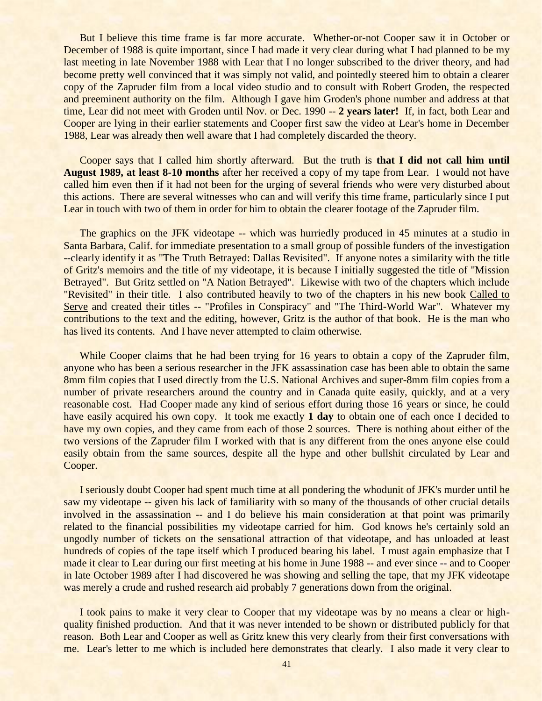But I believe this time frame is far more accurate. Whether-or-not Cooper saw it in October or December of 1988 is quite important, since I had made it very clear during what I had planned to be my last meeting in late November 1988 with Lear that I no longer subscribed to the driver theory, and had become pretty well convinced that it was simply not valid, and pointedly steered him to obtain a clearer copy of the Zapruder film from a local video studio and to consult with Robert Groden, the respected and preeminent authority on the film. Although I gave him Groden's phone number and address at that time, Lear did not meet with Groden until Nov. or Dec. 1990 -- **2 years later!** If, in fact, both Lear and Cooper are lying in their earlier statements and Cooper first saw the video at Lear's home in December 1988, Lear was already then well aware that I had completely discarded the theory.

Cooper says that I called him shortly afterward. But the truth is **that I did not call him until August 1989, at least 8-10 months** after her received a copy of my tape from Lear. I would not have called him even then if it had not been for the urging of several friends who were very disturbed about this actions. There are several witnesses who can and will verify this time frame, particularly since I put Lear in touch with two of them in order for him to obtain the clearer footage of the Zapruder film.

The graphics on the JFK videotape -- which was hurriedly produced in 45 minutes at a studio in Santa Barbara, Calif. for immediate presentation to a small group of possible funders of the investigation --clearly identify it as "The Truth Betrayed: Dallas Revisited". If anyone notes a similarity with the title of Gritz's memoirs and the title of my videotape, it is because I initially suggested the title of "Mission Betrayed". But Gritz settled on "A Nation Betrayed". Likewise with two of the chapters which include "Revisited" in their title. I also contributed heavily to two of the chapters in his new book Called to Serve and created their titles -- "Profiles in Conspiracy" and "The Third-World War". Whatever my contributions to the text and the editing, however, Gritz is the author of that book. He is the man who has lived its contents. And I have never attempted to claim otherwise.

While Cooper claims that he had been trying for 16 years to obtain a copy of the Zapruder film, anyone who has been a serious researcher in the JFK assassination case has been able to obtain the same 8mm film copies that I used directly from the U.S. National Archives and super-8mm film copies from a number of private researchers around the country and in Canada quite easily, quickly, and at a very reasonable cost. Had Cooper made any kind of serious effort during those 16 years or since, he could have easily acquired his own copy. It took me exactly **1 day** to obtain one of each once I decided to have my own copies, and they came from each of those 2 sources. There is nothing about either of the two versions of the Zapruder film I worked with that is any different from the ones anyone else could easily obtain from the same sources, despite all the hype and other bullshit circulated by Lear and Cooper.

I seriously doubt Cooper had spent much time at all pondering the whodunit of JFK's murder until he saw my videotape -- given his lack of familiarity with so many of the thousands of other crucial details involved in the assassination -- and I do believe his main consideration at that point was primarily related to the financial possibilities my videotape carried for him. God knows he's certainly sold an ungodly number of tickets on the sensational attraction of that videotape, and has unloaded at least hundreds of copies of the tape itself which I produced bearing his label. I must again emphasize that I made it clear to Lear during our first meeting at his home in June 1988 -- and ever since -- and to Cooper in late October 1989 after I had discovered he was showing and selling the tape, that my JFK videotape was merely a crude and rushed research aid probably 7 generations down from the original.

I took pains to make it very clear to Cooper that my videotape was by no means a clear or highquality finished production. And that it was never intended to be shown or distributed publicly for that reason. Both Lear and Cooper as well as Gritz knew this very clearly from their first conversations with me. Lear's letter to me which is included here demonstrates that clearly. I also made it very clear to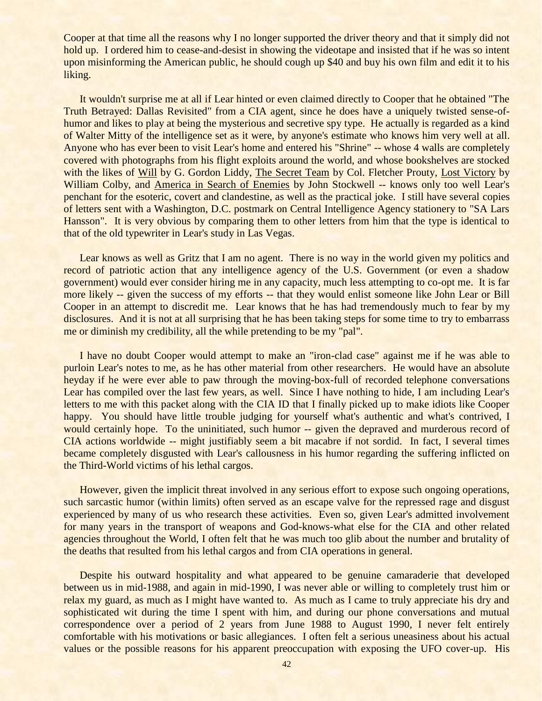Cooper at that time all the reasons why I no longer supported the driver theory and that it simply did not hold up. I ordered him to cease-and-desist in showing the videotape and insisted that if he was so intent upon misinforming the American public, he should cough up \$40 and buy his own film and edit it to his liking.

It wouldn't surprise me at all if Lear hinted or even claimed directly to Cooper that he obtained "The Truth Betrayed: Dallas Revisited" from a CIA agent, since he does have a uniquely twisted sense-ofhumor and likes to play at being the mysterious and secretive spy type. He actually is regarded as a kind of Walter Mitty of the intelligence set as it were, by anyone's estimate who knows him very well at all. Anyone who has ever been to visit Lear's home and entered his "Shrine" -- whose 4 walls are completely covered with photographs from his flight exploits around the world, and whose bookshelves are stocked with the likes of Will by G. Gordon Liddy, The Secret Team by Col. Fletcher Prouty, Lost Victory by William Colby, and America in Search of Enemies by John Stockwell -- knows only too well Lear's penchant for the esoteric, covert and clandestine, as well as the practical joke. I still have several copies of letters sent with a Washington, D.C. postmark on Central Intelligence Agency stationery to "SA Lars Hansson". It is very obvious by comparing them to other letters from him that the type is identical to that of the old typewriter in Lear's study in Las Vegas.

Lear knows as well as Gritz that I am no agent. There is no way in the world given my politics and record of patriotic action that any intelligence agency of the U.S. Government (or even a shadow government) would ever consider hiring me in any capacity, much less attempting to co-opt me. It is far more likely -- given the success of my efforts -- that they would enlist someone like John Lear or Bill Cooper in an attempt to discredit me. Lear knows that he has had tremendously much to fear by my disclosures. And it is not at all surprising that he has been taking steps for some time to try to embarrass me or diminish my credibility, all the while pretending to be my "pal".

I have no doubt Cooper would attempt to make an "iron-clad case" against me if he was able to purloin Lear's notes to me, as he has other material from other researchers. He would have an absolute heyday if he were ever able to paw through the moving-box-full of recorded telephone conversations Lear has compiled over the last few years, as well. Since I have nothing to hide, I am including Lear's letters to me with this packet along with the CIA ID that I finally picked up to make idiots like Cooper happy. You should have little trouble judging for yourself what's authentic and what's contrived, I would certainly hope. To the uninitiated, such humor -- given the depraved and murderous record of CIA actions worldwide -- might justifiably seem a bit macabre if not sordid. In fact, I several times became completely disgusted with Lear's callousness in his humor regarding the suffering inflicted on the Third-World victims of his lethal cargos.

However, given the implicit threat involved in any serious effort to expose such ongoing operations, such sarcastic humor (within limits) often served as an escape valve for the repressed rage and disgust experienced by many of us who research these activities. Even so, given Lear's admitted involvement for many years in the transport of weapons and God-knows-what else for the CIA and other related agencies throughout the World, I often felt that he was much too glib about the number and brutality of the deaths that resulted from his lethal cargos and from CIA operations in general.

Despite his outward hospitality and what appeared to be genuine camaraderie that developed between us in mid-1988, and again in mid-1990, I was never able or willing to completely trust him or relax my guard, as much as I might have wanted to. As much as I came to truly appreciate his dry and sophisticated wit during the time I spent with him, and during our phone conversations and mutual correspondence over a period of 2 years from June 1988 to August 1990, I never felt entirely comfortable with his motivations or basic allegiances. I often felt a serious uneasiness about his actual values or the possible reasons for his apparent preoccupation with exposing the UFO cover-up. His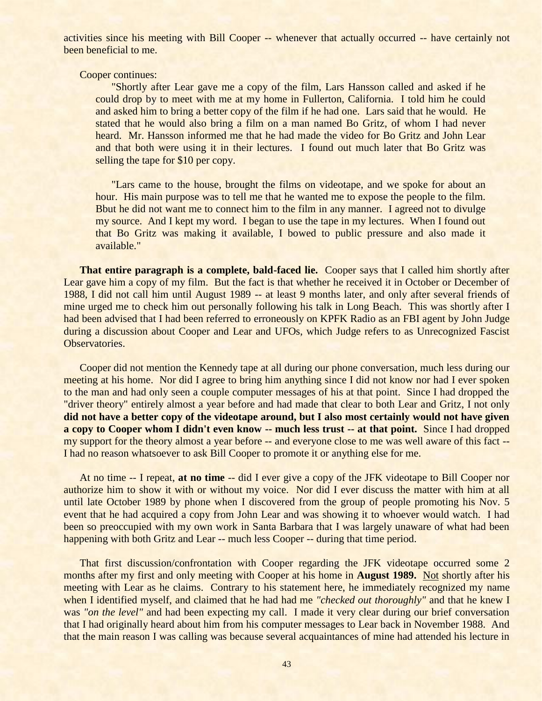activities since his meeting with Bill Cooper -- whenever that actually occurred -- have certainly not been beneficial to me.

### Cooper continues:

"Shortly after Lear gave me a copy of the film, Lars Hansson called and asked if he could drop by to meet with me at my home in Fullerton, California. I told him he could and asked him to bring a better copy of the film if he had one. Lars said that he would. He stated that he would also bring a film on a man named Bo Gritz, of whom I had never heard. Mr. Hansson informed me that he had made the video for Bo Gritz and John Lear and that both were using it in their lectures. I found out much later that Bo Gritz was selling the tape for \$10 per copy.

"Lars came to the house, brought the films on videotape, and we spoke for about an hour. His main purpose was to tell me that he wanted me to expose the people to the film. Bbut he did not want me to connect him to the film in any manner. I agreed not to divulge my source. And I kept my word. I began to use the tape in my lectures. When I found out that Bo Gritz was making it available, I bowed to public pressure and also made it available."

**That entire paragraph is a complete, bald-faced lie.** Cooper says that I called him shortly after Lear gave him a copy of my film. But the fact is that whether he received it in October or December of 1988, I did not call him until August 1989 -- at least 9 months later, and only after several friends of mine urged me to check him out personally following his talk in Long Beach. This was shortly after I had been advised that I had been referred to erroneously on KPFK Radio as an FBI agent by John Judge during a discussion about Cooper and Lear and UFOs, which Judge refers to as Unrecognized Fascist Observatories.

Cooper did not mention the Kennedy tape at all during our phone conversation, much less during our meeting at his home. Nor did I agree to bring him anything since I did not know nor had I ever spoken to the man and had only seen a couple computer messages of his at that point. Since I had dropped the "driver theory" entirely almost a year before and had made that clear to both Lear and Gritz, I not only **did not have a better copy of the videotape around, but I also most certainly would not have given a copy to Cooper whom I didn't even know -- much less trust -- at that point.** Since I had dropped my support for the theory almost a year before -- and everyone close to me was well aware of this fact --I had no reason whatsoever to ask Bill Cooper to promote it or anything else for me.

At no time -- I repeat, **at no time** -- did I ever give a copy of the JFK videotape to Bill Cooper nor authorize him to show it with or without my voice. Nor did I ever discuss the matter with him at all until late October 1989 by phone when I discovered from the group of people promoting his Nov. 5 event that he had acquired a copy from John Lear and was showing it to whoever would watch. I had been so preoccupied with my own work in Santa Barbara that I was largely unaware of what had been happening with both Gritz and Lear -- much less Cooper -- during that time period.

That first discussion/confrontation with Cooper regarding the JFK videotape occurred some 2 months after my first and only meeting with Cooper at his home in **August 1989.** Not shortly after his meeting with Lear as he claims. Contrary to his statement here, he immediately recognized my name when I identified myself, and claimed that he had had me *"checked out thoroughly"* and that he knew I was "on the level" and had been expecting my call. I made it very clear during our brief conversation that I had originally heard about him from his computer messages to Lear back in November 1988. And that the main reason I was calling was because several acquaintances of mine had attended his lecture in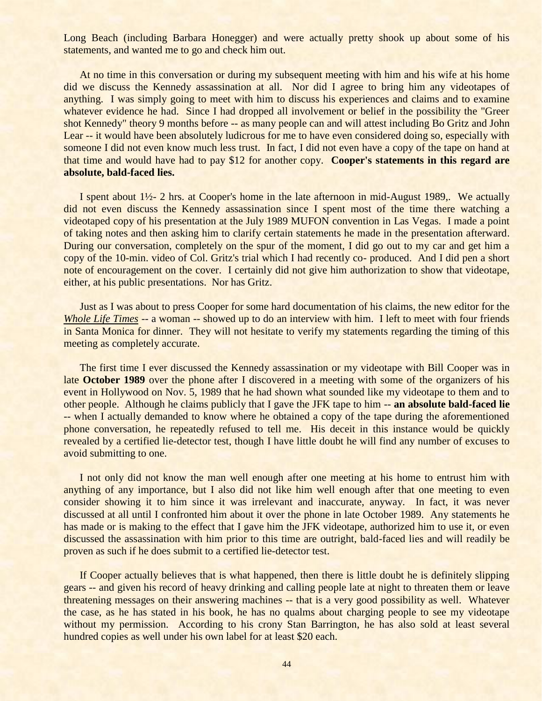Long Beach (including Barbara Honegger) and were actually pretty shook up about some of his statements, and wanted me to go and check him out.

At no time in this conversation or during my subsequent meeting with him and his wife at his home did we discuss the Kennedy assassination at all. Nor did I agree to bring him any videotapes of anything. I was simply going to meet with him to discuss his experiences and claims and to examine whatever evidence he had. Since I had dropped all involvement or belief in the possibility the "Greer" shot Kennedy" theory 9 months before -- as many people can and will attest including Bo Gritz and John Lear -- it would have been absolutely ludicrous for me to have even considered doing so, especially with someone I did not even know much less trust. In fact, I did not even have a copy of the tape on hand at that time and would have had to pay \$12 for another copy. **Cooper's statements in this regard are absolute, bald-faced lies.**

I spent about 1½- 2 hrs. at Cooper's home in the late afternoon in mid-August 1989,. We actually did not even discuss the Kennedy assassination since I spent most of the time there watching a videotaped copy of his presentation at the July 1989 MUFON convention in Las Vegas. I made a point of taking notes and then asking him to clarify certain statements he made in the presentation afterward. During our conversation, completely on the spur of the moment, I did go out to my car and get him a copy of the 10-min. video of Col. Gritz's trial which I had recently co- produced. And I did pen a short note of encouragement on the cover. I certainly did not give him authorization to show that videotape, either, at his public presentations. Nor has Gritz.

Just as I was about to press Cooper for some hard documentation of his claims, the new editor for the *Whole Life Times* -- a woman -- showed up to do an interview with him. I left to meet with four friends in Santa Monica for dinner. They will not hesitate to verify my statements regarding the timing of this meeting as completely accurate.

The first time I ever discussed the Kennedy assassination or my videotape with Bill Cooper was in late **October 1989** over the phone after I discovered in a meeting with some of the organizers of his event in Hollywood on Nov. 5, 1989 that he had shown what sounded like my videotape to them and to other people. Although he claims publicly that I gave the JFK tape to him -- **an absolute bald-faced lie** -- when I actually demanded to know where he obtained a copy of the tape during the aforementioned phone conversation, he repeatedly refused to tell me. His deceit in this instance would be quickly revealed by a certified lie-detector test, though I have little doubt he will find any number of excuses to avoid submitting to one.

I not only did not know the man well enough after one meeting at his home to entrust him with anything of any importance, but I also did not like him well enough after that one meeting to even consider showing it to him since it was irrelevant and inaccurate, anyway. In fact, it was never discussed at all until I confronted him about it over the phone in late October 1989. Any statements he has made or is making to the effect that I gave him the JFK videotape, authorized him to use it, or even discussed the assassination with him prior to this time are outright, bald-faced lies and will readily be proven as such if he does submit to a certified lie-detector test.

If Cooper actually believes that is what happened, then there is little doubt he is definitely slipping gears -- and given his record of heavy drinking and calling people late at night to threaten them or leave threatening messages on their answering machines -- that is a very good possibility as well. Whatever the case, as he has stated in his book, he has no qualms about charging people to see my videotape without my permission. According to his crony Stan Barrington, he has also sold at least several hundred copies as well under his own label for at least \$20 each.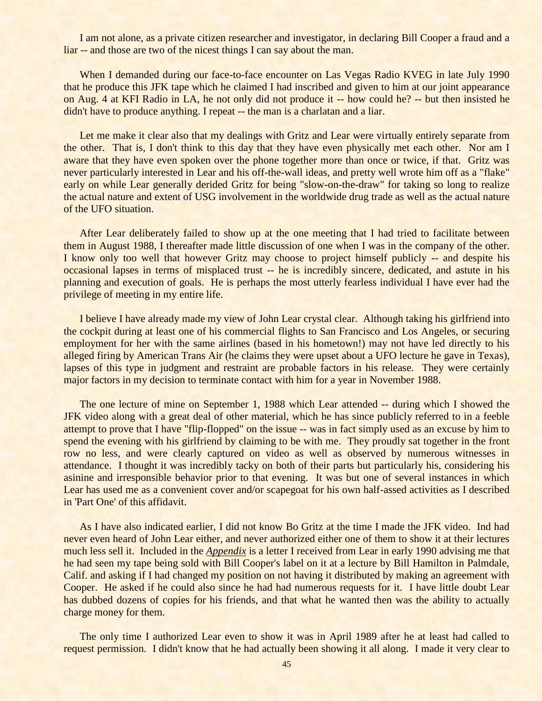I am not alone, as a private citizen researcher and investigator, in declaring Bill Cooper a fraud and a liar -- and those are two of the nicest things I can say about the man.

When I demanded during our face-to-face encounter on Las Vegas Radio KVEG in late July 1990 that he produce this JFK tape which he claimed I had inscribed and given to him at our joint appearance on Aug. 4 at KFI Radio in LA, he not only did not produce it -- how could he? -- but then insisted he didn't have to produce anything. I repeat -- the man is a charlatan and a liar.

Let me make it clear also that my dealings with Gritz and Lear were virtually entirely separate from the other. That is, I don't think to this day that they have even physically met each other. Nor am I aware that they have even spoken over the phone together more than once or twice, if that. Gritz was never particularly interested in Lear and his off-the-wall ideas, and pretty well wrote him off as a "flake" early on while Lear generally derided Gritz for being "slow-on-the-draw" for taking so long to realize the actual nature and extent of USG involvement in the worldwide drug trade as well as the actual nature of the UFO situation.

After Lear deliberately failed to show up at the one meeting that I had tried to facilitate between them in August 1988, I thereafter made little discussion of one when I was in the company of the other. I know only too well that however Gritz may choose to project himself publicly -- and despite his occasional lapses in terms of misplaced trust -- he is incredibly sincere, dedicated, and astute in his planning and execution of goals. He is perhaps the most utterly fearless individual I have ever had the privilege of meeting in my entire life.

I believe I have already made my view of John Lear crystal clear. Although taking his girlfriend into the cockpit during at least one of his commercial flights to San Francisco and Los Angeles, or securing employment for her with the same airlines (based in his hometown!) may not have led directly to his alleged firing by American Trans Air (he claims they were upset about a UFO lecture he gave in Texas), lapses of this type in judgment and restraint are probable factors in his release. They were certainly major factors in my decision to terminate contact with him for a year in November 1988.

The one lecture of mine on September 1, 1988 which Lear attended -- during which I showed the JFK video along with a great deal of other material, which he has since publicly referred to in a feeble attempt to prove that I have "flip-flopped" on the issue -- was in fact simply used as an excuse by him to spend the evening with his girlfriend by claiming to be with me. They proudly sat together in the front row no less, and were clearly captured on video as well as observed by numerous witnesses in attendance. I thought it was incredibly tacky on both of their parts but particularly his, considering his asinine and irresponsible behavior prior to that evening. It was but one of several instances in which Lear has used me as a convenient cover and/or scapegoat for his own half-assed activities as I described in 'Part One' of this affidavit.

As I have also indicated earlier, I did not know Bo Gritz at the time I made the JFK video. Ind had never even heard of John Lear either, and never authorized either one of them to show it at their lectures much less sell it. Included in the *Appendix* is a letter I received from Lear in early 1990 advising me that he had seen my tape being sold with Bill Cooper's label on it at a lecture by Bill Hamilton in Palmdale, Calif. and asking if I had changed my position on not having it distributed by making an agreement with Cooper. He asked if he could also since he had had numerous requests for it. I have little doubt Lear has dubbed dozens of copies for his friends, and that what he wanted then was the ability to actually charge money for them.

The only time I authorized Lear even to show it was in April 1989 after he at least had called to request permission. I didn't know that he had actually been showing it all along. I made it very clear to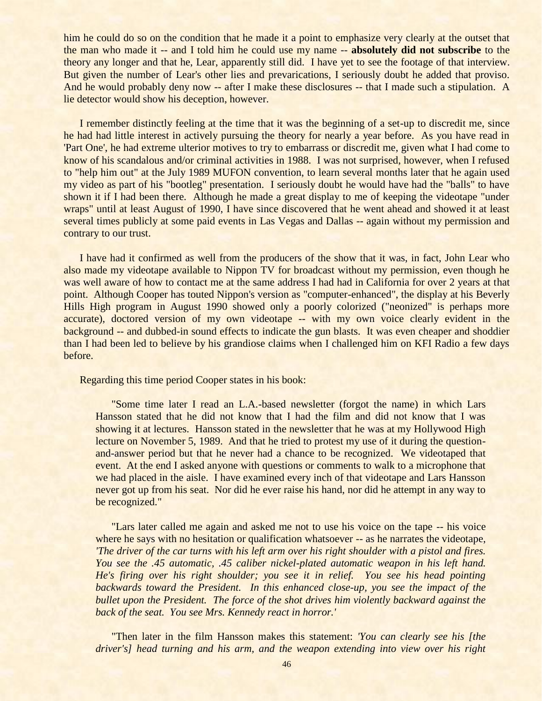him he could do so on the condition that he made it a point to emphasize very clearly at the outset that the man who made it -- and I told him he could use my name -- **absolutely did not subscribe** to the theory any longer and that he, Lear, apparently still did. I have yet to see the footage of that interview. But given the number of Lear's other lies and prevarications, I seriously doubt he added that proviso. And he would probably deny now -- after I make these disclosures -- that I made such a stipulation. A lie detector would show his deception, however.

I remember distinctly feeling at the time that it was the beginning of a set-up to discredit me, since he had had little interest in actively pursuing the theory for nearly a year before. As you have read in 'Part One', he had extreme ulterior motives to try to embarrass or discredit me, given what I had come to know of his scandalous and/or criminal activities in 1988. I was not surprised, however, when I refused to "help him out" at the July 1989 MUFON convention, to learn several months later that he again used my video as part of his "bootleg" presentation. I seriously doubt he would have had the "balls" to have shown it if I had been there. Although he made a great display to me of keeping the videotape "under wraps" until at least August of 1990, I have since discovered that he went ahead and showed it at least several times publicly at some paid events in Las Vegas and Dallas -- again without my permission and contrary to our trust.

I have had it confirmed as well from the producers of the show that it was, in fact, John Lear who also made my videotape available to Nippon TV for broadcast without my permission, even though he was well aware of how to contact me at the same address I had had in California for over 2 years at that point. Although Cooper has touted Nippon's version as "computer-enhanced", the display at his Beverly Hills High program in August 1990 showed only a poorly colorized ("neonized" is perhaps more accurate), doctored version of my own videotape -- with my own voice clearly evident in the background -- and dubbed-in sound effects to indicate the gun blasts. It was even cheaper and shoddier than I had been led to believe by his grandiose claims when I challenged him on KFI Radio a few days before.

Regarding this time period Cooper states in his book:

"Some time later I read an L.A.-based newsletter (forgot the name) in which Lars Hansson stated that he did not know that I had the film and did not know that I was showing it at lectures. Hansson stated in the newsletter that he was at my Hollywood High lecture on November 5, 1989. And that he tried to protest my use of it during the questionand-answer period but that he never had a chance to be recognized. We videotaped that event. At the end I asked anyone with questions or comments to walk to a microphone that we had placed in the aisle. I have examined every inch of that videotape and Lars Hansson never got up from his seat. Nor did he ever raise his hand, nor did he attempt in any way to be recognized."

"Lars later called me again and asked me not to use his voice on the tape -- his voice where he says with no hesitation or qualification whatsoever -- as he narrates the videotape, *'The driver of the car turns with his left arm over his right shoulder with a pistol and fires. You see the .45 automatic, .45 caliber nickel-plated automatic weapon in his left hand. He's firing over his right shoulder; you see it in relief. You see his head pointing backwards toward the President. In this enhanced close-up, you see the impact of the bullet upon the President. The force of the shot drives him violently backward against the back of the seat. You see Mrs. Kennedy react in horror.'*

"Then later in the film Hansson makes this statement: *'You can clearly see his [the driver's] head turning and his arm, and the weapon extending into view over his right*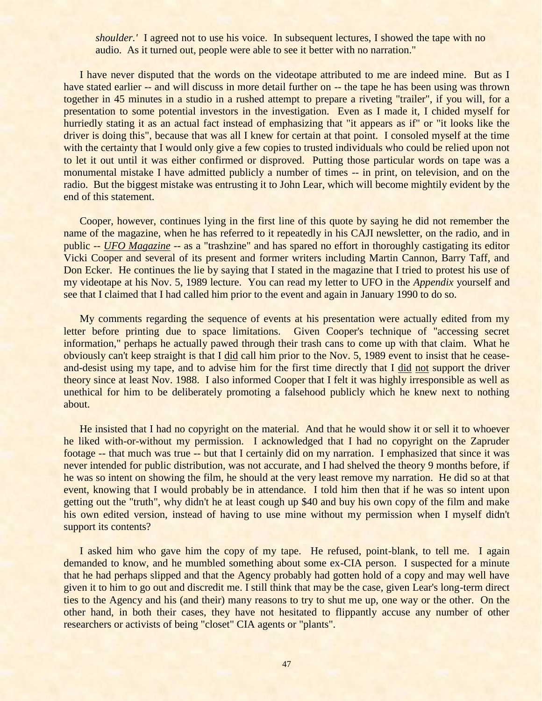*shoulder.'* I agreed not to use his voice. In subsequent lectures, I showed the tape with no audio. As it turned out, people were able to see it better with no narration."

I have never disputed that the words on the videotape attributed to me are indeed mine. But as I have stated earlier -- and will discuss in more detail further on -- the tape he has been using was thrown together in 45 minutes in a studio in a rushed attempt to prepare a riveting "trailer", if you will, for a presentation to some potential investors in the investigation. Even as I made it, I chided myself for hurriedly stating it as an actual fact instead of emphasizing that "it appears as if" or "it looks like the driver is doing this", because that was all I knew for certain at that point. I consoled myself at the time with the certainty that I would only give a few copies to trusted individuals who could be relied upon not to let it out until it was either confirmed or disproved. Putting those particular words on tape was a monumental mistake I have admitted publicly a number of times -- in print, on television, and on the radio. But the biggest mistake was entrusting it to John Lear, which will become mightily evident by the end of this statement.

Cooper, however, continues lying in the first line of this quote by saying he did not remember the name of the magazine, when he has referred to it repeatedly in his CAJI newsletter, on the radio, and in public -- *UFO Magazine* -- as a "trashzine" and has spared no effort in thoroughly castigating its editor Vicki Cooper and several of its present and former writers including Martin Cannon, Barry Taff, and Don Ecker. He continues the lie by saying that I stated in the magazine that I tried to protest his use of my videotape at his Nov. 5, 1989 lecture. You can read my letter to UFO in the *Appendix* yourself and see that I claimed that I had called him prior to the event and again in January 1990 to do so.

My comments regarding the sequence of events at his presentation were actually edited from my letter before printing due to space limitations. Given Cooper's technique of "accessing secret information," perhaps he actually pawed through their trash cans to come up with that claim. What he obviously can't keep straight is that I did call him prior to the Nov. 5, 1989 event to insist that he ceaseand-desist using my tape, and to advise him for the first time directly that I did not support the driver theory since at least Nov. 1988. I also informed Cooper that I felt it was highly irresponsible as well as unethical for him to be deliberately promoting a falsehood publicly which he knew next to nothing about.

He insisted that I had no copyright on the material. And that he would show it or sell it to whoever he liked with-or-without my permission. I acknowledged that I had no copyright on the Zapruder footage -- that much was true -- but that I certainly did on my narration. I emphasized that since it was never intended for public distribution, was not accurate, and I had shelved the theory 9 months before, if he was so intent on showing the film, he should at the very least remove my narration. He did so at that event, knowing that I would probably be in attendance. I told him then that if he was so intent upon getting out the "truth", why didn't he at least cough up \$40 and buy his own copy of the film and make his own edited version, instead of having to use mine without my permission when I myself didn't support its contents?

I asked him who gave him the copy of my tape. He refused, point-blank, to tell me. I again demanded to know, and he mumbled something about some ex-CIA person. I suspected for a minute that he had perhaps slipped and that the Agency probably had gotten hold of a copy and may well have given it to him to go out and discredit me. I still think that may be the case, given Lear's long-term direct ties to the Agency and his (and their) many reasons to try to shut me up, one way or the other. On the other hand, in both their cases, they have not hesitated to flippantly accuse any number of other researchers or activists of being "closet" CIA agents or "plants".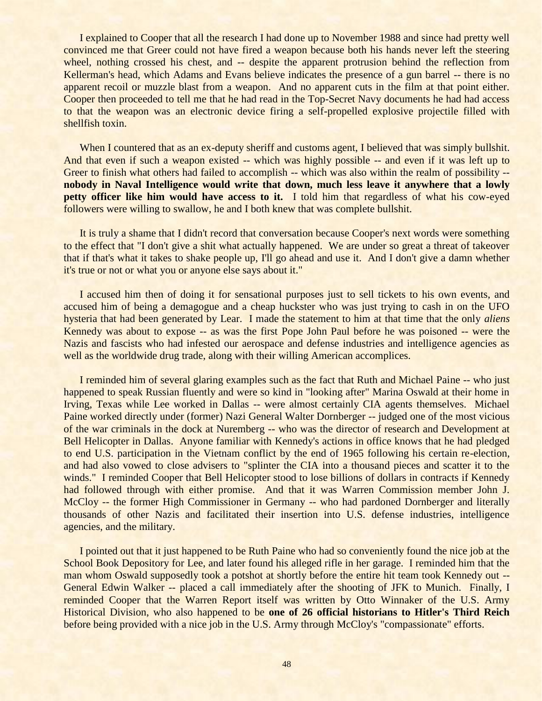I explained to Cooper that all the research I had done up to November 1988 and since had pretty well convinced me that Greer could not have fired a weapon because both his hands never left the steering wheel, nothing crossed his chest, and -- despite the apparent protrusion behind the reflection from Kellerman's head, which Adams and Evans believe indicates the presence of a gun barrel -- there is no apparent recoil or muzzle blast from a weapon. And no apparent cuts in the film at that point either. Cooper then proceeded to tell me that he had read in the Top-Secret Navy documents he had had access to that the weapon was an electronic device firing a self-propelled explosive projectile filled with shellfish toxin.

When I countered that as an ex-deputy sheriff and customs agent, I believed that was simply bullshit. And that even if such a weapon existed -- which was highly possible -- and even if it was left up to Greer to finish what others had failed to accomplish -- which was also within the realm of possibility -**nobody in Naval Intelligence would write that down, much less leave it anywhere that a lowly petty officer like him would have access to it.** I told him that regardless of what his cow-eyed followers were willing to swallow, he and I both knew that was complete bullshit.

It is truly a shame that I didn't record that conversation because Cooper's next words were something to the effect that "I don't give a shit what actually happened. We are under so great a threat of takeover that if that's what it takes to shake people up, I'll go ahead and use it. And I don't give a damn whether it's true or not or what you or anyone else says about it."

I accused him then of doing it for sensational purposes just to sell tickets to his own events, and accused him of being a demagogue and a cheap huckster who was just trying to cash in on the UFO hysteria that had been generated by Lear. I made the statement to him at that time that the only *aliens* Kennedy was about to expose -- as was the first Pope John Paul before he was poisoned -- were the Nazis and fascists who had infested our aerospace and defense industries and intelligence agencies as well as the worldwide drug trade, along with their willing American accomplices.

I reminded him of several glaring examples such as the fact that Ruth and Michael Paine -- who just happened to speak Russian fluently and were so kind in "looking after" Marina Oswald at their home in Irving, Texas while Lee worked in Dallas -- were almost certainly CIA agents themselves. Michael Paine worked directly under (former) Nazi General Walter Dornberger -- judged one of the most vicious of the war criminals in the dock at Nuremberg -- who was the director of research and Development at Bell Helicopter in Dallas. Anyone familiar with Kennedy's actions in office knows that he had pledged to end U.S. participation in the Vietnam conflict by the end of 1965 following his certain re-election, and had also vowed to close advisers to "splinter the CIA into a thousand pieces and scatter it to the winds." I reminded Cooper that Bell Helicopter stood to lose billions of dollars in contracts if Kennedy had followed through with either promise. And that it was Warren Commission member John J. McCloy -- the former High Commissioner in Germany -- who had pardoned Dornberger and literally thousands of other Nazis and facilitated their insertion into U.S. defense industries, intelligence agencies, and the military.

I pointed out that it just happened to be Ruth Paine who had so conveniently found the nice job at the School Book Depository for Lee, and later found his alleged rifle in her garage. I reminded him that the man whom Oswald supposedly took a potshot at shortly before the entire hit team took Kennedy out -- General Edwin Walker -- placed a call immediately after the shooting of JFK to Munich. Finally, I reminded Cooper that the Warren Report itself was written by Otto Winnaker of the U.S. Army Historical Division, who also happened to be **one of 26 official historians to Hitler's Third Reich** before being provided with a nice job in the U.S. Army through McCloy's "compassionate" efforts.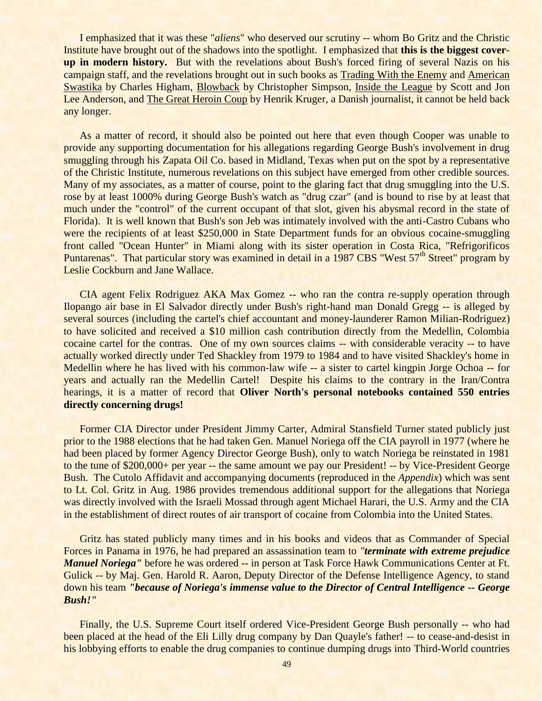I emphasized that it was these "*aliens*" who deserved our scrutiny -- whom Bo Gritz and the Christic Institute have brought out of the shadows into the spotlight. I emphasized that **this is the biggest coverup in modern history.** But with the revelations about Bush's forced firing of several Nazis on his campaign staff, and the revelations brought out in such books as Trading With the Enemy and American Swastika by Charles Higham, Blowback by Christopher Simpson, Inside the League by Scott and Jon Lee Anderson, and The Great Heroin Coup by Henrik Kruger, a Danish journalist, it cannot be held back any longer.

As a matter of record, it should also be pointed out here that even though Cooper was unable to provide any supporting documentation for his allegations regarding George Bush's involvement in drug smuggling through his Zapata Oil Co. based in Midland, Texas when put on the spot by a representative of the Christic Institute, numerous revelations on this subject have emerged from other credible sources. Many of my associates, as a matter of course, point to the glaring fact that drug smuggling into the U.S. rose by at least 1000% during George Bush's watch as "drug czar" (and is bound to rise by at least that much under the "control" of the current occupant of that slot, given his abysmal record in the state of Florida). It is well known that Bush's son Jeb was intimately involved with the anti-Castro Cubans who were the recipients of at least \$250,000 in State Department funds for an obvious cocaine-smuggling front called "Ocean Hunter" in Miami along with its sister operation in Costa Rica, "Refrigorificos Puntarenas". That particular story was examined in detail in a 1987 CBS "West 57<sup>th</sup> Street" program by Leslie Cockburn and Jane Wallace.

CIA agent Felix Rodriguez AKA Max Gomez -- who ran the contra re-supply operation through Ilopango air base in El Salvador directly under Bush's right-hand man Donald Gregg -- is alleged by several sources (including the cartel's chief accountant and money-launderer Ramon Milian-Rodriguez) to have solicited and received a \$10 million cash contribution directly from the Medellin, Colombia cocaine cartel for the contras. One of my own sources claims -- with considerable veracity -- to have actually worked directly under Ted Shackley from 1979 to 1984 and to have visited Shackley's home in Medellin where he has lived with his common-law wife -- a sister to cartel kingpin Jorge Ochoa -- for years and actually ran the Medellin Cartel! Despite his claims to the contrary in the Iran/Contra hearings, it is a matter of record that **Oliver North's personal notebooks contained 550 entries directly concerning drugs!**

Former CIA Director under President Jimmy Carter, Admiral Stansfield Turner stated publicly just prior to the 1988 elections that he had taken Gen. Manuel Noriega off the CIA payroll in 1977 (where he had been placed by former Agency Director George Bush), only to watch Noriega be reinstated in 1981 to the tune of \$200,000+ per year -- the same amount we pay our President! -- by Vice-President George Bush. The Cutolo Affidavit and accompanying documents (reproduced in the *Appendix*) which was sent to Lt. Col. Gritz in Aug. 1986 provides tremendous additional support for the allegations that Noriega was directly involved with the Israeli Mossad through agent Michael Harari, the U.S. Army and the CIA in the establishment of direct routes of air transport of cocaine from Colombia into the United States.

Gritz has stated publicly many times and in his books and videos that as Commander of Special Forces in Panama in 1976, he had prepared an assassination team to *"terminate with extreme prejudice Manuel Noriega"* before he was ordered -- in person at Task Force Hawk Communications Center at Ft. Gulick -- by Maj. Gen. Harold R. Aaron, Deputy Director of the Defense Intelligence Agency, to stand down his team *"because of Noriega's immense value to the Director of Central Intelligence -- George Bush!"*

Finally, the U.S. Supreme Court itself ordered Vice-President George Bush personally -- who had been placed at the head of the Eli Lilly drug company by Dan Quayle's father! -- to cease-and-desist in his lobbying efforts to enable the drug companies to continue dumping drugs into Third-World countries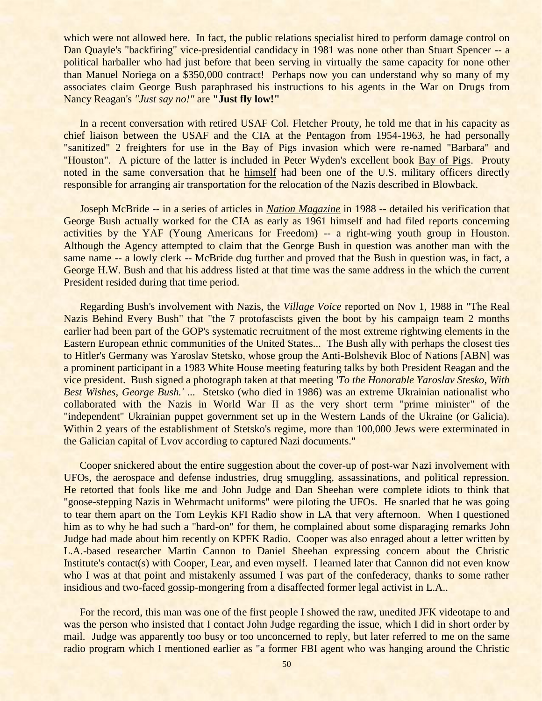which were not allowed here. In fact, the public relations specialist hired to perform damage control on Dan Quayle's "backfiring" vice-presidential candidacy in 1981 was none other than Stuart Spencer -- a political harballer who had just before that been serving in virtually the same capacity for none other than Manuel Noriega on a \$350,000 contract! Perhaps now you can understand why so many of my associates claim George Bush paraphrased his instructions to his agents in the War on Drugs from Nancy Reagan's *"Just say no!"* are **"Just fly low!"**

In a recent conversation with retired USAF Col. Fletcher Prouty, he told me that in his capacity as chief liaison between the USAF and the CIA at the Pentagon from 1954-1963, he had personally "sanitized" 2 freighters for use in the Bay of Pigs invasion which were re-named "Barbara" and "Houston". A picture of the latter is included in Peter Wyden's excellent book Bay of Pigs. Prouty noted in the same conversation that he himself had been one of the U.S. military officers directly responsible for arranging air transportation for the relocation of the Nazis described in Blowback.

Joseph McBride -- in a series of articles in *Nation Magazine* in 1988 -- detailed his verification that George Bush actually worked for the CIA as early as 1961 himself and had filed reports concerning activities by the YAF (Young Americans for Freedom) -- a right-wing youth group in Houston. Although the Agency attempted to claim that the George Bush in question was another man with the same name -- a lowly clerk -- McBride dug further and proved that the Bush in question was, in fact, a George H.W. Bush and that his address listed at that time was the same address in the which the current President resided during that time period.

Regarding Bush's involvement with Nazis, the *Village Voice* reported on Nov 1, 1988 in "The Real Nazis Behind Every Bush" that "the 7 protofascists given the boot by his campaign team 2 months earlier had been part of the GOP's systematic recruitment of the most extreme rightwing elements in the Eastern European ethnic communities of the United States... The Bush ally with perhaps the closest ties to Hitler's Germany was Yaroslav Stetsko, whose group the Anti-Bolshevik Bloc of Nations [ABN] was a prominent participant in a 1983 White House meeting featuring talks by both President Reagan and the vice president. Bush signed a photograph taken at that meeting *'To the Honorable Yaroslav Stesko, With Best Wishes, George Bush.' ...* Stetsko (who died in 1986) was an extreme Ukrainian nationalist who collaborated with the Nazis in World War II as the very short term "prime minister" of the "independent" Ukrainian puppet government set up in the Western Lands of the Ukraine (or Galicia). Within 2 years of the establishment of Stetsko's regime, more than 100,000 Jews were exterminated in the Galician capital of Lvov according to captured Nazi documents."

Cooper snickered about the entire suggestion about the cover-up of post-war Nazi involvement with UFOs, the aerospace and defense industries, drug smuggling, assassinations, and political repression. He retorted that fools like me and John Judge and Dan Sheehan were complete idiots to think that "goose-stepping Nazis in Wehrmacht uniforms" were piloting the UFOs. He snarled that he was going to tear them apart on the Tom Leykis KFI Radio show in LA that very afternoon. When I questioned him as to why he had such a "hard-on" for them, he complained about some disparaging remarks John Judge had made about him recently on KPFK Radio. Cooper was also enraged about a letter written by L.A.-based researcher Martin Cannon to Daniel Sheehan expressing concern about the Christic Institute's contact(s) with Cooper, Lear, and even myself. I learned later that Cannon did not even know who I was at that point and mistakenly assumed I was part of the confederacy, thanks to some rather insidious and two-faced gossip-mongering from a disaffected former legal activist in L.A..

For the record, this man was one of the first people I showed the raw, unedited JFK videotape to and was the person who insisted that I contact John Judge regarding the issue, which I did in short order by mail. Judge was apparently too busy or too unconcerned to reply, but later referred to me on the same radio program which I mentioned earlier as "a former FBI agent who was hanging around the Christic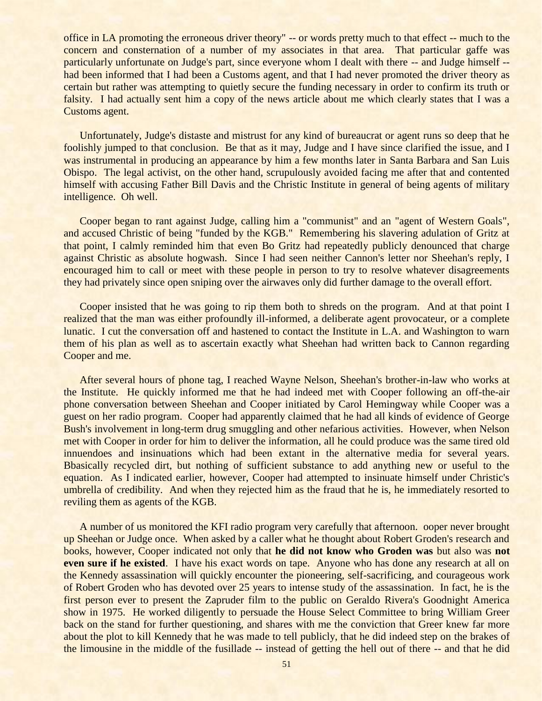office in LA promoting the erroneous driver theory" -- or words pretty much to that effect -- much to the concern and consternation of a number of my associates in that area. That particular gaffe was particularly unfortunate on Judge's part, since everyone whom I dealt with there -- and Judge himself - had been informed that I had been a Customs agent, and that I had never promoted the driver theory as certain but rather was attempting to quietly secure the funding necessary in order to confirm its truth or falsity. I had actually sent him a copy of the news article about me which clearly states that I was a Customs agent.

Unfortunately, Judge's distaste and mistrust for any kind of bureaucrat or agent runs so deep that he foolishly jumped to that conclusion. Be that as it may, Judge and I have since clarified the issue, and I was instrumental in producing an appearance by him a few months later in Santa Barbara and San Luis Obispo. The legal activist, on the other hand, scrupulously avoided facing me after that and contented himself with accusing Father Bill Davis and the Christic Institute in general of being agents of military intelligence. Oh well.

Cooper began to rant against Judge, calling him a "communist" and an "agent of Western Goals", and accused Christic of being "funded by the KGB." Remembering his slavering adulation of Gritz at that point, I calmly reminded him that even Bo Gritz had repeatedly publicly denounced that charge against Christic as absolute hogwash. Since I had seen neither Cannon's letter nor Sheehan's reply, I encouraged him to call or meet with these people in person to try to resolve whatever disagreements they had privately since open sniping over the airwaves only did further damage to the overall effort.

Cooper insisted that he was going to rip them both to shreds on the program. And at that point I realized that the man was either profoundly ill-informed, a deliberate agent provocateur, or a complete lunatic. I cut the conversation off and hastened to contact the Institute in L.A. and Washington to warn them of his plan as well as to ascertain exactly what Sheehan had written back to Cannon regarding Cooper and me.

After several hours of phone tag, I reached Wayne Nelson, Sheehan's brother-in-law who works at the Institute. He quickly informed me that he had indeed met with Cooper following an off-the-air phone conversation between Sheehan and Cooper initiated by Carol Hemingway while Cooper was a guest on her radio program. Cooper had apparently claimed that he had all kinds of evidence of George Bush's involvement in long-term drug smuggling and other nefarious activities. However, when Nelson met with Cooper in order for him to deliver the information, all he could produce was the same tired old innuendoes and insinuations which had been extant in the alternative media for several years. Bbasically recycled dirt, but nothing of sufficient substance to add anything new or useful to the equation. As I indicated earlier, however, Cooper had attempted to insinuate himself under Christic's umbrella of credibility. And when they rejected him as the fraud that he is, he immediately resorted to reviling them as agents of the KGB.

A number of us monitored the KFI radio program very carefully that afternoon. ooper never brought up Sheehan or Judge once. When asked by a caller what he thought about Robert Groden's research and books, however, Cooper indicated not only that **he did not know who Groden was** but also was **not even sure if he existed.** I have his exact words on tape. Anyone who has done any research at all on the Kennedy assassination will quickly encounter the pioneering, self-sacrificing, and courageous work of Robert Groden who has devoted over 25 years to intense study of the assassination. In fact, he is the first person ever to present the Zapruder film to the public on Geraldo Rivera's Goodnight America show in 1975. He worked diligently to persuade the House Select Committee to bring William Greer back on the stand for further questioning, and shares with me the conviction that Greer knew far more about the plot to kill Kennedy that he was made to tell publicly, that he did indeed step on the brakes of the limousine in the middle of the fusillade -- instead of getting the hell out of there -- and that he did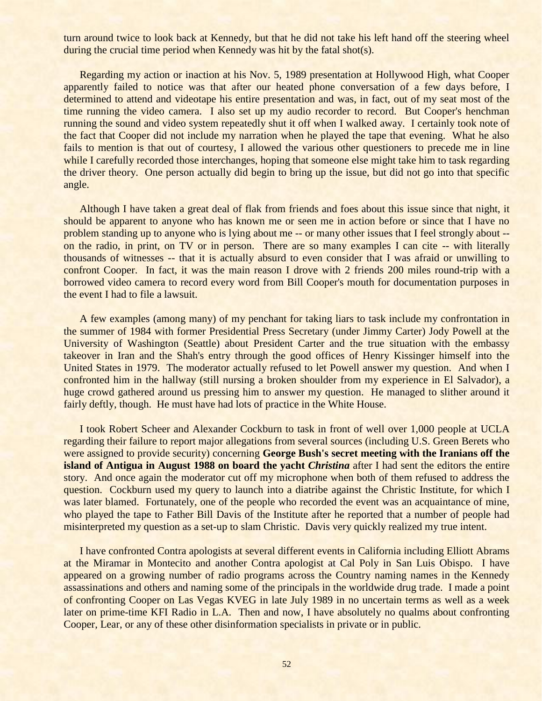turn around twice to look back at Kennedy, but that he did not take his left hand off the steering wheel during the crucial time period when Kennedy was hit by the fatal shot(s).

Regarding my action or inaction at his Nov. 5, 1989 presentation at Hollywood High, what Cooper apparently failed to notice was that after our heated phone conversation of a few days before, I determined to attend and videotape his entire presentation and was, in fact, out of my seat most of the time running the video camera. I also set up my audio recorder to record. But Cooper's henchman running the sound and video system repeatedly shut it off when I walked away. I certainly took note of the fact that Cooper did not include my narration when he played the tape that evening. What he also fails to mention is that out of courtesy, I allowed the various other questioners to precede me in line while I carefully recorded those interchanges, hoping that someone else might take him to task regarding the driver theory. One person actually did begin to bring up the issue, but did not go into that specific angle.

Although I have taken a great deal of flak from friends and foes about this issue since that night, it should be apparent to anyone who has known me or seen me in action before or since that I have no problem standing up to anyone who is lying about me -- or many other issues that I feel strongly about - on the radio, in print, on TV or in person. There are so many examples I can cite -- with literally thousands of witnesses -- that it is actually absurd to even consider that I was afraid or unwilling to confront Cooper. In fact, it was the main reason I drove with 2 friends 200 miles round-trip with a borrowed video camera to record every word from Bill Cooper's mouth for documentation purposes in the event I had to file a lawsuit.

A few examples (among many) of my penchant for taking liars to task include my confrontation in the summer of 1984 with former Presidential Press Secretary (under Jimmy Carter) Jody Powell at the University of Washington (Seattle) about President Carter and the true situation with the embassy takeover in Iran and the Shah's entry through the good offices of Henry Kissinger himself into the United States in 1979. The moderator actually refused to let Powell answer my question. And when I confronted him in the hallway (still nursing a broken shoulder from my experience in El Salvador), a huge crowd gathered around us pressing him to answer my question. He managed to slither around it fairly deftly, though. He must have had lots of practice in the White House.

I took Robert Scheer and Alexander Cockburn to task in front of well over 1,000 people at UCLA regarding their failure to report major allegations from several sources (including U.S. Green Berets who were assigned to provide security) concerning **George Bush's secret meeting with the Iranians off the island of Antigua in August 1988 on board the yacht** *Christina* after I had sent the editors the entire story. And once again the moderator cut off my microphone when both of them refused to address the question. Cockburn used my query to launch into a diatribe against the Christic Institute, for which I was later blamed. Fortunately, one of the people who recorded the event was an acquaintance of mine, who played the tape to Father Bill Davis of the Institute after he reported that a number of people had misinterpreted my question as a set-up to slam Christic. Davis very quickly realized my true intent.

I have confronted Contra apologists at several different events in California including Elliott Abrams at the Miramar in Montecito and another Contra apologist at Cal Poly in San Luis Obispo. I have appeared on a growing number of radio programs across the Country naming names in the Kennedy assassinations and others and naming some of the principals in the worldwide drug trade. I made a point of confronting Cooper on Las Vegas KVEG in late July 1989 in no uncertain terms as well as a week later on prime-time KFI Radio in L.A. Then and now, I have absolutely no qualms about confronting Cooper, Lear, or any of these other disinformation specialists in private or in public.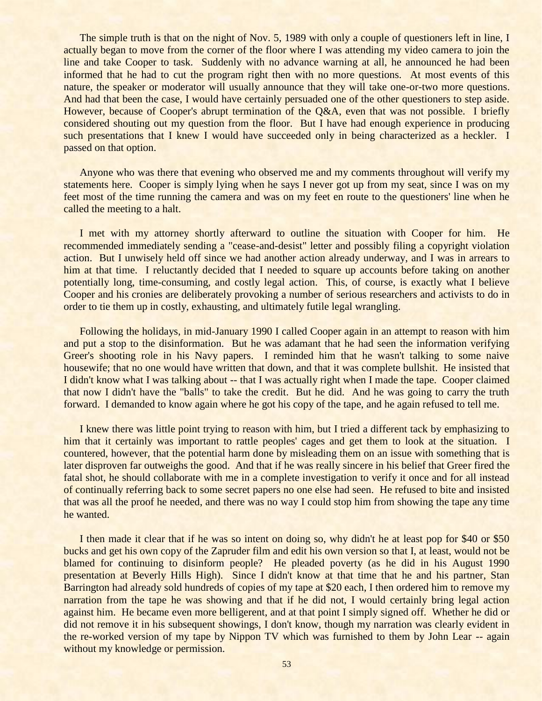The simple truth is that on the night of Nov. 5, 1989 with only a couple of questioners left in line, I actually began to move from the corner of the floor where I was attending my video camera to join the line and take Cooper to task. Suddenly with no advance warning at all, he announced he had been informed that he had to cut the program right then with no more questions. At most events of this nature, the speaker or moderator will usually announce that they will take one-or-two more questions. And had that been the case, I would have certainly persuaded one of the other questioners to step aside. However, because of Cooper's abrupt termination of the Q&A, even that was not possible. I briefly considered shouting out my question from the floor. But I have had enough experience in producing such presentations that I knew I would have succeeded only in being characterized as a heckler. I passed on that option.

Anyone who was there that evening who observed me and my comments throughout will verify my statements here. Cooper is simply lying when he says I never got up from my seat, since I was on my feet most of the time running the camera and was on my feet en route to the questioners' line when he called the meeting to a halt.

I met with my attorney shortly afterward to outline the situation with Cooper for him. He recommended immediately sending a "cease-and-desist" letter and possibly filing a copyright violation action. But I unwisely held off since we had another action already underway, and I was in arrears to him at that time. I reluctantly decided that I needed to square up accounts before taking on another potentially long, time-consuming, and costly legal action. This, of course, is exactly what I believe Cooper and his cronies are deliberately provoking a number of serious researchers and activists to do in order to tie them up in costly, exhausting, and ultimately futile legal wrangling.

Following the holidays, in mid-January 1990 I called Cooper again in an attempt to reason with him and put a stop to the disinformation. But he was adamant that he had seen the information verifying Greer's shooting role in his Navy papers. I reminded him that he wasn't talking to some naive housewife; that no one would have written that down, and that it was complete bullshit. He insisted that I didn't know what I was talking about -- that I was actually right when I made the tape. Cooper claimed that now I didn't have the "balls" to take the credit. But he did. And he was going to carry the truth forward. I demanded to know again where he got his copy of the tape, and he again refused to tell me.

I knew there was little point trying to reason with him, but I tried a different tack by emphasizing to him that it certainly was important to rattle peoples' cages and get them to look at the situation. I countered, however, that the potential harm done by misleading them on an issue with something that is later disproven far outweighs the good. And that if he was really sincere in his belief that Greer fired the fatal shot, he should collaborate with me in a complete investigation to verify it once and for all instead of continually referring back to some secret papers no one else had seen. He refused to bite and insisted that was all the proof he needed, and there was no way I could stop him from showing the tape any time he wanted.

I then made it clear that if he was so intent on doing so, why didn't he at least pop for \$40 or \$50 bucks and get his own copy of the Zapruder film and edit his own version so that I, at least, would not be blamed for continuing to disinform people? He pleaded poverty (as he did in his August 1990 presentation at Beverly Hills High). Since I didn't know at that time that he and his partner, Stan Barrington had already sold hundreds of copies of my tape at \$20 each, I then ordered him to remove my narration from the tape he was showing and that if he did not, I would certainly bring legal action against him. He became even more belligerent, and at that point I simply signed off. Whether he did or did not remove it in his subsequent showings, I don't know, though my narration was clearly evident in the re-worked version of my tape by Nippon TV which was furnished to them by John Lear -- again without my knowledge or permission.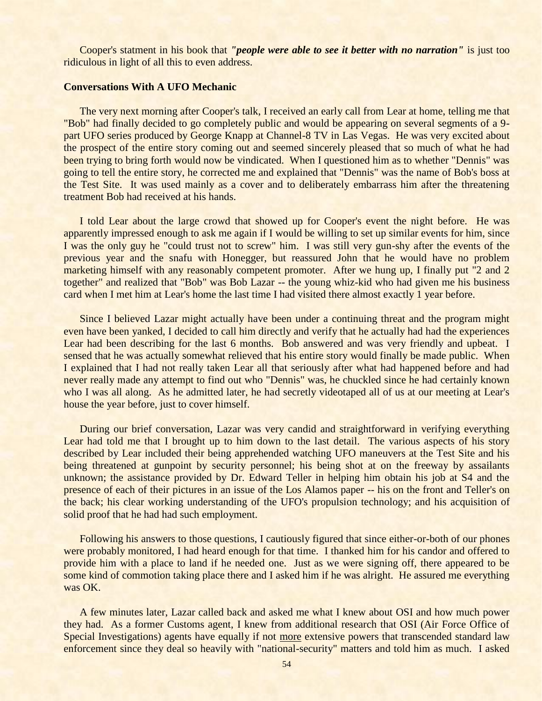Cooper's statment in his book that *"people were able to see it better with no narration"* is just too ridiculous in light of all this to even address.

# **Conversations With A UFO Mechanic**

The very next morning after Cooper's talk, I received an early call from Lear at home, telling me that "Bob" had finally decided to go completely public and would be appearing on several segments of a 9 part UFO series produced by George Knapp at Channel-8 TV in Las Vegas. He was very excited about the prospect of the entire story coming out and seemed sincerely pleased that so much of what he had been trying to bring forth would now be vindicated. When I questioned him as to whether "Dennis" was going to tell the entire story, he corrected me and explained that "Dennis" was the name of Bob's boss at the Test Site. It was used mainly as a cover and to deliberately embarrass him after the threatening treatment Bob had received at his hands.

I told Lear about the large crowd that showed up for Cooper's event the night before. He was apparently impressed enough to ask me again if I would be willing to set up similar events for him, since I was the only guy he "could trust not to screw" him. I was still very gun-shy after the events of the previous year and the snafu with Honegger, but reassured John that he would have no problem marketing himself with any reasonably competent promoter. After we hung up, I finally put "2 and 2 together" and realized that "Bob" was Bob Lazar -- the young whiz-kid who had given me his business card when I met him at Lear's home the last time I had visited there almost exactly 1 year before.

Since I believed Lazar might actually have been under a continuing threat and the program might even have been yanked, I decided to call him directly and verify that he actually had had the experiences Lear had been describing for the last 6 months. Bob answered and was very friendly and upbeat. I sensed that he was actually somewhat relieved that his entire story would finally be made public. When I explained that I had not really taken Lear all that seriously after what had happened before and had never really made any attempt to find out who "Dennis" was, he chuckled since he had certainly known who I was all along. As he admitted later, he had secretly videotaped all of us at our meeting at Lear's house the year before, just to cover himself.

During our brief conversation, Lazar was very candid and straightforward in verifying everything Lear had told me that I brought up to him down to the last detail. The various aspects of his story described by Lear included their being apprehended watching UFO maneuvers at the Test Site and his being threatened at gunpoint by security personnel; his being shot at on the freeway by assailants unknown; the assistance provided by Dr. Edward Teller in helping him obtain his job at S4 and the presence of each of their pictures in an issue of the Los Alamos paper -- his on the front and Teller's on the back; his clear working understanding of the UFO's propulsion technology; and his acquisition of solid proof that he had had such employment.

Following his answers to those questions, I cautiously figured that since either-or-both of our phones were probably monitored, I had heard enough for that time. I thanked him for his candor and offered to provide him with a place to land if he needed one. Just as we were signing off, there appeared to be some kind of commotion taking place there and I asked him if he was alright. He assured me everything was OK.

A few minutes later, Lazar called back and asked me what I knew about OSI and how much power they had. As a former Customs agent, I knew from additional research that OSI (Air Force Office of Special Investigations) agents have equally if not more extensive powers that transcended standard law enforcement since they deal so heavily with "national-security" matters and told him as much. I asked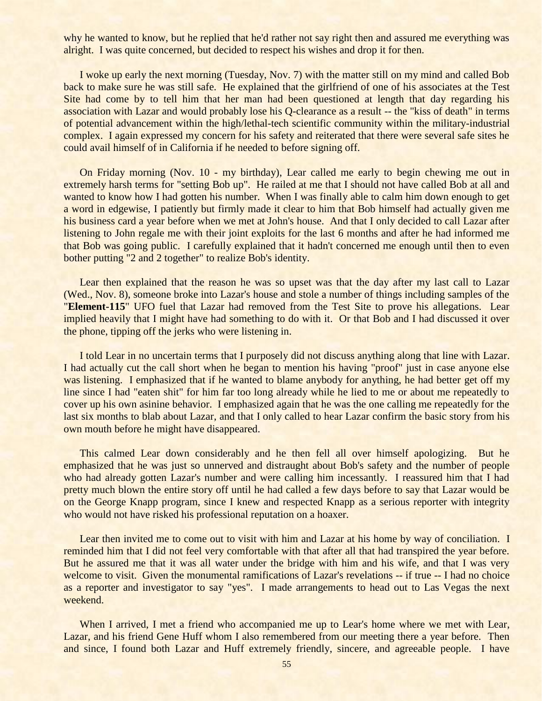why he wanted to know, but he replied that he'd rather not say right then and assured me everything was alright. I was quite concerned, but decided to respect his wishes and drop it for then.

I woke up early the next morning (Tuesday, Nov. 7) with the matter still on my mind and called Bob back to make sure he was still safe. He explained that the girlfriend of one of his associates at the Test Site had come by to tell him that her man had been questioned at length that day regarding his association with Lazar and would probably lose his Q-clearance as a result -- the "kiss of death" in terms of potential advancement within the high/lethal-tech scientific community within the military-industrial complex. I again expressed my concern for his safety and reiterated that there were several safe sites he could avail himself of in California if he needed to before signing off.

On Friday morning (Nov. 10 - my birthday), Lear called me early to begin chewing me out in extremely harsh terms for "setting Bob up". He railed at me that I should not have called Bob at all and wanted to know how I had gotten his number. When I was finally able to calm him down enough to get a word in edgewise, I patiently but firmly made it clear to him that Bob himself had actually given me his business card a year before when we met at John's house. And that I only decided to call Lazar after listening to John regale me with their joint exploits for the last 6 months and after he had informed me that Bob was going public. I carefully explained that it hadn't concerned me enough until then to even bother putting "2 and 2 together" to realize Bob's identity.

Lear then explained that the reason he was so upset was that the day after my last call to Lazar (Wed., Nov. 8), someone broke into Lazar's house and stole a number of things including samples of the "**Element-115**" UFO fuel that Lazar had removed from the Test Site to prove his allegations. Lear implied heavily that I might have had something to do with it. Or that Bob and I had discussed it over the phone, tipping off the jerks who were listening in.

I told Lear in no uncertain terms that I purposely did not discuss anything along that line with Lazar. I had actually cut the call short when he began to mention his having "proof" just in case anyone else was listening. I emphasized that if he wanted to blame anybody for anything, he had better get off my line since I had "eaten shit" for him far too long already while he lied to me or about me repeatedly to cover up his own asinine behavior. I emphasized again that he was the one calling me repeatedly for the last six months to blab about Lazar, and that I only called to hear Lazar confirm the basic story from his own mouth before he might have disappeared.

This calmed Lear down considerably and he then fell all over himself apologizing. But he emphasized that he was just so unnerved and distraught about Bob's safety and the number of people who had already gotten Lazar's number and were calling him incessantly. I reassured him that I had pretty much blown the entire story off until he had called a few days before to say that Lazar would be on the George Knapp program, since I knew and respected Knapp as a serious reporter with integrity who would not have risked his professional reputation on a hoaxer.

Lear then invited me to come out to visit with him and Lazar at his home by way of conciliation. I reminded him that I did not feel very comfortable with that after all that had transpired the year before. But he assured me that it was all water under the bridge with him and his wife, and that I was very welcome to visit. Given the monumental ramifications of Lazar's revelations -- if true -- I had no choice as a reporter and investigator to say "yes". I made arrangements to head out to Las Vegas the next weekend.

When I arrived, I met a friend who accompanied me up to Lear's home where we met with Lear, Lazar, and his friend Gene Huff whom I also remembered from our meeting there a year before. Then and since, I found both Lazar and Huff extremely friendly, sincere, and agreeable people. I have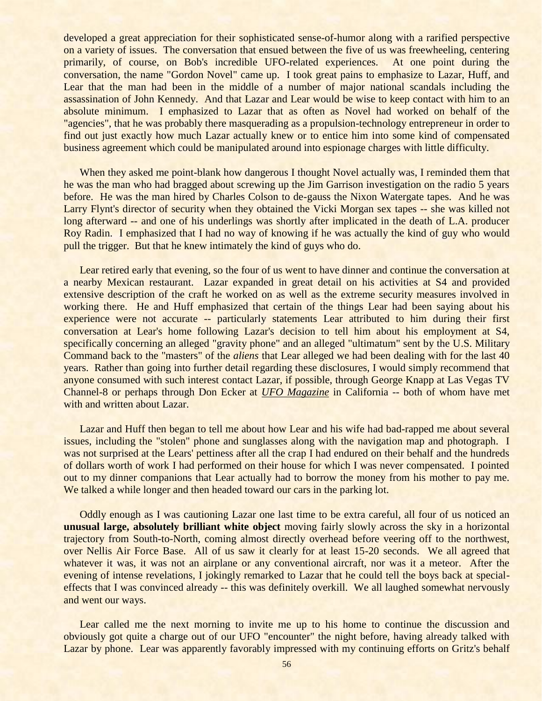developed a great appreciation for their sophisticated sense-of-humor along with a rarified perspective on a variety of issues. The conversation that ensued between the five of us was freewheeling, centering primarily, of course, on Bob's incredible UFO-related experiences. At one point during the conversation, the name "Gordon Novel" came up. I took great pains to emphasize to Lazar, Huff, and Lear that the man had been in the middle of a number of major national scandals including the assassination of John Kennedy. And that Lazar and Lear would be wise to keep contact with him to an absolute minimum. I emphasized to Lazar that as often as Novel had worked on behalf of the "agencies", that he was probably there masquerading as a propulsion-technology entrepreneur in order to find out just exactly how much Lazar actually knew or to entice him into some kind of compensated business agreement which could be manipulated around into espionage charges with little difficulty.

When they asked me point-blank how dangerous I thought Novel actually was, I reminded them that he was the man who had bragged about screwing up the Jim Garrison investigation on the radio 5 years before. He was the man hired by Charles Colson to de-gauss the Nixon Watergate tapes. And he was Larry Flynt's director of security when they obtained the Vicki Morgan sex tapes -- she was killed not long afterward -- and one of his underlings was shortly after implicated in the death of L.A. producer Roy Radin. I emphasized that I had no way of knowing if he was actually the kind of guy who would pull the trigger. But that he knew intimately the kind of guys who do.

Lear retired early that evening, so the four of us went to have dinner and continue the conversation at a nearby Mexican restaurant. Lazar expanded in great detail on his activities at S4 and provided extensive description of the craft he worked on as well as the extreme security measures involved in working there. He and Huff emphasized that certain of the things Lear had been saying about his experience were not accurate -- particularly statements Lear attributed to him during their first conversation at Lear's home following Lazar's decision to tell him about his employment at S4, specifically concerning an alleged "gravity phone" and an alleged "ultimatum" sent by the U.S. Military Command back to the "masters" of the *aliens* that Lear alleged we had been dealing with for the last 40 years. Rather than going into further detail regarding these disclosures, I would simply recommend that anyone consumed with such interest contact Lazar, if possible, through George Knapp at Las Vegas TV Channel-8 or perhaps through Don Ecker at *UFO Magazine* in California -- both of whom have met with and written about Lazar.

Lazar and Huff then began to tell me about how Lear and his wife had bad-rapped me about several issues, including the "stolen" phone and sunglasses along with the navigation map and photograph. I was not surprised at the Lears' pettiness after all the crap I had endured on their behalf and the hundreds of dollars worth of work I had performed on their house for which I was never compensated. I pointed out to my dinner companions that Lear actually had to borrow the money from his mother to pay me. We talked a while longer and then headed toward our cars in the parking lot.

Oddly enough as I was cautioning Lazar one last time to be extra careful, all four of us noticed an **unusual large, absolutely brilliant white object** moving fairly slowly across the sky in a horizontal trajectory from South-to-North, coming almost directly overhead before veering off to the northwest, over Nellis Air Force Base. All of us saw it clearly for at least 15-20 seconds. We all agreed that whatever it was, it was not an airplane or any conventional aircraft, nor was it a meteor. After the evening of intense revelations, I jokingly remarked to Lazar that he could tell the boys back at specialeffects that I was convinced already -- this was definitely overkill. We all laughed somewhat nervously and went our ways.

Lear called me the next morning to invite me up to his home to continue the discussion and obviously got quite a charge out of our UFO "encounter" the night before, having already talked with Lazar by phone. Lear was apparently favorably impressed with my continuing efforts on Gritz's behalf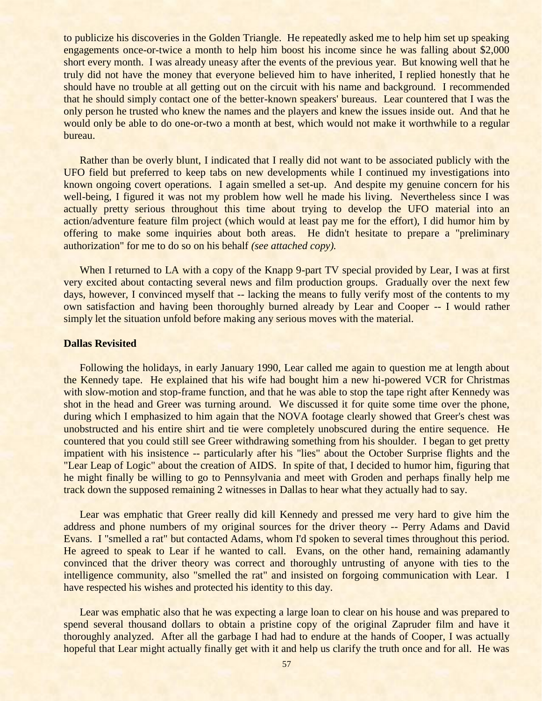to publicize his discoveries in the Golden Triangle. He repeatedly asked me to help him set up speaking engagements once-or-twice a month to help him boost his income since he was falling about \$2,000 short every month. I was already uneasy after the events of the previous year. But knowing well that he truly did not have the money that everyone believed him to have inherited, I replied honestly that he should have no trouble at all getting out on the circuit with his name and background. I recommended that he should simply contact one of the better-known speakers' bureaus. Lear countered that I was the only person he trusted who knew the names and the players and knew the issues inside out. And that he would only be able to do one-or-two a month at best, which would not make it worthwhile to a regular bureau.

Rather than be overly blunt, I indicated that I really did not want to be associated publicly with the UFO field but preferred to keep tabs on new developments while I continued my investigations into known ongoing covert operations. I again smelled a set-up. And despite my genuine concern for his well-being, I figured it was not my problem how well he made his living. Nevertheless since I was actually pretty serious throughout this time about trying to develop the UFO material into an action/adventure feature film project (which would at least pay me for the effort), I did humor him by offering to make some inquiries about both areas. He didn't hesitate to prepare a "preliminary authorization" for me to do so on his behalf *(see attached copy).*

When I returned to LA with a copy of the Knapp 9-part TV special provided by Lear, I was at first very excited about contacting several news and film production groups. Gradually over the next few days, however, I convinced myself that -- lacking the means to fully verify most of the contents to my own satisfaction and having been thoroughly burned already by Lear and Cooper -- I would rather simply let the situation unfold before making any serious moves with the material.

#### **Dallas Revisited**

Following the holidays, in early January 1990, Lear called me again to question me at length about the Kennedy tape. He explained that his wife had bought him a new hi-powered VCR for Christmas with slow-motion and stop-frame function, and that he was able to stop the tape right after Kennedy was shot in the head and Greer was turning around. We discussed it for quite some time over the phone, during which I emphasized to him again that the NOVA footage clearly showed that Greer's chest was unobstructed and his entire shirt and tie were completely unobscured during the entire sequence. He countered that you could still see Greer withdrawing something from his shoulder. I began to get pretty impatient with his insistence -- particularly after his "lies" about the October Surprise flights and the "Lear Leap of Logic" about the creation of AIDS. In spite of that, I decided to humor him, figuring that he might finally be willing to go to Pennsylvania and meet with Groden and perhaps finally help me track down the supposed remaining 2 witnesses in Dallas to hear what they actually had to say.

Lear was emphatic that Greer really did kill Kennedy and pressed me very hard to give him the address and phone numbers of my original sources for the driver theory -- Perry Adams and David Evans. I "smelled a rat" but contacted Adams, whom I'd spoken to several times throughout this period. He agreed to speak to Lear if he wanted to call. Evans, on the other hand, remaining adamantly convinced that the driver theory was correct and thoroughly untrusting of anyone with ties to the intelligence community, also "smelled the rat" and insisted on forgoing communication with Lear. I have respected his wishes and protected his identity to this day.

Lear was emphatic also that he was expecting a large loan to clear on his house and was prepared to spend several thousand dollars to obtain a pristine copy of the original Zapruder film and have it thoroughly analyzed. After all the garbage I had had to endure at the hands of Cooper, I was actually hopeful that Lear might actually finally get with it and help us clarify the truth once and for all. He was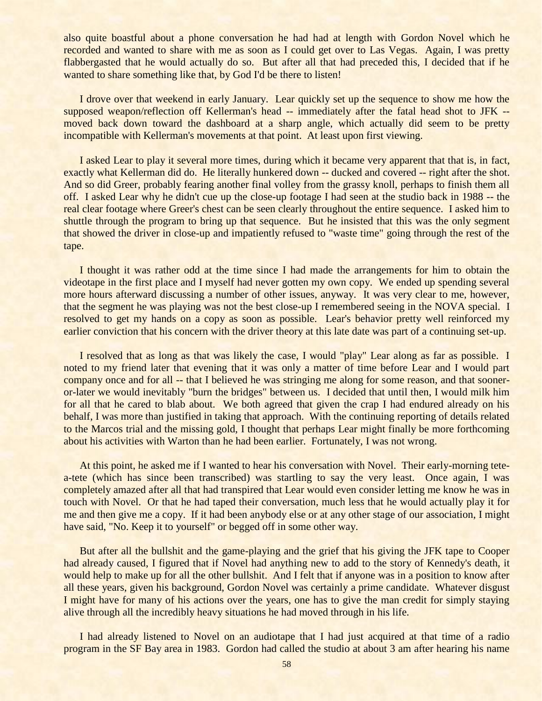also quite boastful about a phone conversation he had had at length with Gordon Novel which he recorded and wanted to share with me as soon as I could get over to Las Vegas. Again, I was pretty flabbergasted that he would actually do so. But after all that had preceded this, I decided that if he wanted to share something like that, by God I'd be there to listen!

I drove over that weekend in early January. Lear quickly set up the sequence to show me how the supposed weapon/reflection off Kellerman's head -- immediately after the fatal head shot to JFK -moved back down toward the dashboard at a sharp angle, which actually did seem to be pretty incompatible with Kellerman's movements at that point. At least upon first viewing.

I asked Lear to play it several more times, during which it became very apparent that that is, in fact, exactly what Kellerman did do. He literally hunkered down -- ducked and covered -- right after the shot. And so did Greer, probably fearing another final volley from the grassy knoll, perhaps to finish them all off. I asked Lear why he didn't cue up the close-up footage I had seen at the studio back in 1988 -- the real clear footage where Greer's chest can be seen clearly throughout the entire sequence. I asked him to shuttle through the program to bring up that sequence. But he insisted that this was the only segment that showed the driver in close-up and impatiently refused to "waste time" going through the rest of the tape.

I thought it was rather odd at the time since I had made the arrangements for him to obtain the videotape in the first place and I myself had never gotten my own copy. We ended up spending several more hours afterward discussing a number of other issues, anyway. It was very clear to me, however, that the segment he was playing was not the best close-up I remembered seeing in the NOVA special. I resolved to get my hands on a copy as soon as possible. Lear's behavior pretty well reinforced my earlier conviction that his concern with the driver theory at this late date was part of a continuing set-up.

I resolved that as long as that was likely the case, I would "play" Lear along as far as possible. I noted to my friend later that evening that it was only a matter of time before Lear and I would part company once and for all -- that I believed he was stringing me along for some reason, and that sooneror-later we would inevitably "burn the bridges" between us. I decided that until then, I would milk him for all that he cared to blab about. We both agreed that given the crap I had endured already on his behalf, I was more than justified in taking that approach. With the continuing reporting of details related to the Marcos trial and the missing gold, I thought that perhaps Lear might finally be more forthcoming about his activities with Warton than he had been earlier. Fortunately, I was not wrong.

At this point, he asked me if I wanted to hear his conversation with Novel. Their early-morning tetea-tete (which has since been transcribed) was startling to say the very least. Once again, I was completely amazed after all that had transpired that Lear would even consider letting me know he was in touch with Novel. Or that he had taped their conversation, much less that he would actually play it for me and then give me a copy. If it had been anybody else or at any other stage of our association, I might have said, "No. Keep it to yourself" or begged off in some other way.

But after all the bullshit and the game-playing and the grief that his giving the JFK tape to Cooper had already caused, I figured that if Novel had anything new to add to the story of Kennedy's death, it would help to make up for all the other bullshit. And I felt that if anyone was in a position to know after all these years, given his background, Gordon Novel was certainly a prime candidate. Whatever disgust I might have for many of his actions over the years, one has to give the man credit for simply staying alive through all the incredibly heavy situations he had moved through in his life.

I had already listened to Novel on an audiotape that I had just acquired at that time of a radio program in the SF Bay area in 1983. Gordon had called the studio at about 3 am after hearing his name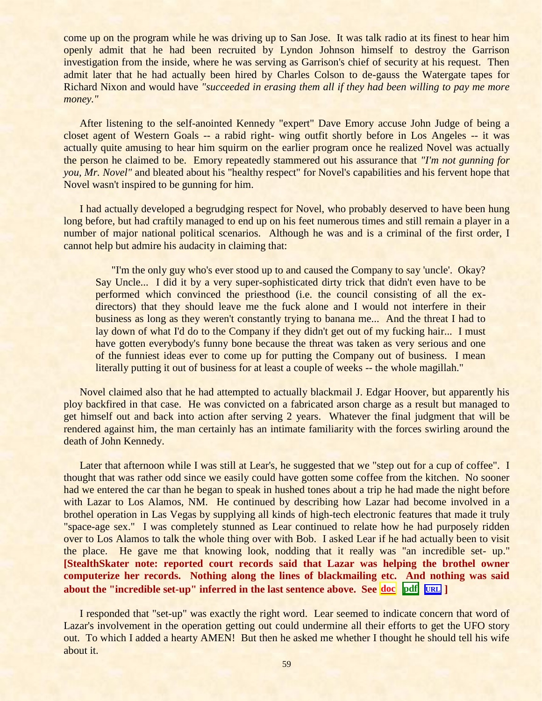come up on the program while he was driving up to San Jose. It was talk radio at its finest to hear him openly admit that he had been recruited by Lyndon Johnson himself to destroy the Garrison investigation from the inside, where he was serving as Garrison's chief of security at his request. Then admit later that he had actually been hired by Charles Colson to de-gauss the Watergate tapes for Richard Nixon and would have *"succeeded in erasing them all if they had been willing to pay me more money."*

After listening to the self-anointed Kennedy "expert" Dave Emory accuse John Judge of being a closet agent of Western Goals -- a rabid right- wing outfit shortly before in Los Angeles -- it was actually quite amusing to hear him squirm on the earlier program once he realized Novel was actually the person he claimed to be. Emory repeatedly stammered out his assurance that *"I'm not gunning for you, Mr. Novel"* and bleated about his "healthy respect" for Novel's capabilities and his fervent hope that Novel wasn't inspired to be gunning for him.

I had actually developed a begrudging respect for Novel, who probably deserved to have been hung long before, but had craftily managed to end up on his feet numerous times and still remain a player in a number of major national political scenarios. Although he was and is a criminal of the first order, I cannot help but admire his audacity in claiming that:

"I'm the only guy who's ever stood up to and caused the Company to say 'uncle'. Okay? Say Uncle... I did it by a very super-sophisticated dirty trick that didn't even have to be performed which convinced the priesthood (i.e. the council consisting of all the exdirectors) that they should leave me the fuck alone and I would not interfere in their business as long as they weren't constantly trying to banana me... And the threat I had to lay down of what I'd do to the Company if they didn't get out of my fucking hair... I must have gotten everybody's funny bone because the threat was taken as very serious and one of the funniest ideas ever to come up for putting the Company out of business. I mean literally putting it out of business for at least a couple of weeks -- the whole magillah."

Novel claimed also that he had attempted to actually blackmail J. Edgar Hoover, but apparently his ploy backfired in that case. He was convicted on a fabricated arson charge as a result but managed to get himself out and back into action after serving 2 years. Whatever the final judgment that will be rendered against him, the man certainly has an intimate familiarity with the forces swirling around the death of John Kennedy.

Later that afternoon while I was still at Lear's, he suggested that we "step out for a cup of coffee". I thought that was rather odd since we easily could have gotten some coffee from the kitchen. No sooner had we entered the car than he began to speak in hushed tones about a trip he had made the night before with Lazar to Los Alamos, NM. He continued by describing how Lazar had become involved in a brothel operation in Las Vegas by supplying all kinds of high-tech electronic features that made it truly "space-age sex." I was completely stunned as Lear continued to relate how he had purposely ridden over to Los Alamos to talk the whole thing over with Bob. I asked Lear if he had actually been to visit the place. He gave me that knowing look, nodding that it really was "an incredible set- up." **[StealthSkater note: reported court records said that Lazar was helping the brothel owner computerize her records. Nothing along the lines of blackmailing etc. And nothing was said about the "incredible set-up" inferred in the last sentence above. See [doc](../../Stealthskater/Lazar.doc) [pdf](../../Stealthskater_PDF/Lazar.pdf)****[URL](http://www.stealthskater.com/Lazar.htm) ]**

I responded that "set-up" was exactly the right word. Lear seemed to indicate concern that word of Lazar's involvement in the operation getting out could undermine all their efforts to get the UFO story out. To which I added a hearty AMEN! But then he asked me whether I thought he should tell his wife about it.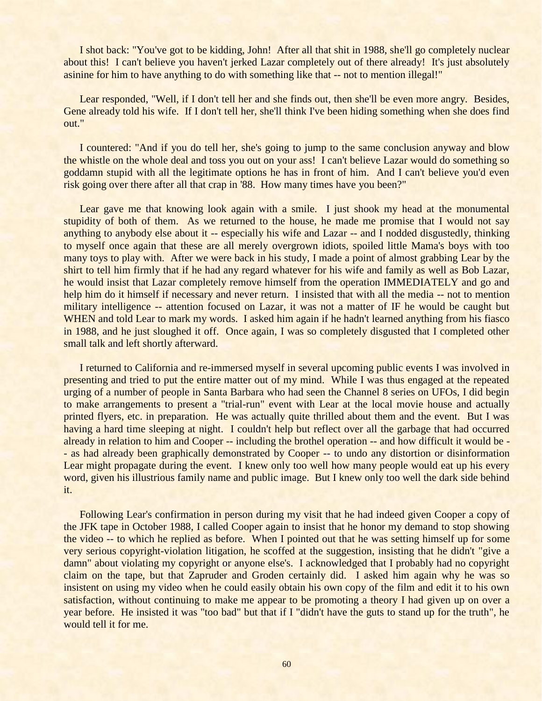I shot back: "You've got to be kidding, John! After all that shit in 1988, she'll go completely nuclear about this! I can't believe you haven't jerked Lazar completely out of there already! It's just absolutely asinine for him to have anything to do with something like that -- not to mention illegal!"

Lear responded, "Well, if I don't tell her and she finds out, then she'll be even more angry. Besides, Gene already told his wife. If I don't tell her, she'll think I've been hiding something when she does find out."

I countered: "And if you do tell her, she's going to jump to the same conclusion anyway and blow the whistle on the whole deal and toss you out on your ass! I can't believe Lazar would do something so goddamn stupid with all the legitimate options he has in front of him. And I can't believe you'd even risk going over there after all that crap in '88. How many times have you been?"

Lear gave me that knowing look again with a smile. I just shook my head at the monumental stupidity of both of them. As we returned to the house, he made me promise that I would not say anything to anybody else about it -- especially his wife and Lazar -- and I nodded disgustedly, thinking to myself once again that these are all merely overgrown idiots, spoiled little Mama's boys with too many toys to play with. After we were back in his study, I made a point of almost grabbing Lear by the shirt to tell him firmly that if he had any regard whatever for his wife and family as well as Bob Lazar, he would insist that Lazar completely remove himself from the operation IMMEDIATELY and go and help him do it himself if necessary and never return. I insisted that with all the media -- not to mention military intelligence -- attention focused on Lazar, it was not a matter of IF he would be caught but WHEN and told Lear to mark my words. I asked him again if he hadn't learned anything from his fiasco in 1988, and he just sloughed it off. Once again, I was so completely disgusted that I completed other small talk and left shortly afterward.

I returned to California and re-immersed myself in several upcoming public events I was involved in presenting and tried to put the entire matter out of my mind. While I was thus engaged at the repeated urging of a number of people in Santa Barbara who had seen the Channel 8 series on UFOs, I did begin to make arrangements to present a "trial-run" event with Lear at the local movie house and actually printed flyers, etc. in preparation. He was actually quite thrilled about them and the event. But I was having a hard time sleeping at night. I couldn't help but reflect over all the garbage that had occurred already in relation to him and Cooper -- including the brothel operation -- and how difficult it would be - - as had already been graphically demonstrated by Cooper -- to undo any distortion or disinformation Lear might propagate during the event. I knew only too well how many people would eat up his every word, given his illustrious family name and public image. But I knew only too well the dark side behind it.

Following Lear's confirmation in person during my visit that he had indeed given Cooper a copy of the JFK tape in October 1988, I called Cooper again to insist that he honor my demand to stop showing the video -- to which he replied as before. When I pointed out that he was setting himself up for some very serious copyright-violation litigation, he scoffed at the suggestion, insisting that he didn't "give a damn" about violating my copyright or anyone else's. I acknowledged that I probably had no copyright claim on the tape, but that Zapruder and Groden certainly did. I asked him again why he was so insistent on using my video when he could easily obtain his own copy of the film and edit it to his own satisfaction, without continuing to make me appear to be promoting a theory I had given up on over a year before. He insisted it was "too bad" but that if I "didn't have the guts to stand up for the truth", he would tell it for me.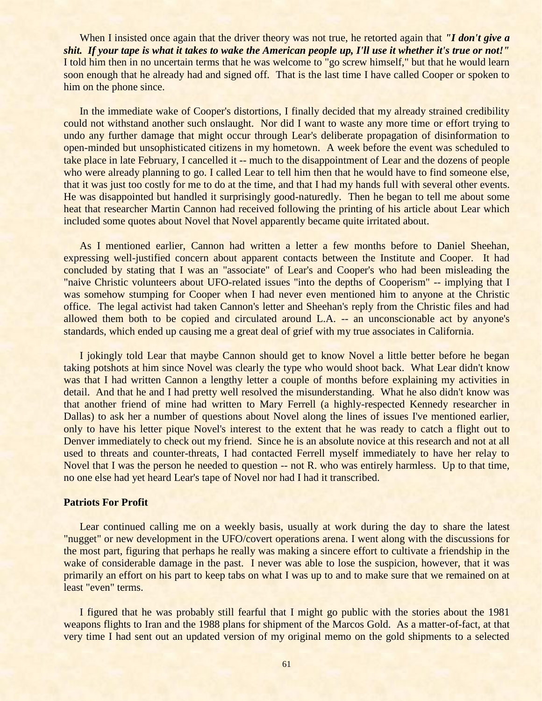When I insisted once again that the driver theory was not true, he retorted again that *''I don't give a shit. If your tape is what it takes to wake the American people up, I'll use it whether it's true or not!"* I told him then in no uncertain terms that he was welcome to "go screw himself," but that he would learn soon enough that he already had and signed off. That is the last time I have called Cooper or spoken to him on the phone since.

In the immediate wake of Cooper's distortions, I finally decided that my already strained credibility could not withstand another such onslaught. Nor did I want to waste any more time or effort trying to undo any further damage that might occur through Lear's deliberate propagation of disinformation to open-minded but unsophisticated citizens in my hometown. A week before the event was scheduled to take place in late February, I cancelled it -- much to the disappointment of Lear and the dozens of people who were already planning to go. I called Lear to tell him then that he would have to find someone else, that it was just too costly for me to do at the time, and that I had my hands full with several other events. He was disappointed but handled it surprisingly good-naturedly. Then he began to tell me about some heat that researcher Martin Cannon had received following the printing of his article about Lear which included some quotes about Novel that Novel apparently became quite irritated about.

As I mentioned earlier, Cannon had written a letter a few months before to Daniel Sheehan, expressing well-justified concern about apparent contacts between the Institute and Cooper. It had concluded by stating that I was an "associate" of Lear's and Cooper's who had been misleading the "naive Christic volunteers about UFO-related issues "into the depths of Cooperism" -- implying that I was somehow stumping for Cooper when I had never even mentioned him to anyone at the Christic office. The legal activist had taken Cannon's letter and Sheehan's reply from the Christic files and had allowed them both to be copied and circulated around L.A. -- an unconscionable act by anyone's standards, which ended up causing me a great deal of grief with my true associates in California.

I jokingly told Lear that maybe Cannon should get to know Novel a little better before he began taking potshots at him since Novel was clearly the type who would shoot back. What Lear didn't know was that I had written Cannon a lengthy letter a couple of months before explaining my activities in detail. And that he and I had pretty well resolved the misunderstanding. What he also didn't know was that another friend of mine had written to Mary Ferrell (a highly-respected Kennedy researcher in Dallas) to ask her a number of questions about Novel along the lines of issues I've mentioned earlier, only to have his letter pique Novel's interest to the extent that he was ready to catch a flight out to Denver immediately to check out my friend. Since he is an absolute novice at this research and not at all used to threats and counter-threats, I had contacted Ferrell myself immediately to have her relay to Novel that I was the person he needed to question -- not R. who was entirely harmless. Up to that time, no one else had yet heard Lear's tape of Novel nor had I had it transcribed.

### **Patriots For Profit**

Lear continued calling me on a weekly basis, usually at work during the day to share the latest "nugget" or new development in the UFO/covert operations arena. I went along with the discussions for the most part, figuring that perhaps he really was making a sincere effort to cultivate a friendship in the wake of considerable damage in the past. I never was able to lose the suspicion, however, that it was primarily an effort on his part to keep tabs on what I was up to and to make sure that we remained on at least "even" terms.

I figured that he was probably still fearful that I might go public with the stories about the 1981 weapons flights to Iran and the 1988 plans for shipment of the Marcos Gold. As a matter-of-fact, at that very time I had sent out an updated version of my original memo on the gold shipments to a selected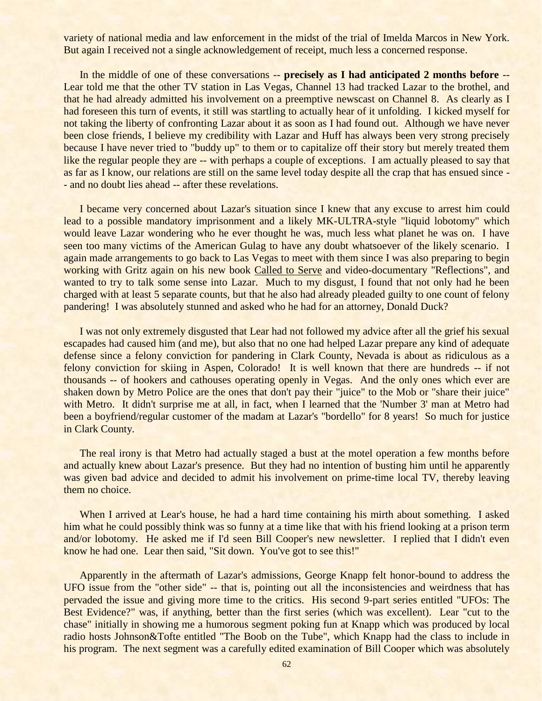variety of national media and law enforcement in the midst of the trial of Imelda Marcos in New York. But again I received not a single acknowledgement of receipt, much less a concerned response.

In the middle of one of these conversations -- **precisely as I had anticipated 2 months before** -- Lear told me that the other TV station in Las Vegas, Channel 13 had tracked Lazar to the brothel, and that he had already admitted his involvement on a preemptive newscast on Channel 8. As clearly as I had foreseen this turn of events, it still was startling to actually hear of it unfolding. I kicked myself for not taking the liberty of confronting Lazar about it as soon as I had found out. Although we have never been close friends, I believe my credibility with Lazar and Huff has always been very strong precisely because I have never tried to "buddy up" to them or to capitalize off their story but merely treated them like the regular people they are -- with perhaps a couple of exceptions. I am actually pleased to say that as far as I know, our relations are still on the same level today despite all the crap that has ensued since - - and no doubt lies ahead -- after these revelations.

I became very concerned about Lazar's situation since I knew that any excuse to arrest him could lead to a possible mandatory imprisonment and a likely MK-ULTRA-style "liquid lobotomy" which would leave Lazar wondering who he ever thought he was, much less what planet he was on. I have seen too many victims of the American Gulag to have any doubt whatsoever of the likely scenario. I again made arrangements to go back to Las Vegas to meet with them since I was also preparing to begin working with Gritz again on his new book Called to Serve and video-documentary "Reflections", and wanted to try to talk some sense into Lazar. Much to my disgust, I found that not only had he been charged with at least 5 separate counts, but that he also had already pleaded guilty to one count of felony pandering! I was absolutely stunned and asked who he had for an attorney, Donald Duck?

I was not only extremely disgusted that Lear had not followed my advice after all the grief his sexual escapades had caused him (and me), but also that no one had helped Lazar prepare any kind of adequate defense since a felony conviction for pandering in Clark County, Nevada is about as ridiculous as a felony conviction for skiing in Aspen, Colorado! It is well known that there are hundreds -- if not thousands -- of hookers and cathouses operating openly in Vegas. And the only ones which ever are shaken down by Metro Police are the ones that don't pay their "juice" to the Mob or "share their juice" with Metro. It didn't surprise me at all, in fact, when I learned that the 'Number 3' man at Metro had been a boyfriend/regular customer of the madam at Lazar's "bordello" for 8 years! So much for justice in Clark County.

The real irony is that Metro had actually staged a bust at the motel operation a few months before and actually knew about Lazar's presence. But they had no intention of busting him until he apparently was given bad advice and decided to admit his involvement on prime-time local TV, thereby leaving them no choice.

When I arrived at Lear's house, he had a hard time containing his mirth about something. I asked him what he could possibly think was so funny at a time like that with his friend looking at a prison term and/or lobotomy. He asked me if I'd seen Bill Cooper's new newsletter. I replied that I didn't even know he had one. Lear then said, "Sit down. You've got to see this!"

Apparently in the aftermath of Lazar's admissions, George Knapp felt honor-bound to address the UFO issue from the "other side" -- that is, pointing out all the inconsistencies and weirdness that has pervaded the issue and giving more time to the critics. His second 9-part series entitled "UFOs: The Best Evidence?" was, if anything, better than the first series (which was excellent). Lear "cut to the chase" initially in showing me a humorous segment poking fun at Knapp which was produced by local radio hosts Johnson&Tofte entitled "The Boob on the Tube", which Knapp had the class to include in his program. The next segment was a carefully edited examination of Bill Cooper which was absolutely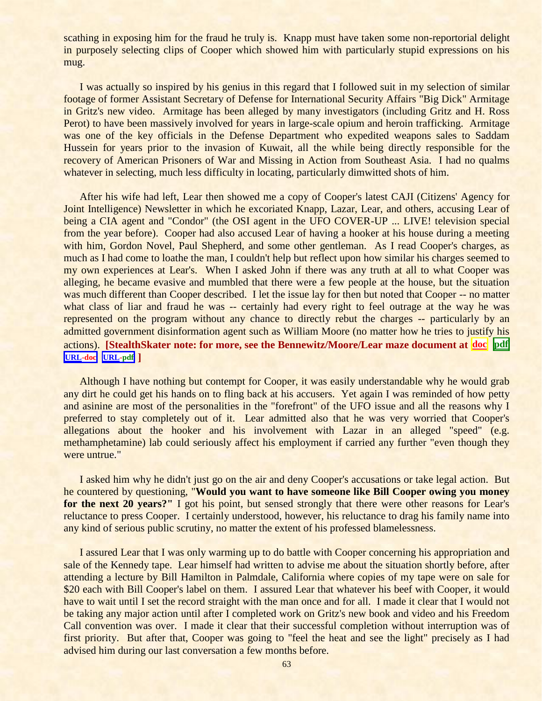scathing in exposing him for the fraud he truly is. Knapp must have taken some non-reportorial delight in purposely selecting clips of Cooper which showed him with particularly stupid expressions on his mug.

I was actually so inspired by his genius in this regard that I followed suit in my selection of similar footage of former Assistant Secretary of Defense for International Security Affairs "Big Dick" Armitage in Gritz's new video. Armitage has been alleged by many investigators (including Gritz and H. Ross Perot) to have been massively involved for years in large-scale opium and heroin trafficking. Armitage was one of the key officials in the Defense Department who expedited weapons sales to Saddam Hussein for years prior to the invasion of Kuwait, all the while being directly responsible for the recovery of American Prisoners of War and Missing in Action from Southeast Asia. I had no qualms whatever in selecting, much less difficulty in locating, particularly dimwitted shots of him.

After his wife had left, Lear then showed me a copy of Cooper's latest CAJI (Citizens' Agency for Joint Intelligence) Newsletter in which he excoriated Knapp, Lazar, Lear, and others, accusing Lear of being a CIA agent and "Condor" (the OSI agent in the UFO COVER-UP ... LIVE! television special from the year before). Cooper had also accused Lear of having a hooker at his house during a meeting with him, Gordon Novel, Paul Shepherd, and some other gentleman. As I read Cooper's charges, as much as I had come to loathe the man, I couldn't help but reflect upon how similar his charges seemed to my own experiences at Lear's. When I asked John if there was any truth at all to what Cooper was alleging, he became evasive and mumbled that there were a few people at the house, but the situation was much different than Cooper described. I let the issue lay for then but noted that Cooper -- no matter what class of liar and fraud he was -- certainly had every right to feel outrage at the way he was represented on the program without any chance to directly rebut the charges -- particularly by an admitted government disinformation agent such as William Moore (no matter how he tries to justify his actions). **[StealthSkater note: for more, see the Bennewitz/Moore/Lear maze document at [doc](../../Stealthskater/Documents/Bennewitz_1.doc) [pdf](../../Stealthskater_PDF/Documents/Bennewitz_1.pdf)** **[URL-](http://www.stealthskater.com/Documents/Bennewitz_1.doc)doc [URL-](http://www.stealthskater.com/Documents/Bennewitz_1.pdf)pdf ]**

Although I have nothing but contempt for Cooper, it was easily understandable why he would grab any dirt he could get his hands on to fling back at his accusers. Yet again I was reminded of how petty and asinine are most of the personalities in the "forefront" of the UFO issue and all the reasons why I preferred to stay completely out of it. Lear admitted also that he was very worried that Cooper's allegations about the hooker and his involvement with Lazar in an alleged "speed" (e.g. methamphetamine) lab could seriously affect his employment if carried any further "even though they were untrue."

I asked him why he didn't just go on the air and deny Cooper's accusations or take legal action. But he countered by questioning, "**Would you want to have someone like Bill Cooper owing you money for the next 20 years?"** I got his point, but sensed strongly that there were other reasons for Lear's reluctance to press Cooper. I certainly understood, however, his reluctance to drag his family name into any kind of serious public scrutiny, no matter the extent of his professed blamelessness.

I assured Lear that I was only warming up to do battle with Cooper concerning his appropriation and sale of the Kennedy tape. Lear himself had written to advise me about the situation shortly before, after attending a lecture by Bill Hamilton in Palmdale, California where copies of my tape were on sale for \$20 each with Bill Cooper's label on them. I assured Lear that whatever his beef with Cooper, it would have to wait until I set the record straight with the man once and for all. I made it clear that I would not be taking any major action until after I completed work on Gritz's new book and video and his Freedom Call convention was over. I made it clear that their successful completion without interruption was of first priority. But after that, Cooper was going to "feel the heat and see the light" precisely as I had advised him during our last conversation a few months before.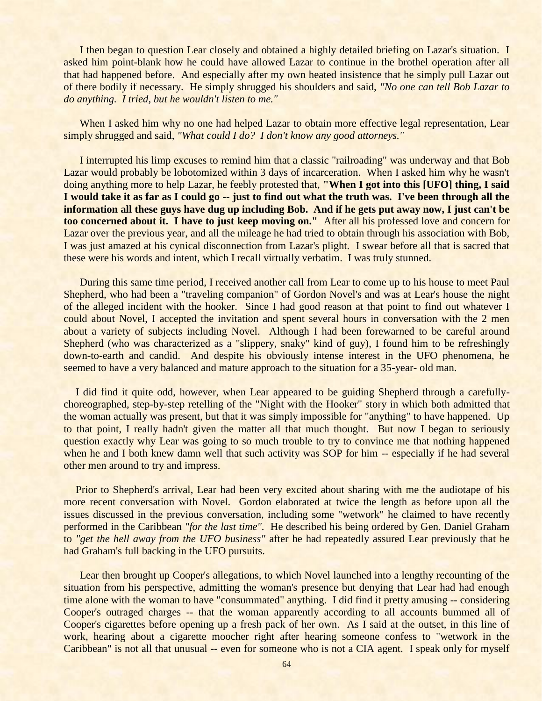I then began to question Lear closely and obtained a highly detailed briefing on Lazar's situation. I asked him point-blank how he could have allowed Lazar to continue in the brothel operation after all that had happened before. And especially after my own heated insistence that he simply pull Lazar out of there bodily if necessary. He simply shrugged his shoulders and said, *"No one can tell Bob Lazar to do anything. I tried, but he wouldn't listen to me."* 

When I asked him why no one had helped Lazar to obtain more effective legal representation, Lear simply shrugged and said, *"What could I do? I don't know any good attorneys."*

I interrupted his limp excuses to remind him that a classic "railroading" was underway and that Bob Lazar would probably be lobotomized within 3 days of incarceration. When I asked him why he wasn't doing anything more to help Lazar, he feebly protested that, **"When I got into this [UFO] thing, I said I would take it as far as I could go -- just to find out what the truth was. I've been through all the information all these guys have dug up including Bob. And if he gets put away now, I just can't be too concerned about it. I have to just keep moving on."** After all his professed love and concern for Lazar over the previous year, and all the mileage he had tried to obtain through his association with Bob, I was just amazed at his cynical disconnection from Lazar's plight. I swear before all that is sacred that these were his words and intent, which I recall virtually verbatim. I was truly stunned.

During this same time period, I received another call from Lear to come up to his house to meet Paul Shepherd, who had been a "traveling companion" of Gordon Novel's and was at Lear's house the night of the alleged incident with the hooker. Since I had good reason at that point to find out whatever I could about Novel, I accepted the invitation and spent several hours in conversation with the 2 men about a variety of subjects including Novel. Although I had been forewarned to be careful around Shepherd (who was characterized as a "slippery, snaky" kind of guy), I found him to be refreshingly down-to-earth and candid. And despite his obviously intense interest in the UFO phenomena, he seemed to have a very balanced and mature approach to the situation for a 35-year- old man.

I did find it quite odd, however, when Lear appeared to be guiding Shepherd through a carefullychoreographed, step-by-step retelling of the "Night with the Hooker" story in which both admitted that the woman actually was present, but that it was simply impossible for "anything" to have happened. Up to that point, I really hadn't given the matter all that much thought. But now I began to seriously question exactly why Lear was going to so much trouble to try to convince me that nothing happened when he and I both knew damn well that such activity was SOP for him -- especially if he had several other men around to try and impress.

Prior to Shepherd's arrival, Lear had been very excited about sharing with me the audiotape of his more recent conversation with Novel. Gordon elaborated at twice the length as before upon all the issues discussed in the previous conversation, including some "wetwork" he claimed to have recently performed in the Caribbean *"for the last time".* He described his being ordered by Gen. Daniel Graham to *"get the hell away from the UFO business"* after he had repeatedly assured Lear previously that he had Graham's full backing in the UFO pursuits.

Lear then brought up Cooper's allegations, to which Novel launched into a lengthy recounting of the situation from his perspective, admitting the woman's presence but denying that Lear had had enough time alone with the woman to have "consummated" anything. I did find it pretty amusing -- considering Cooper's outraged charges -- that the woman apparently according to all accounts bummed all of Cooper's cigarettes before opening up a fresh pack of her own. As I said at the outset, in this line of work, hearing about a cigarette moocher right after hearing someone confess to "wetwork in the Caribbean" is not all that unusual -- even for someone who is not a CIA agent. I speak only for myself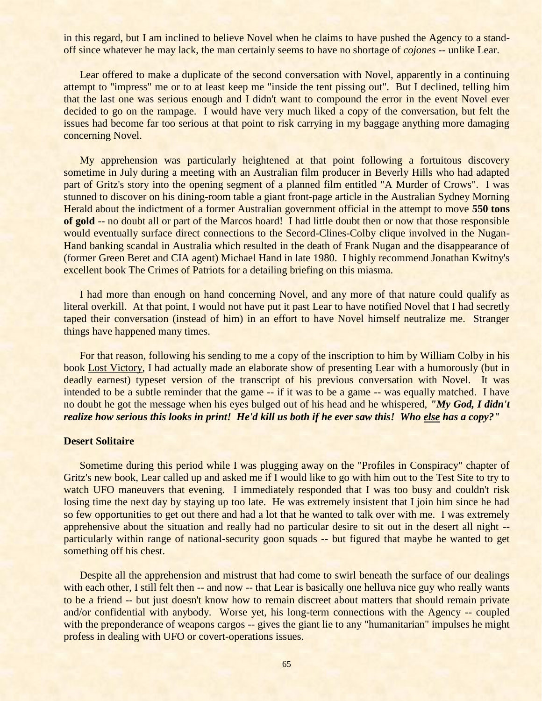in this regard, but I am inclined to believe Novel when he claims to have pushed the Agency to a standoff since whatever he may lack, the man certainly seems to have no shortage of *cojones* -- unlike Lear.

Lear offered to make a duplicate of the second conversation with Novel, apparently in a continuing attempt to "impress" me or to at least keep me "inside the tent pissing out". But I declined, telling him that the last one was serious enough and I didn't want to compound the error in the event Novel ever decided to go on the rampage. I would have very much liked a copy of the conversation, but felt the issues had become far too serious at that point to risk carrying in my baggage anything more damaging concerning Novel.

My apprehension was particularly heightened at that point following a fortuitous discovery sometime in July during a meeting with an Australian film producer in Beverly Hills who had adapted part of Gritz's story into the opening segment of a planned film entitled "A Murder of Crows". I was stunned to discover on his dining-room table a giant front-page article in the Australian Sydney Morning Herald about the indictment of a former Australian government official in the attempt to move **550 tons of gold** -- no doubt all or part of the Marcos hoard! I had little doubt then or now that those responsible would eventually surface direct connections to the Secord-Clines-Colby clique involved in the Nugan-Hand banking scandal in Australia which resulted in the death of Frank Nugan and the disappearance of (former Green Beret and CIA agent) Michael Hand in late 1980. I highly recommend Jonathan Kwitny's excellent book The Crimes of Patriots for a detailing briefing on this miasma.

I had more than enough on hand concerning Novel, and any more of that nature could qualify as literal overkill. At that point, I would not have put it past Lear to have notified Novel that I had secretly taped their conversation (instead of him) in an effort to have Novel himself neutralize me. Stranger things have happened many times.

For that reason, following his sending to me a copy of the inscription to him by William Colby in his book Lost Victory, I had actually made an elaborate show of presenting Lear with a humorously (but in deadly earnest) typeset version of the transcript of his previous conversation with Novel. It was intended to be a subtle reminder that the game -- if it was to be a game -- was equally matched. I have no doubt he got the message when his eyes bulged out of his head and he whispered, *"My God, I didn't realize how serious this looks in print! He'd kill us both if he ever saw this! Who else has a copy?"*

# **Desert Solitaire**

Sometime during this period while I was plugging away on the "Profiles in Conspiracy" chapter of Gritz's new book, Lear called up and asked me if I would like to go with him out to the Test Site to try to watch UFO maneuvers that evening. I immediately responded that I was too busy and couldn't risk losing time the next day by staying up too late. He was extremely insistent that I join him since he had so few opportunities to get out there and had a lot that he wanted to talk over with me. I was extremely apprehensive about the situation and really had no particular desire to sit out in the desert all night - particularly within range of national-security goon squads -- but figured that maybe he wanted to get something off his chest.

Despite all the apprehension and mistrust that had come to swirl beneath the surface of our dealings with each other, I still felt then -- and now -- that Lear is basically one helluva nice guy who really wants to be a friend -- but just doesn't know how to remain discreet about matters that should remain private and/or confidential with anybody. Worse yet, his long-term connections with the Agency -- coupled with the preponderance of weapons cargos -- gives the giant lie to any "humanitarian" impulses he might profess in dealing with UFO or covert-operations issues.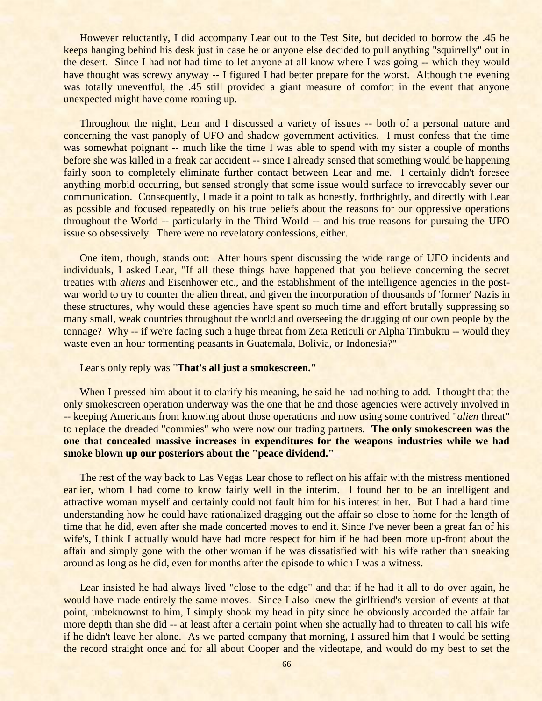However reluctantly, I did accompany Lear out to the Test Site, but decided to borrow the .45 he keeps hanging behind his desk just in case he or anyone else decided to pull anything "squirrelly" out in the desert. Since I had not had time to let anyone at all know where I was going -- which they would have thought was screwy anyway -- I figured I had better prepare for the worst. Although the evening was totally uneventful, the .45 still provided a giant measure of comfort in the event that anyone unexpected might have come roaring up.

Throughout the night, Lear and I discussed a variety of issues -- both of a personal nature and concerning the vast panoply of UFO and shadow government activities. I must confess that the time was somewhat poignant -- much like the time I was able to spend with my sister a couple of months before she was killed in a freak car accident -- since I already sensed that something would be happening fairly soon to completely eliminate further contact between Lear and me. I certainly didn't foresee anything morbid occurring, but sensed strongly that some issue would surface to irrevocably sever our communication. Consequently, I made it a point to talk as honestly, forthrightly, and directly with Lear as possible and focused repeatedly on his true beliefs about the reasons for our oppressive operations throughout the World -- particularly in the Third World -- and his true reasons for pursuing the UFO issue so obsessively. There were no revelatory confessions, either.

One item, though, stands out: After hours spent discussing the wide range of UFO incidents and individuals, I asked Lear, "If all these things have happened that you believe concerning the secret treaties with *aliens* and Eisenhower etc., and the establishment of the intelligence agencies in the postwar world to try to counter the alien threat, and given the incorporation of thousands of 'former' Nazis in these structures, why would these agencies have spent so much time and effort brutally suppressing so many small, weak countries throughout the world and overseeing the drugging of our own people by the tonnage? Why -- if we're facing such a huge threat from Zeta Reticuli or Alpha Timbuktu -- would they waste even an hour tormenting peasants in Guatemala, Bolivia, or Indonesia?"

## Lear's only reply was "**That's all just a smokescreen."**

When I pressed him about it to clarify his meaning, he said he had nothing to add. I thought that the only smokescreen operation underway was the one that he and those agencies were actively involved in -- keeping Americans from knowing about those operations and now using some contrived "*alien* threat" to replace the dreaded "commies" who were now our trading partners. **The only smokescreen was the one that concealed massive increases in expenditures for the weapons industries while we had smoke blown up our posteriors about the "peace dividend."**

The rest of the way back to Las Vegas Lear chose to reflect on his affair with the mistress mentioned earlier, whom I had come to know fairly well in the interim. I found her to be an intelligent and attractive woman myself and certainly could not fault him for his interest in her. But I had a hard time understanding how he could have rationalized dragging out the affair so close to home for the length of time that he did, even after she made concerted moves to end it. Since I've never been a great fan of his wife's, I think I actually would have had more respect for him if he had been more up-front about the affair and simply gone with the other woman if he was dissatisfied with his wife rather than sneaking around as long as he did, even for months after the episode to which I was a witness.

Lear insisted he had always lived "close to the edge" and that if he had it all to do over again, he would have made entirely the same moves. Since I also knew the girlfriend's version of events at that point, unbeknownst to him, I simply shook my head in pity since he obviously accorded the affair far more depth than she did -- at least after a certain point when she actually had to threaten to call his wife if he didn't leave her alone. As we parted company that morning, I assured him that I would be setting the record straight once and for all about Cooper and the videotape, and would do my best to set the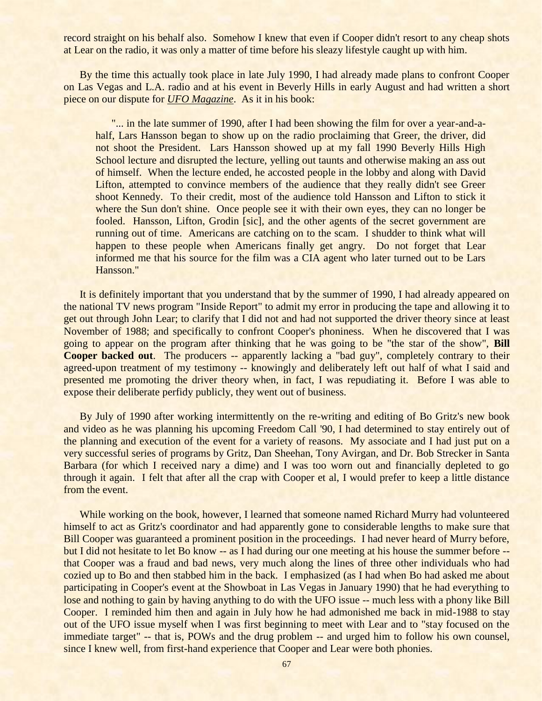record straight on his behalf also. Somehow I knew that even if Cooper didn't resort to any cheap shots at Lear on the radio, it was only a matter of time before his sleazy lifestyle caught up with him.

By the time this actually took place in late July 1990, I had already made plans to confront Cooper on Las Vegas and L.A. radio and at his event in Beverly Hills in early August and had written a short piece on our dispute for *UFO Magazine*. As it in his book:

"... in the late summer of 1990, after I had been showing the film for over a year-and-ahalf, Lars Hansson began to show up on the radio proclaiming that Greer, the driver, did not shoot the President. Lars Hansson showed up at my fall 1990 Beverly Hills High School lecture and disrupted the lecture, yelling out taunts and otherwise making an ass out of himself. When the lecture ended, he accosted people in the lobby and along with David Lifton, attempted to convince members of the audience that they really didn't see Greer shoot Kennedy. To their credit, most of the audience told Hansson and Lifton to stick it where the Sun don't shine. Once people see it with their own eyes, they can no longer be fooled. Hansson, Lifton, Grodin [sic], and the other agents of the secret government are running out of time. Americans are catching on to the scam. I shudder to think what will happen to these people when Americans finally get angry. Do not forget that Lear informed me that his source for the film was a CIA agent who later turned out to be Lars Hansson."

It is definitely important that you understand that by the summer of 1990, I had already appeared on the national TV news program "Inside Report" to admit my error in producing the tape and allowing it to get out through John Lear; to clarify that I did not and had not supported the driver theory since at least November of 1988; and specifically to confront Cooper's phoniness. When he discovered that I was going to appear on the program after thinking that he was going to be "the star of the show", **Bill Cooper backed out**. The producers -- apparently lacking a "bad guy", completely contrary to their agreed-upon treatment of my testimony -- knowingly and deliberately left out half of what I said and presented me promoting the driver theory when, in fact, I was repudiating it. Before I was able to expose their deliberate perfidy publicly, they went out of business.

By July of 1990 after working intermittently on the re-writing and editing of Bo Gritz's new book and video as he was planning his upcoming Freedom Call '90, I had determined to stay entirely out of the planning and execution of the event for a variety of reasons. My associate and I had just put on a very successful series of programs by Gritz, Dan Sheehan, Tony Avirgan, and Dr. Bob Strecker in Santa Barbara (for which I received nary a dime) and I was too worn out and financially depleted to go through it again. I felt that after all the crap with Cooper et al, I would prefer to keep a little distance from the event.

While working on the book, however, I learned that someone named Richard Murry had volunteered himself to act as Gritz's coordinator and had apparently gone to considerable lengths to make sure that Bill Cooper was guaranteed a prominent position in the proceedings. I had never heard of Murry before, but I did not hesitate to let Bo know -- as I had during our one meeting at his house the summer before - that Cooper was a fraud and bad news, very much along the lines of three other individuals who had cozied up to Bo and then stabbed him in the back. I emphasized (as I had when Bo had asked me about participating in Cooper's event at the Showboat in Las Vegas in January 1990) that he had everything to lose and nothing to gain by having anything to do with the UFO issue -- much less with a phony like Bill Cooper. I reminded him then and again in July how he had admonished me back in mid-1988 to stay out of the UFO issue myself when I was first beginning to meet with Lear and to "stay focused on the immediate target" -- that is, POWs and the drug problem -- and urged him to follow his own counsel, since I knew well, from first-hand experience that Cooper and Lear were both phonies.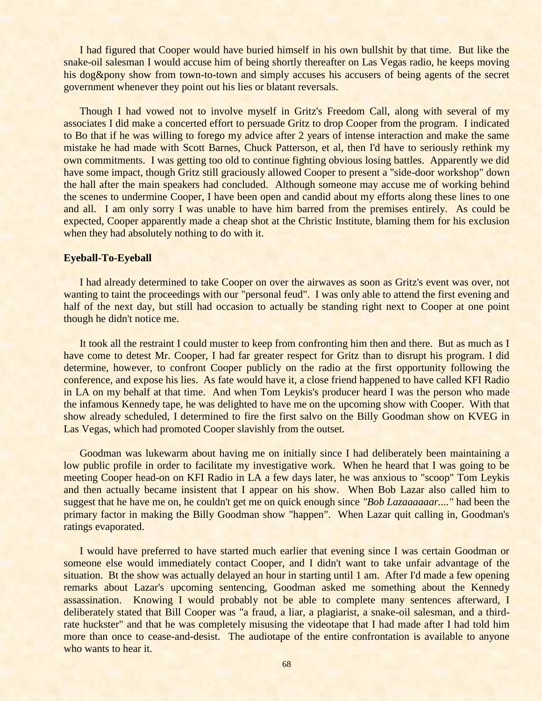I had figured that Cooper would have buried himself in his own bullshit by that time. But like the snake-oil salesman I would accuse him of being shortly thereafter on Las Vegas radio, he keeps moving his dog&pony show from town-to-town and simply accuses his accusers of being agents of the secret government whenever they point out his lies or blatant reversals.

Though I had vowed not to involve myself in Gritz's Freedom Call, along with several of my associates I did make a concerted effort to persuade Gritz to drop Cooper from the program. I indicated to Bo that if he was willing to forego my advice after 2 years of intense interaction and make the same mistake he had made with Scott Barnes, Chuck Patterson, et al, then I'd have to seriously rethink my own commitments. I was getting too old to continue fighting obvious losing battles. Apparently we did have some impact, though Gritz still graciously allowed Cooper to present a "side-door workshop" down the hall after the main speakers had concluded. Although someone may accuse me of working behind the scenes to undermine Cooper, I have been open and candid about my efforts along these lines to one and all. I am only sorry I was unable to have him barred from the premises entirely. As could be expected, Cooper apparently made a cheap shot at the Christic Institute, blaming them for his exclusion when they had absolutely nothing to do with it.

### **Eyeball-To-Eyeball**

I had already determined to take Cooper on over the airwaves as soon as Gritz's event was over, not wanting to taint the proceedings with our "personal feud". I was only able to attend the first evening and half of the next day, but still had occasion to actually be standing right next to Cooper at one point though he didn't notice me.

It took all the restraint I could muster to keep from confronting him then and there. But as much as I have come to detest Mr. Cooper, I had far greater respect for Gritz than to disrupt his program. I did determine, however, to confront Cooper publicly on the radio at the first opportunity following the conference, and expose his lies. As fate would have it, a close friend happened to have called KFI Radio in LA on my behalf at that time. And when Tom Leykis's producer heard I was the person who made the infamous Kennedy tape, he was delighted to have me on the upcoming show with Cooper. With that show already scheduled, I determined to fire the first salvo on the Billy Goodman show on KVEG in Las Vegas, which had promoted Cooper slavishly from the outset.

Goodman was lukewarm about having me on initially since I had deliberately been maintaining a low public profile in order to facilitate my investigative work. When he heard that I was going to be meeting Cooper head-on on KFI Radio in LA a few days later, he was anxious to "scoop" Tom Leykis and then actually became insistent that I appear on his show. When Bob Lazar also called him to suggest that he have me on, he couldn't get me on quick enough since *"Bob Lazaaaaaar...."* had been the primary factor in making the Billy Goodman show "happen". When Lazar quit calling in, Goodman's ratings evaporated.

I would have preferred to have started much earlier that evening since I was certain Goodman or someone else would immediately contact Cooper, and I didn't want to take unfair advantage of the situation. Bt the show was actually delayed an hour in starting until 1 am. After I'd made a few opening remarks about Lazar's upcoming sentencing, Goodman asked me something about the Kennedy assassination. Knowing I would probably not be able to complete many sentences afterward, I deliberately stated that Bill Cooper was "a fraud, a liar, a plagiarist, a snake-oil salesman, and a thirdrate huckster" and that he was completely misusing the videotape that I had made after I had told him more than once to cease-and-desist. The audiotape of the entire confrontation is available to anyone who wants to hear it.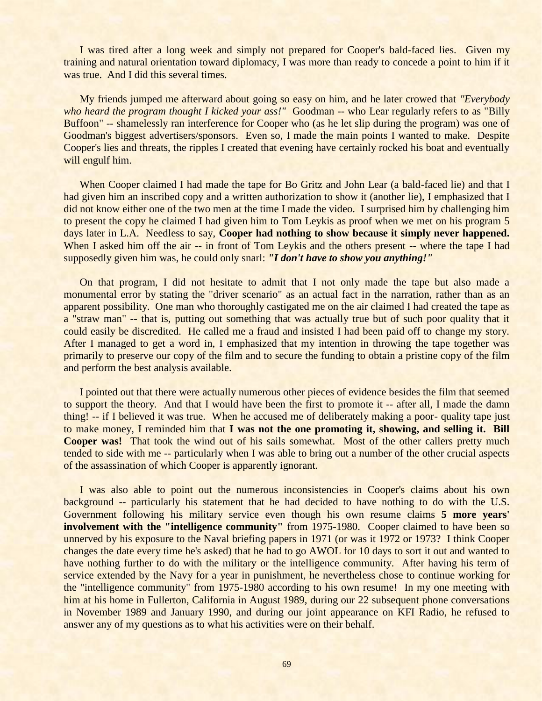I was tired after a long week and simply not prepared for Cooper's bald-faced lies. Given my training and natural orientation toward diplomacy, I was more than ready to concede a point to him if it was true. And I did this several times.

My friends jumped me afterward about going so easy on him, and he later crowed that *"Everybody who heard the program thought I kicked your ass!"* Goodman -- who Lear regularly refers to as "Billy Buffoon" -- shamelessly ran interference for Cooper who (as he let slip during the program) was one of Goodman's biggest advertisers/sponsors. Even so, I made the main points I wanted to make. Despite Cooper's lies and threats, the ripples I created that evening have certainly rocked his boat and eventually will engulf him.

When Cooper claimed I had made the tape for Bo Gritz and John Lear (a bald-faced lie) and that I had given him an inscribed copy and a written authorization to show it (another lie), I emphasized that I did not know either one of the two men at the time I made the video. I surprised him by challenging him to present the copy he claimed I had given him to Tom Leykis as proof when we met on his program 5 days later in L.A. Needless to say, **Cooper had nothing to show because it simply never happened.** When I asked him off the air -- in front of Tom Leykis and the others present -- where the tape I had supposedly given him was, he could only snarl: *"I don't have to show you anything!"*

On that program, I did not hesitate to admit that I not only made the tape but also made a monumental error by stating the "driver scenario" as an actual fact in the narration, rather than as an apparent possibility. One man who thoroughly castigated me on the air claimed I had created the tape as a "straw man" -- that is, putting out something that was actually true but of such poor quality that it could easily be discredited. He called me a fraud and insisted I had been paid off to change my story. After I managed to get a word in, I emphasized that my intention in throwing the tape together was primarily to preserve our copy of the film and to secure the funding to obtain a pristine copy of the film and perform the best analysis available.

I pointed out that there were actually numerous other pieces of evidence besides the film that seemed to support the theory. And that I would have been the first to promote it -- after all, I made the damn thing! -- if I believed it was true. When he accused me of deliberately making a poor- quality tape just to make money, I reminded him that **I was not the one promoting it, showing, and selling it. Bill Cooper was!** That took the wind out of his sails somewhat. Most of the other callers pretty much tended to side with me -- particularly when I was able to bring out a number of the other crucial aspects of the assassination of which Cooper is apparently ignorant.

I was also able to point out the numerous inconsistencies in Cooper's claims about his own background -- particularly his statement that he had decided to have nothing to do with the U.S. Government following his military service even though his own resume claims **5 more years' involvement with the "intelligence community"** from 1975-1980. Cooper claimed to have been so unnerved by his exposure to the Naval briefing papers in 1971 (or was it 1972 or 1973? I think Cooper changes the date every time he's asked) that he had to go AWOL for 10 days to sort it out and wanted to have nothing further to do with the military or the intelligence community. After having his term of service extended by the Navy for a year in punishment, he nevertheless chose to continue working for the "intelligence community" from 1975-1980 according to his own resume! In my one meeting with him at his home in Fullerton, California in August 1989, during our 22 subsequent phone conversations in November 1989 and January 1990, and during our joint appearance on KFI Radio, he refused to answer any of my questions as to what his activities were on their behalf.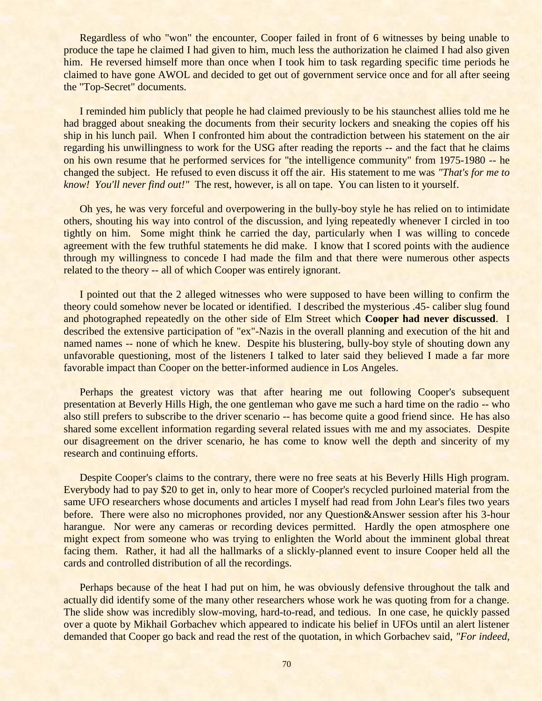Regardless of who "won" the encounter, Cooper failed in front of 6 witnesses by being unable to produce the tape he claimed I had given to him, much less the authorization he claimed I had also given him. He reversed himself more than once when I took him to task regarding specific time periods he claimed to have gone AWOL and decided to get out of government service once and for all after seeing the "Top-Secret" documents.

I reminded him publicly that people he had claimed previously to be his staunchest allies told me he had bragged about sneaking the documents from their security lockers and sneaking the copies off his ship in his lunch pail. When I confronted him about the contradiction between his statement on the air regarding his unwillingness to work for the USG after reading the reports -- and the fact that he claims on his own resume that he performed services for "the intelligence community" from 1975-1980 -- he changed the subject. He refused to even discuss it off the air. His statement to me was *"That's for me to know! You'll never find out!"* The rest, however, is all on tape. You can listen to it yourself.

Oh yes, he was very forceful and overpowering in the bully-boy style he has relied on to intimidate others, shouting his way into control of the discussion, and lying repeatedly whenever I circled in too tightly on him. Some might think he carried the day, particularly when I was willing to concede agreement with the few truthful statements he did make. I know that I scored points with the audience through my willingness to concede I had made the film and that there were numerous other aspects related to the theory -- all of which Cooper was entirely ignorant.

I pointed out that the 2 alleged witnesses who were supposed to have been willing to confirm the theory could somehow never be located or identified. I described the mysterious .45- caliber slug found and photographed repeatedly on the other side of Elm Street which **Cooper had never discussed**. I described the extensive participation of "ex"-Nazis in the overall planning and execution of the hit and named names -- none of which he knew. Despite his blustering, bully-boy style of shouting down any unfavorable questioning, most of the listeners I talked to later said they believed I made a far more favorable impact than Cooper on the better-informed audience in Los Angeles.

Perhaps the greatest victory was that after hearing me out following Cooper's subsequent presentation at Beverly Hills High, the one gentleman who gave me such a hard time on the radio -- who also still prefers to subscribe to the driver scenario -- has become quite a good friend since. He has also shared some excellent information regarding several related issues with me and my associates. Despite our disagreement on the driver scenario, he has come to know well the depth and sincerity of my research and continuing efforts.

Despite Cooper's claims to the contrary, there were no free seats at his Beverly Hills High program. Everybody had to pay \$20 to get in, only to hear more of Cooper's recycled purloined material from the same UFO researchers whose documents and articles I myself had read from John Lear's files two years before. There were also no microphones provided, nor any Question&Answer session after his 3-hour harangue. Nor were any cameras or recording devices permitted. Hardly the open atmosphere one might expect from someone who was trying to enlighten the World about the imminent global threat facing them. Rather, it had all the hallmarks of a slickly-planned event to insure Cooper held all the cards and controlled distribution of all the recordings.

Perhaps because of the heat I had put on him, he was obviously defensive throughout the talk and actually did identify some of the many other researchers whose work he was quoting from for a change. The slide show was incredibly slow-moving, hard-to-read, and tedious. In one case, he quickly passed over a quote by Mikhail Gorbachev which appeared to indicate his belief in UFOs until an alert listener demanded that Cooper go back and read the rest of the quotation, in which Gorbachev said, *"For indeed,*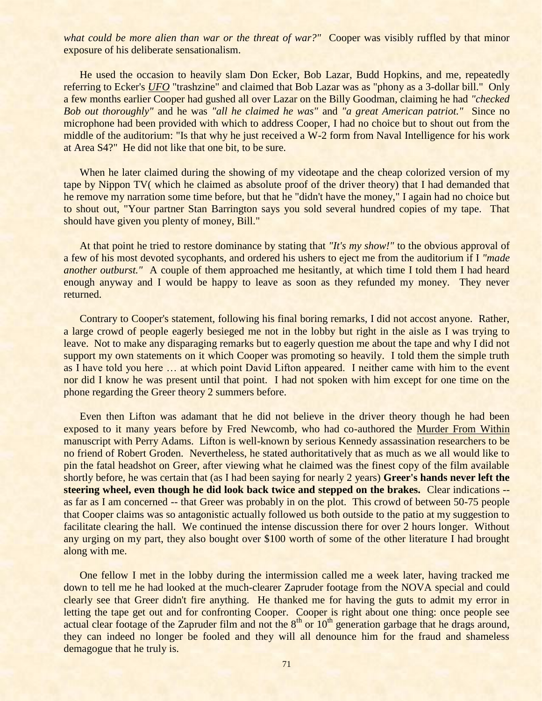what could be more alien than war or the threat of war?" Cooper was visibly ruffled by that minor exposure of his deliberate sensationalism.

He used the occasion to heavily slam Don Ecker, Bob Lazar, Budd Hopkins, and me, repeatedly referring to Ecker's *UFO* "trashzine" and claimed that Bob Lazar was as "phony as a 3-dollar bill." Only a few months earlier Cooper had gushed all over Lazar on the Billy Goodman, claiming he had *"checked Bob out thoroughly"* and he was *"all he claimed he was"* and *"a great American patriot."* Since no microphone had been provided with which to address Cooper, I had no choice but to shout out from the middle of the auditorium: "Is that why he just received a W-2 form from Naval Intelligence for his work at Area S4?" He did not like that one bit, to be sure.

When he later claimed during the showing of my videotape and the cheap colorized version of my tape by Nippon TV( which he claimed as absolute proof of the driver theory) that I had demanded that he remove my narration some time before, but that he "didn't have the money," I again had no choice but to shout out, "Your partner Stan Barrington says you sold several hundred copies of my tape. That should have given you plenty of money, Bill."

At that point he tried to restore dominance by stating that *"It's my show!"* to the obvious approval of a few of his most devoted sycophants, and ordered his ushers to eject me from the auditorium if I *"made another outburst.*" A couple of them approached me hesitantly, at which time I told them I had heard enough anyway and I would be happy to leave as soon as they refunded my money. They never returned.

Contrary to Cooper's statement, following his final boring remarks, I did not accost anyone. Rather, a large crowd of people eagerly besieged me not in the lobby but right in the aisle as I was trying to leave. Not to make any disparaging remarks but to eagerly question me about the tape and why I did not support my own statements on it which Cooper was promoting so heavily. I told them the simple truth as I have told you here … at which point David Lifton appeared. I neither came with him to the event nor did I know he was present until that point. I had not spoken with him except for one time on the phone regarding the Greer theory 2 summers before.

Even then Lifton was adamant that he did not believe in the driver theory though he had been exposed to it many years before by Fred Newcomb, who had co-authored the Murder From Within manuscript with Perry Adams. Lifton is well-known by serious Kennedy assassination researchers to be no friend of Robert Groden. Nevertheless, he stated authoritatively that as much as we all would like to pin the fatal headshot on Greer, after viewing what he claimed was the finest copy of the film available shortly before, he was certain that (as I had been saying for nearly 2 years) **Greer's hands never left the steering wheel, even though he did look back twice and stepped on the brakes.** Clear indications - as far as I am concerned -- that Greer was probably in on the plot. This crowd of between 50-75 people that Cooper claims was so antagonistic actually followed us both outside to the patio at my suggestion to facilitate clearing the hall. We continued the intense discussion there for over 2 hours longer. Without any urging on my part, they also bought over \$100 worth of some of the other literature I had brought along with me.

One fellow I met in the lobby during the intermission called me a week later, having tracked me down to tell me he had looked at the much-clearer Zapruder footage from the NOVA special and could clearly see that Greer didn't fire anything. He thanked me for having the guts to admit my error in letting the tape get out and for confronting Cooper. Cooper is right about one thing: once people see actual clear footage of the Zapruder film and not the  $8<sup>th</sup>$  or  $10<sup>th</sup>$  generation garbage that he drags around, they can indeed no longer be fooled and they will all denounce him for the fraud and shameless demagogue that he truly is.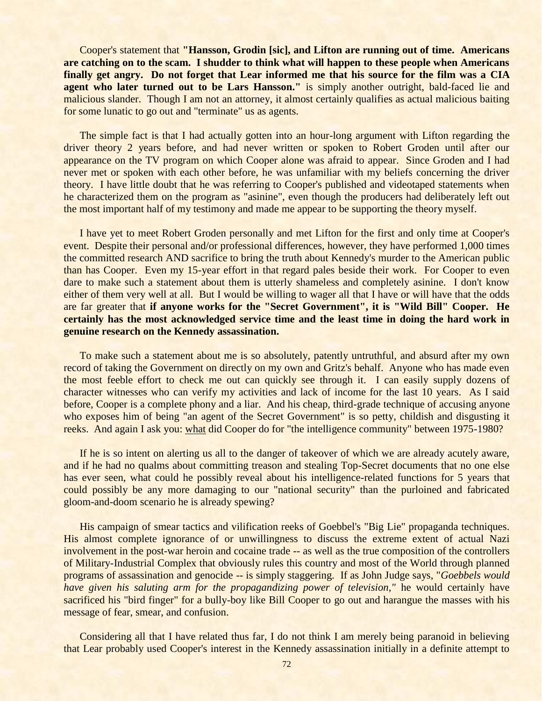Cooper's statement that **"Hansson, Grodin [sic], and Lifton are running out of time. Americans are catching on to the scam. I shudder to think what will happen to these people when Americans finally get angry. Do not forget that Lear informed me that his source for the film was a CIA agent who later turned out to be Lars Hansson."** is simply another outright, bald-faced lie and malicious slander. Though I am not an attorney, it almost certainly qualifies as actual malicious baiting for some lunatic to go out and "terminate" us as agents.

The simple fact is that I had actually gotten into an hour-long argument with Lifton regarding the driver theory 2 years before, and had never written or spoken to Robert Groden until after our appearance on the TV program on which Cooper alone was afraid to appear. Since Groden and I had never met or spoken with each other before, he was unfamiliar with my beliefs concerning the driver theory. I have little doubt that he was referring to Cooper's published and videotaped statements when he characterized them on the program as "asinine", even though the producers had deliberately left out the most important half of my testimony and made me appear to be supporting the theory myself.

I have yet to meet Robert Groden personally and met Lifton for the first and only time at Cooper's event. Despite their personal and/or professional differences, however, they have performed 1,000 times the committed research AND sacrifice to bring the truth about Kennedy's murder to the American public than has Cooper. Even my 15-year effort in that regard pales beside their work. For Cooper to even dare to make such a statement about them is utterly shameless and completely asinine. I don't know either of them very well at all. But I would be willing to wager all that I have or will have that the odds are far greater that **if anyone works for the "Secret Government", it is "Wild Bill" Cooper. He certainly has the most acknowledged service time and the least time in doing the hard work in genuine research on the Kennedy assassination.**

To make such a statement about me is so absolutely, patently untruthful, and absurd after my own record of taking the Government on directly on my own and Gritz's behalf. Anyone who has made even the most feeble effort to check me out can quickly see through it. I can easily supply dozens of character witnesses who can verify my activities and lack of income for the last 10 years. As I said before, Cooper is a complete phony and a liar. And his cheap, third-grade technique of accusing anyone who exposes him of being "an agent of the Secret Government" is so petty, childish and disgusting it reeks. And again I ask you: what did Cooper do for "the intelligence community" between 1975-1980?

If he is so intent on alerting us all to the danger of takeover of which we are already acutely aware, and if he had no qualms about committing treason and stealing Top-Secret documents that no one else has ever seen, what could he possibly reveal about his intelligence-related functions for 5 years that could possibly be any more damaging to our "national security" than the purloined and fabricated gloom-and-doom scenario he is already spewing?

His campaign of smear tactics and vilification reeks of Goebbel's "Big Lie" propaganda techniques. His almost complete ignorance of or unwillingness to discuss the extreme extent of actual Nazi involvement in the post-war heroin and cocaine trade -- as well as the true composition of the controllers of Military-Industrial Complex that obviously rules this country and most of the World through planned programs of assassination and genocide -- is simply staggering. If as John Judge says, "*Goebbels would have given his saluting arm for the propagandizing power of television,"* he would certainly have sacrificed his "bird finger" for a bully-boy like Bill Cooper to go out and harangue the masses with his message of fear, smear, and confusion.

Considering all that I have related thus far, I do not think I am merely being paranoid in believing that Lear probably used Cooper's interest in the Kennedy assassination initially in a definite attempt to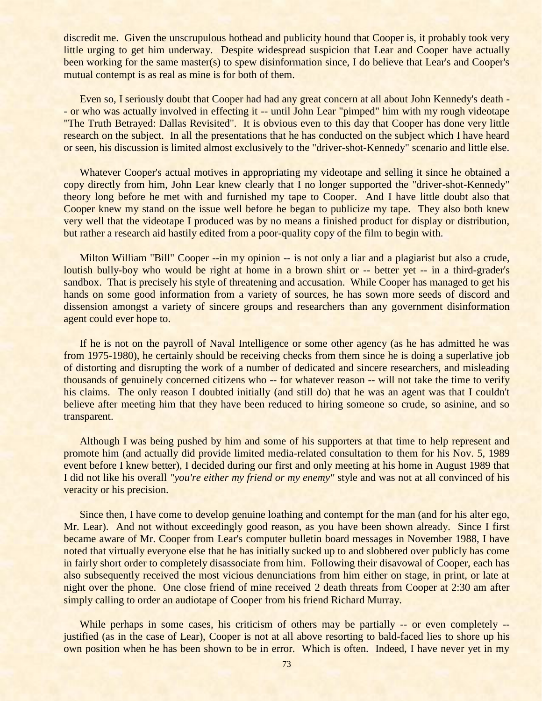discredit me. Given the unscrupulous hothead and publicity hound that Cooper is, it probably took very little urging to get him underway. Despite widespread suspicion that Lear and Cooper have actually been working for the same master(s) to spew disinformation since, I do believe that Lear's and Cooper's mutual contempt is as real as mine is for both of them.

Even so, I seriously doubt that Cooper had had any great concern at all about John Kennedy's death - - or who was actually involved in effecting it -- until John Lear "pimped" him with my rough videotape "The Truth Betrayed: Dallas Revisited". It is obvious even to this day that Cooper has done very little research on the subject. In all the presentations that he has conducted on the subject which I have heard or seen, his discussion is limited almost exclusively to the "driver-shot-Kennedy" scenario and little else.

Whatever Cooper's actual motives in appropriating my videotape and selling it since he obtained a copy directly from him, John Lear knew clearly that I no longer supported the "driver-shot-Kennedy" theory long before he met with and furnished my tape to Cooper. And I have little doubt also that Cooper knew my stand on the issue well before he began to publicize my tape. They also both knew very well that the videotape I produced was by no means a finished product for display or distribution, but rather a research aid hastily edited from a poor-quality copy of the film to begin with.

Milton William "Bill" Cooper --in my opinion -- is not only a liar and a plagiarist but also a crude, loutish bully-boy who would be right at home in a brown shirt or -- better yet -- in a third-grader's sandbox. That is precisely his style of threatening and accusation. While Cooper has managed to get his hands on some good information from a variety of sources, he has sown more seeds of discord and dissension amongst a variety of sincere groups and researchers than any government disinformation agent could ever hope to.

If he is not on the payroll of Naval Intelligence or some other agency (as he has admitted he was from 1975-1980), he certainly should be receiving checks from them since he is doing a superlative job of distorting and disrupting the work of a number of dedicated and sincere researchers, and misleading thousands of genuinely concerned citizens who -- for whatever reason -- will not take the time to verify his claims. The only reason I doubted initially (and still do) that he was an agent was that I couldn't believe after meeting him that they have been reduced to hiring someone so crude, so asinine, and so transparent.

Although I was being pushed by him and some of his supporters at that time to help represent and promote him (and actually did provide limited media-related consultation to them for his Nov. 5, 1989 event before I knew better), I decided during our first and only meeting at his home in August 1989 that I did not like his overall *"you're either my friend or my enemy"* style and was not at all convinced of his veracity or his precision.

Since then, I have come to develop genuine loathing and contempt for the man (and for his alter ego, Mr. Lear). And not without exceedingly good reason, as you have been shown already. Since I first became aware of Mr. Cooper from Lear's computer bulletin board messages in November 1988, I have noted that virtually everyone else that he has initially sucked up to and slobbered over publicly has come in fairly short order to completely disassociate from him. Following their disavowal of Cooper, each has also subsequently received the most vicious denunciations from him either on stage, in print, or late at night over the phone. One close friend of mine received 2 death threats from Cooper at 2:30 am after simply calling to order an audiotape of Cooper from his friend Richard Murray.

While perhaps in some cases, his criticism of others may be partially -- or even completely -justified (as in the case of Lear), Cooper is not at all above resorting to bald-faced lies to shore up his own position when he has been shown to be in error. Which is often. Indeed, I have never yet in my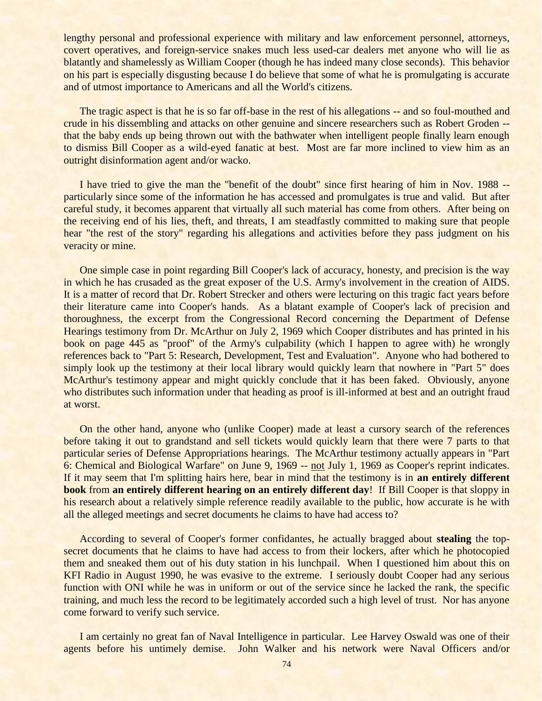lengthy personal and professional experience with military and law enforcement personnel, attorneys, covert operatives, and foreign-service snakes much less used-car dealers met anyone who will lie as blatantly and shamelessly as William Cooper (though he has indeed many close seconds). This behavior on his part is especially disgusting because I do believe that some of what he is promulgating is accurate and of utmost importance to Americans and all the World's citizens.

The tragic aspect is that he is so far off-base in the rest of his allegations -- and so foul-mouthed and crude in his dissembling and attacks on other genuine and sincere researchers such as Robert Groden - that the baby ends up being thrown out with the bathwater when intelligent people finally learn enough to dismiss Bill Cooper as a wild-eyed fanatic at best. Most are far more inclined to view him as an outright disinformation agent and/or wacko.

I have tried to give the man the "benefit of the doubt" since first hearing of him in Nov. 1988 - particularly since some of the information he has accessed and promulgates is true and valid. But after careful study, it becomes apparent that virtually all such material has come from others. After being on the receiving end of his lies, theft, and threats, I am steadfastly committed to making sure that people hear "the rest of the story" regarding his allegations and activities before they pass judgment on his veracity or mine.

One simple case in point regarding Bill Cooper's lack of accuracy, honesty, and precision is the way in which he has crusaded as the great exposer of the U.S. Army's involvement in the creation of AIDS. It is a matter of record that Dr. Robert Strecker and others were lecturing on this tragic fact years before their literature came into Cooper's hands. As a blatant example of Cooper's lack of precision and thoroughness, the excerpt from the Congressional Record concerning the Department of Defense Hearings testimony from Dr. McArthur on July 2, 1969 which Cooper distributes and has printed in his book on page 445 as "proof" of the Army's culpability (which I happen to agree with) he wrongly references back to "Part 5: Research, Development, Test and Evaluation". Anyone who had bothered to simply look up the testimony at their local library would quickly learn that nowhere in "Part 5" does McArthur's testimony appear and might quickly conclude that it has been faked. Obviously, anyone who distributes such information under that heading as proof is ill-informed at best and an outright fraud at worst.

On the other hand, anyone who (unlike Cooper) made at least a cursory search of the references before taking it out to grandstand and sell tickets would quickly learn that there were 7 parts to that particular series of Defense Appropriations hearings. The McArthur testimony actually appears in "Part 6: Chemical and Biological Warfare" on June 9, 1969 -- not July 1, 1969 as Cooper's reprint indicates. If it may seem that I'm splitting hairs here, bear in mind that the testimony is in **an entirely different book** from **an entirely different hearing on an entirely different day**! If Bill Cooper is that sloppy in his research about a relatively simple reference readily available to the public, how accurate is he with all the alleged meetings and secret documents he claims to have had access to?

According to several of Cooper's former confidantes, he actually bragged about **stealing** the topsecret documents that he claims to have had access to from their lockers, after which he photocopied them and sneaked them out of his duty station in his lunchpail. When I questioned him about this on KFI Radio in August 1990, he was evasive to the extreme. I seriously doubt Cooper had any serious function with ONI while he was in uniform or out of the service since he lacked the rank, the specific training, and much less the record to be legitimately accorded such a high level of trust. Nor has anyone come forward to verify such service.

I am certainly no great fan of Naval Intelligence in particular. Lee Harvey Oswald was one of their agents before his untimely demise. John Walker and his network were Naval Officers and/or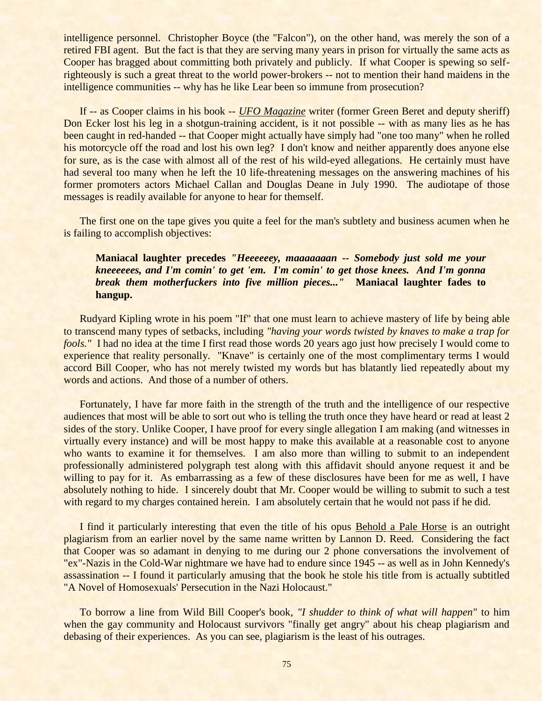intelligence personnel. Christopher Boyce (the "Falcon"), on the other hand, was merely the son of a retired FBI agent. But the fact is that they are serving many years in prison for virtually the same acts as Cooper has bragged about committing both privately and publicly. If what Cooper is spewing so selfrighteously is such a great threat to the world power-brokers -- not to mention their hand maidens in the intelligence communities -- why has he like Lear been so immune from prosecution?

If -- as Cooper claims in his book -- *UFO Magazine* writer (former Green Beret and deputy sheriff) Don Ecker lost his leg in a shotgun-training accident, is it not possible -- with as many lies as he has been caught in red-handed -- that Cooper might actually have simply had "one too many" when he rolled his motorcycle off the road and lost his own leg? I don't know and neither apparently does anyone else for sure, as is the case with almost all of the rest of his wild-eyed allegations. He certainly must have had several too many when he left the 10 life-threatening messages on the answering machines of his former promoters actors Michael Callan and Douglas Deane in July 1990. The audiotape of those messages is readily available for anyone to hear for themself.

The first one on the tape gives you quite a feel for the man's subtlety and business acumen when he is failing to accomplish objectives:

## **Maniacal laughter precedes** *"Heeeeeey, maaaaaaan -- Somebody just sold me your kneeeeees, and I'm comin' to get 'em. I'm comin' to get those knees. And I'm gonna break them motherfuckers into five million pieces..."* **Maniacal laughter fades to hangup.**

Rudyard Kipling wrote in his poem "If" that one must learn to achieve mastery of life by being able to transcend many types of setbacks, including *"having your words twisted by knaves to make a trap for fools."* I had no idea at the time I first read those words 20 years ago just how precisely I would come to experience that reality personally. "Knave" is certainly one of the most complimentary terms I would accord Bill Cooper, who has not merely twisted my words but has blatantly lied repeatedly about my words and actions. And those of a number of others.

Fortunately, I have far more faith in the strength of the truth and the intelligence of our respective audiences that most will be able to sort out who is telling the truth once they have heard or read at least 2 sides of the story. Unlike Cooper, I have proof for every single allegation I am making (and witnesses in virtually every instance) and will be most happy to make this available at a reasonable cost to anyone who wants to examine it for themselves. I am also more than willing to submit to an independent professionally administered polygraph test along with this affidavit should anyone request it and be willing to pay for it. As embarrassing as a few of these disclosures have been for me as well, I have absolutely nothing to hide. I sincerely doubt that Mr. Cooper would be willing to submit to such a test with regard to my charges contained herein. I am absolutely certain that he would not pass if he did.

I find it particularly interesting that even the title of his opus Behold a Pale Horse is an outright plagiarism from an earlier novel by the same name written by Lannon D. Reed. Considering the fact that Cooper was so adamant in denying to me during our 2 phone conversations the involvement of "ex"-Nazis in the Cold-War nightmare we have had to endure since 1945 -- as well as in John Kennedy's assassination -- I found it particularly amusing that the book he stole his title from is actually subtitled "A Novel of Homosexuals' Persecution in the Nazi Holocaust."

To borrow a line from Wild Bill Cooper's book, *"I shudder to think of what will happen"* to him when the gay community and Holocaust survivors "finally get angry" about his cheap plagiarism and debasing of their experiences. As you can see, plagiarism is the least of his outrages.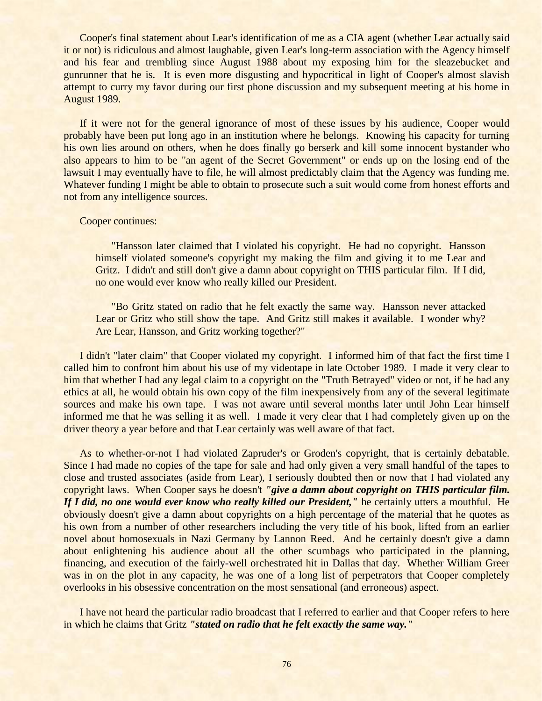Cooper's final statement about Lear's identification of me as a CIA agent (whether Lear actually said it or not) is ridiculous and almost laughable, given Lear's long-term association with the Agency himself and his fear and trembling since August 1988 about my exposing him for the sleazebucket and gunrunner that he is. It is even more disgusting and hypocritical in light of Cooper's almost slavish attempt to curry my favor during our first phone discussion and my subsequent meeting at his home in August 1989.

If it were not for the general ignorance of most of these issues by his audience, Cooper would probably have been put long ago in an institution where he belongs. Knowing his capacity for turning his own lies around on others, when he does finally go berserk and kill some innocent bystander who also appears to him to be "an agent of the Secret Government" or ends up on the losing end of the lawsuit I may eventually have to file, he will almost predictably claim that the Agency was funding me. Whatever funding I might be able to obtain to prosecute such a suit would come from honest efforts and not from any intelligence sources.

#### Cooper continues:

"Hansson later claimed that I violated his copyright. He had no copyright. Hansson himself violated someone's copyright my making the film and giving it to me Lear and Gritz. I didn't and still don't give a damn about copyright on THIS particular film. If I did, no one would ever know who really killed our President.

"Bo Gritz stated on radio that he felt exactly the same way. Hansson never attacked Lear or Gritz who still show the tape. And Gritz still makes it available. I wonder why? Are Lear, Hansson, and Gritz working together?"

I didn't "later claim" that Cooper violated my copyright. I informed him of that fact the first time I called him to confront him about his use of my videotape in late October 1989. I made it very clear to him that whether I had any legal claim to a copyright on the "Truth Betrayed" video or not, if he had any ethics at all, he would obtain his own copy of the film inexpensively from any of the several legitimate sources and make his own tape. I was not aware until several months later until John Lear himself informed me that he was selling it as well. I made it very clear that I had completely given up on the driver theory a year before and that Lear certainly was well aware of that fact.

As to whether-or-not I had violated Zapruder's or Groden's copyright, that is certainly debatable. Since I had made no copies of the tape for sale and had only given a very small handful of the tapes to close and trusted associates (aside from Lear), I seriously doubted then or now that I had violated any copyright laws. When Cooper says he doesn't *"give a damn about copyright on THIS particular film. If I did, no one would ever know who really killed our President,"* he certainly utters a mouthful. He obviously doesn't give a damn about copyrights on a high percentage of the material that he quotes as his own from a number of other researchers including the very title of his book, lifted from an earlier novel about homosexuals in Nazi Germany by Lannon Reed. And he certainly doesn't give a damn about enlightening his audience about all the other scumbags who participated in the planning, financing, and execution of the fairly-well orchestrated hit in Dallas that day. Whether William Greer was in on the plot in any capacity, he was one of a long list of perpetrators that Cooper completely overlooks in his obsessive concentration on the most sensational (and erroneous) aspect.

I have not heard the particular radio broadcast that I referred to earlier and that Cooper refers to here in which he claims that Gritz *"stated on radio that he felt exactly the same way."*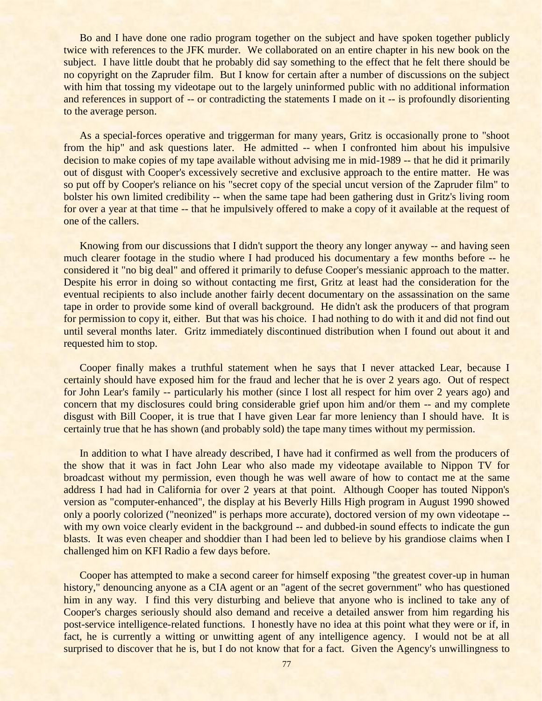Bo and I have done one radio program together on the subject and have spoken together publicly twice with references to the JFK murder. We collaborated on an entire chapter in his new book on the subject. I have little doubt that he probably did say something to the effect that he felt there should be no copyright on the Zapruder film. But I know for certain after a number of discussions on the subject with him that tossing my videotape out to the largely uninformed public with no additional information and references in support of -- or contradicting the statements I made on it -- is profoundly disorienting to the average person.

As a special-forces operative and triggerman for many years, Gritz is occasionally prone to "shoot from the hip" and ask questions later. He admitted -- when I confronted him about his impulsive decision to make copies of my tape available without advising me in mid-1989 -- that he did it primarily out of disgust with Cooper's excessively secretive and exclusive approach to the entire matter. He was so put off by Cooper's reliance on his "secret copy of the special uncut version of the Zapruder film" to bolster his own limited credibility -- when the same tape had been gathering dust in Gritz's living room for over a year at that time -- that he impulsively offered to make a copy of it available at the request of one of the callers.

Knowing from our discussions that I didn't support the theory any longer anyway -- and having seen much clearer footage in the studio where I had produced his documentary a few months before -- he considered it "no big deal" and offered it primarily to defuse Cooper's messianic approach to the matter. Despite his error in doing so without contacting me first, Gritz at least had the consideration for the eventual recipients to also include another fairly decent documentary on the assassination on the same tape in order to provide some kind of overall background. He didn't ask the producers of that program for permission to copy it, either. But that was his choice. I had nothing to do with it and did not find out until several months later. Gritz immediately discontinued distribution when I found out about it and requested him to stop.

Cooper finally makes a truthful statement when he says that I never attacked Lear, because I certainly should have exposed him for the fraud and lecher that he is over 2 years ago. Out of respect for John Lear's family -- particularly his mother (since I lost all respect for him over 2 years ago) and concern that my disclosures could bring considerable grief upon him and/or them -- and my complete disgust with Bill Cooper, it is true that I have given Lear far more leniency than I should have. It is certainly true that he has shown (and probably sold) the tape many times without my permission.

In addition to what I have already described, I have had it confirmed as well from the producers of the show that it was in fact John Lear who also made my videotape available to Nippon TV for broadcast without my permission, even though he was well aware of how to contact me at the same address I had had in California for over 2 years at that point. Although Cooper has touted Nippon's version as "computer-enhanced", the display at his Beverly Hills High program in August 1990 showed only a poorly colorized ("neonized" is perhaps more accurate), doctored version of my own videotape - with my own voice clearly evident in the background -- and dubbed-in sound effects to indicate the gun blasts. It was even cheaper and shoddier than I had been led to believe by his grandiose claims when I challenged him on KFI Radio a few days before.

Cooper has attempted to make a second career for himself exposing "the greatest cover-up in human history," denouncing anyone as a CIA agent or an "agent of the secret government" who has questioned him in any way. I find this very disturbing and believe that anyone who is inclined to take any of Cooper's charges seriously should also demand and receive a detailed answer from him regarding his post-service intelligence-related functions. I honestly have no idea at this point what they were or if, in fact, he is currently a witting or unwitting agent of any intelligence agency. I would not be at all surprised to discover that he is, but I do not know that for a fact. Given the Agency's unwillingness to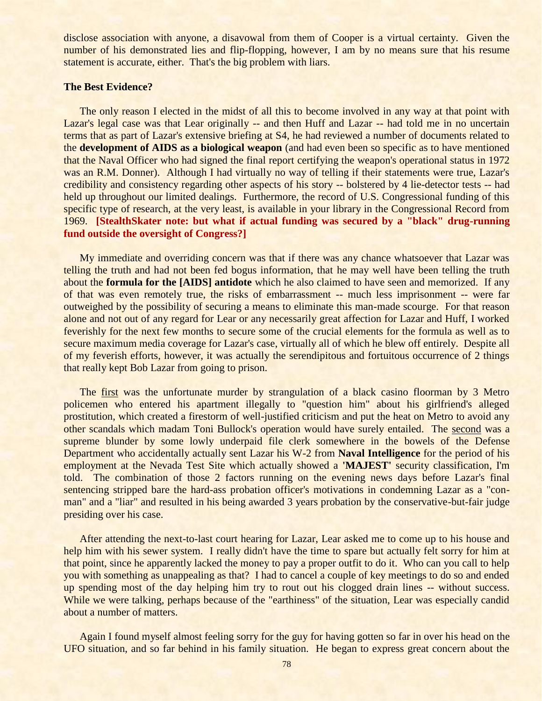disclose association with anyone, a disavowal from them of Cooper is a virtual certainty. Given the number of his demonstrated lies and flip-flopping, however, I am by no means sure that his resume statement is accurate, either. That's the big problem with liars.

## **The Best Evidence?**

The only reason I elected in the midst of all this to become involved in any way at that point with Lazar's legal case was that Lear originally -- and then Huff and Lazar -- had told me in no uncertain terms that as part of Lazar's extensive briefing at S4, he had reviewed a number of documents related to the **development of AIDS as a biological weapon** (and had even been so specific as to have mentioned that the Naval Officer who had signed the final report certifying the weapon's operational status in 1972 was an R.M. Donner). Although I had virtually no way of telling if their statements were true, Lazar's credibility and consistency regarding other aspects of his story -- bolstered by 4 lie-detector tests -- had held up throughout our limited dealings. Furthermore, the record of U.S. Congressional funding of this specific type of research, at the very least, is available in your library in the Congressional Record from 1969. **[StealthSkater note: but what if actual funding was secured by a "black" drug-running fund outside the oversight of Congress?]**

My immediate and overriding concern was that if there was any chance whatsoever that Lazar was telling the truth and had not been fed bogus information, that he may well have been telling the truth about the **formula for the [AIDS] antidote** which he also claimed to have seen and memorized. If any of that was even remotely true, the risks of embarrassment -- much less imprisonment -- were far outweighed by the possibility of securing a means to eliminate this man-made scourge. For that reason alone and not out of any regard for Lear or any necessarily great affection for Lazar and Huff, I worked feverishly for the next few months to secure some of the crucial elements for the formula as well as to secure maximum media coverage for Lazar's case, virtually all of which he blew off entirely. Despite all of my feverish efforts, however, it was actually the serendipitous and fortuitous occurrence of 2 things that really kept Bob Lazar from going to prison.

The first was the unfortunate murder by strangulation of a black casino floorman by 3 Metro policemen who entered his apartment illegally to "question him" about his girlfriend's alleged prostitution, which created a firestorm of well-justified criticism and put the heat on Metro to avoid any other scandals which madam Toni Bullock's operation would have surely entailed. The second was a supreme blunder by some lowly underpaid file clerk somewhere in the bowels of the Defense Department who accidentally actually sent Lazar his W-2 from **Naval Intelligence** for the period of his employment at the Nevada Test Site which actually showed a **'MAJEST'** security classification, I'm told. The combination of those 2 factors running on the evening news days before Lazar's final sentencing stripped bare the hard-ass probation officer's motivations in condemning Lazar as a "conman" and a "liar" and resulted in his being awarded 3 years probation by the conservative-but-fair judge presiding over his case.

After attending the next-to-last court hearing for Lazar, Lear asked me to come up to his house and help him with his sewer system. I really didn't have the time to spare but actually felt sorry for him at that point, since he apparently lacked the money to pay a proper outfit to do it. Who can you call to help you with something as unappealing as that? I had to cancel a couple of key meetings to do so and ended up spending most of the day helping him try to rout out his clogged drain lines -- without success. While we were talking, perhaps because of the "earthiness" of the situation, Lear was especially candid about a number of matters.

Again I found myself almost feeling sorry for the guy for having gotten so far in over his head on the UFO situation, and so far behind in his family situation. He began to express great concern about the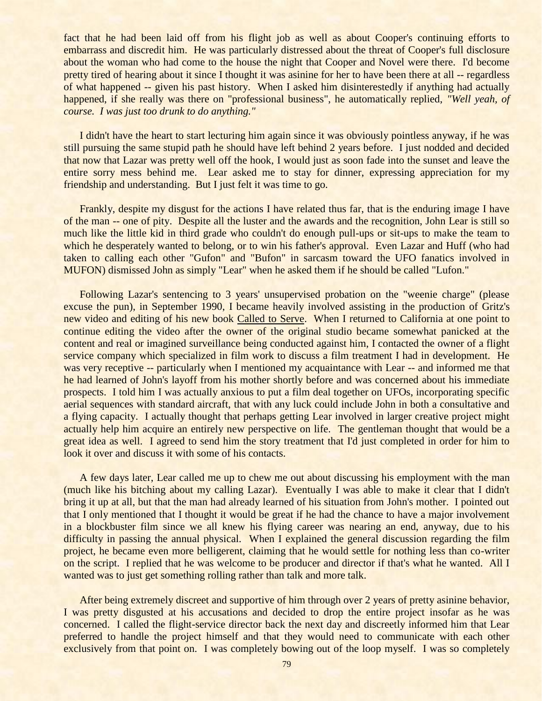fact that he had been laid off from his flight job as well as about Cooper's continuing efforts to embarrass and discredit him. He was particularly distressed about the threat of Cooper's full disclosure about the woman who had come to the house the night that Cooper and Novel were there. I'd become pretty tired of hearing about it since I thought it was asinine for her to have been there at all -- regardless of what happened -- given his past history. When I asked him disinterestedly if anything had actually happened, if she really was there on "professional business", he automatically replied, *"Well yeah, of course. I was just too drunk to do anything."*

I didn't have the heart to start lecturing him again since it was obviously pointless anyway, if he was still pursuing the same stupid path he should have left behind 2 years before. I just nodded and decided that now that Lazar was pretty well off the hook, I would just as soon fade into the sunset and leave the entire sorry mess behind me. Lear asked me to stay for dinner, expressing appreciation for my friendship and understanding. But I just felt it was time to go.

Frankly, despite my disgust for the actions I have related thus far, that is the enduring image I have of the man -- one of pity. Despite all the luster and the awards and the recognition, John Lear is still so much like the little kid in third grade who couldn't do enough pull-ups or sit-ups to make the team to which he desperately wanted to belong, or to win his father's approval. Even Lazar and Huff (who had taken to calling each other "Gufon" and "Bufon" in sarcasm toward the UFO fanatics involved in MUFON) dismissed John as simply "Lear" when he asked them if he should be called "Lufon."

Following Lazar's sentencing to 3 years' unsupervised probation on the "weenie charge" (please excuse the pun), in September 1990, I became heavily involved assisting in the production of Gritz's new video and editing of his new book Called to Serve. When I returned to California at one point to continue editing the video after the owner of the original studio became somewhat panicked at the content and real or imagined surveillance being conducted against him, I contacted the owner of a flight service company which specialized in film work to discuss a film treatment I had in development. He was very receptive -- particularly when I mentioned my acquaintance with Lear -- and informed me that he had learned of John's layoff from his mother shortly before and was concerned about his immediate prospects. I told him I was actually anxious to put a film deal together on UFOs, incorporating specific aerial sequences with standard aircraft, that with any luck could include John in both a consultative and a flying capacity. I actually thought that perhaps getting Lear involved in larger creative project might actually help him acquire an entirely new perspective on life. The gentleman thought that would be a great idea as well. I agreed to send him the story treatment that I'd just completed in order for him to look it over and discuss it with some of his contacts.

A few days later, Lear called me up to chew me out about discussing his employment with the man (much like his bitching about my calling Lazar). Eventually I was able to make it clear that I didn't bring it up at all, but that the man had already learned of his situation from John's mother. I pointed out that I only mentioned that I thought it would be great if he had the chance to have a major involvement in a blockbuster film since we all knew his flying career was nearing an end, anyway, due to his difficulty in passing the annual physical. When I explained the general discussion regarding the film project, he became even more belligerent, claiming that he would settle for nothing less than co-writer on the script. I replied that he was welcome to be producer and director if that's what he wanted. All I wanted was to just get something rolling rather than talk and more talk.

After being extremely discreet and supportive of him through over 2 years of pretty asinine behavior, I was pretty disgusted at his accusations and decided to drop the entire project insofar as he was concerned. I called the flight-service director back the next day and discreetly informed him that Lear preferred to handle the project himself and that they would need to communicate with each other exclusively from that point on. I was completely bowing out of the loop myself. I was so completely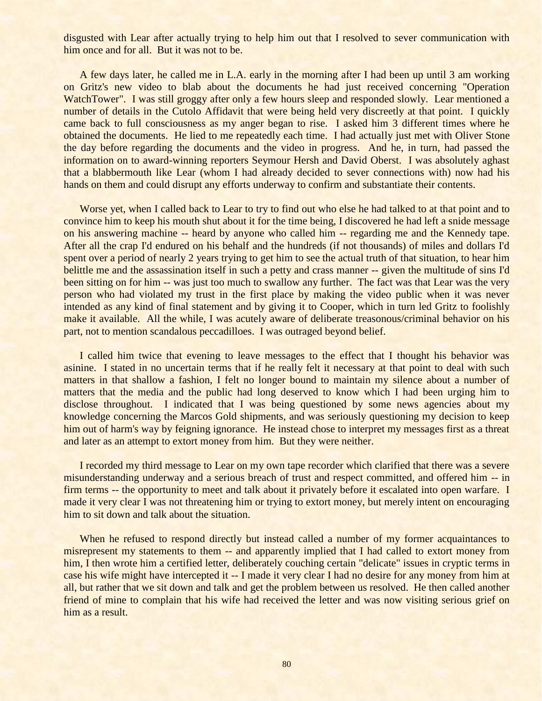disgusted with Lear after actually trying to help him out that I resolved to sever communication with him once and for all. But it was not to be.

A few days later, he called me in L.A. early in the morning after I had been up until 3 am working on Gritz's new video to blab about the documents he had just received concerning "Operation WatchTower". I was still groggy after only a few hours sleep and responded slowly. Lear mentioned a number of details in the Cutolo Affidavit that were being held very discreetly at that point. I quickly came back to full consciousness as my anger began to rise. I asked him 3 different times where he obtained the documents. He lied to me repeatedly each time. I had actually just met with Oliver Stone the day before regarding the documents and the video in progress. And he, in turn, had passed the information on to award-winning reporters Seymour Hersh and David Oberst. I was absolutely aghast that a blabbermouth like Lear (whom I had already decided to sever connections with) now had his hands on them and could disrupt any efforts underway to confirm and substantiate their contents.

Worse yet, when I called back to Lear to try to find out who else he had talked to at that point and to convince him to keep his mouth shut about it for the time being, I discovered he had left a snide message on his answering machine -- heard by anyone who called him -- regarding me and the Kennedy tape. After all the crap I'd endured on his behalf and the hundreds (if not thousands) of miles and dollars I'd spent over a period of nearly 2 years trying to get him to see the actual truth of that situation, to hear him belittle me and the assassination itself in such a petty and crass manner -- given the multitude of sins I'd been sitting on for him -- was just too much to swallow any further. The fact was that Lear was the very person who had violated my trust in the first place by making the video public when it was never intended as any kind of final statement and by giving it to Cooper, which in turn led Gritz to foolishly make it available. All the while, I was acutely aware of deliberate treasonous/criminal behavior on his part, not to mention scandalous peccadilloes. I was outraged beyond belief.

I called him twice that evening to leave messages to the effect that I thought his behavior was asinine. I stated in no uncertain terms that if he really felt it necessary at that point to deal with such matters in that shallow a fashion, I felt no longer bound to maintain my silence about a number of matters that the media and the public had long deserved to know which I had been urging him to disclose throughout. I indicated that I was being questioned by some news agencies about my knowledge concerning the Marcos Gold shipments, and was seriously questioning my decision to keep him out of harm's way by feigning ignorance. He instead chose to interpret my messages first as a threat and later as an attempt to extort money from him. But they were neither.

I recorded my third message to Lear on my own tape recorder which clarified that there was a severe misunderstanding underway and a serious breach of trust and respect committed, and offered him -- in firm terms -- the opportunity to meet and talk about it privately before it escalated into open warfare. I made it very clear I was not threatening him or trying to extort money, but merely intent on encouraging him to sit down and talk about the situation.

When he refused to respond directly but instead called a number of my former acquaintances to misrepresent my statements to them -- and apparently implied that I had called to extort money from him, I then wrote him a certified letter, deliberately couching certain "delicate" issues in cryptic terms in case his wife might have intercepted it -- I made it very clear I had no desire for any money from him at all, but rather that we sit down and talk and get the problem between us resolved. He then called another friend of mine to complain that his wife had received the letter and was now visiting serious grief on him as a result.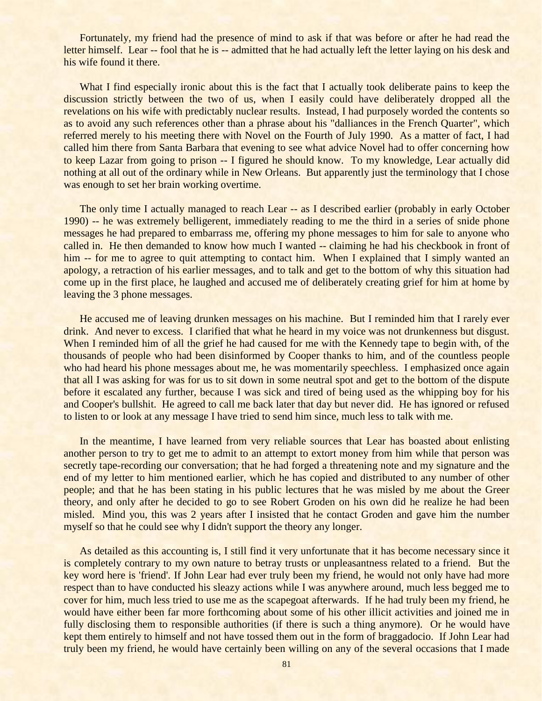Fortunately, my friend had the presence of mind to ask if that was before or after he had read the letter himself. Lear -- fool that he is -- admitted that he had actually left the letter laying on his desk and his wife found it there.

What I find especially ironic about this is the fact that I actually took deliberate pains to keep the discussion strictly between the two of us, when I easily could have deliberately dropped all the revelations on his wife with predictably nuclear results. Instead, I had purposely worded the contents so as to avoid any such references other than a phrase about his "dalliances in the French Quarter", which referred merely to his meeting there with Novel on the Fourth of July 1990. As a matter of fact, I had called him there from Santa Barbara that evening to see what advice Novel had to offer concerning how to keep Lazar from going to prison -- I figured he should know. To my knowledge, Lear actually did nothing at all out of the ordinary while in New Orleans. But apparently just the terminology that I chose was enough to set her brain working overtime.

The only time I actually managed to reach Lear -- as I described earlier (probably in early October 1990) -- he was extremely belligerent, immediately reading to me the third in a series of snide phone messages he had prepared to embarrass me, offering my phone messages to him for sale to anyone who called in. He then demanded to know how much I wanted -- claiming he had his checkbook in front of him -- for me to agree to quit attempting to contact him. When I explained that I simply wanted an apology, a retraction of his earlier messages, and to talk and get to the bottom of why this situation had come up in the first place, he laughed and accused me of deliberately creating grief for him at home by leaving the 3 phone messages.

He accused me of leaving drunken messages on his machine. But I reminded him that I rarely ever drink. And never to excess. I clarified that what he heard in my voice was not drunkenness but disgust. When I reminded him of all the grief he had caused for me with the Kennedy tape to begin with, of the thousands of people who had been disinformed by Cooper thanks to him, and of the countless people who had heard his phone messages about me, he was momentarily speechless. I emphasized once again that all I was asking for was for us to sit down in some neutral spot and get to the bottom of the dispute before it escalated any further, because I was sick and tired of being used as the whipping boy for his and Cooper's bullshit. He agreed to call me back later that day but never did. He has ignored or refused to listen to or look at any message I have tried to send him since, much less to talk with me.

In the meantime, I have learned from very reliable sources that Lear has boasted about enlisting another person to try to get me to admit to an attempt to extort money from him while that person was secretly tape-recording our conversation; that he had forged a threatening note and my signature and the end of my letter to him mentioned earlier, which he has copied and distributed to any number of other people; and that he has been stating in his public lectures that he was misled by me about the Greer theory, and only after he decided to go to see Robert Groden on his own did he realize he had been misled. Mind you, this was 2 years after I insisted that he contact Groden and gave him the number myself so that he could see why I didn't support the theory any longer.

As detailed as this accounting is, I still find it very unfortunate that it has become necessary since it is completely contrary to my own nature to betray trusts or unpleasantness related to a friend. But the key word here is 'friend'. If John Lear had ever truly been my friend, he would not only have had more respect than to have conducted his sleazy actions while I was anywhere around, much less begged me to cover for him, much less tried to use me as the scapegoat afterwards. If he had truly been my friend, he would have either been far more forthcoming about some of his other illicit activities and joined me in fully disclosing them to responsible authorities (if there is such a thing anymore). Or he would have kept them entirely to himself and not have tossed them out in the form of braggadocio. If John Lear had truly been my friend, he would have certainly been willing on any of the several occasions that I made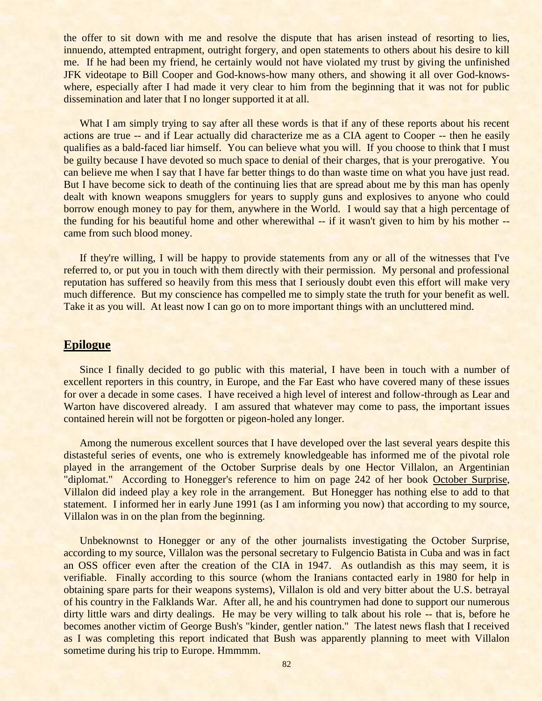the offer to sit down with me and resolve the dispute that has arisen instead of resorting to lies, innuendo, attempted entrapment, outright forgery, and open statements to others about his desire to kill me. If he had been my friend, he certainly would not have violated my trust by giving the unfinished JFK videotape to Bill Cooper and God-knows-how many others, and showing it all over God-knowswhere, especially after I had made it very clear to him from the beginning that it was not for public dissemination and later that I no longer supported it at all.

What I am simply trying to say after all these words is that if any of these reports about his recent actions are true -- and if Lear actually did characterize me as a CIA agent to Cooper -- then he easily qualifies as a bald-faced liar himself. You can believe what you will. If you choose to think that I must be guilty because I have devoted so much space to denial of their charges, that is your prerogative. You can believe me when I say that I have far better things to do than waste time on what you have just read. But I have become sick to death of the continuing lies that are spread about me by this man has openly dealt with known weapons smugglers for years to supply guns and explosives to anyone who could borrow enough money to pay for them, anywhere in the World. I would say that a high percentage of the funding for his beautiful home and other wherewithal -- if it wasn't given to him by his mother - came from such blood money.

If they're willing, I will be happy to provide statements from any or all of the witnesses that I've referred to, or put you in touch with them directly with their permission. My personal and professional reputation has suffered so heavily from this mess that I seriously doubt even this effort will make very much difference. But my conscience has compelled me to simply state the truth for your benefit as well. Take it as you will. At least now I can go on to more important things with an uncluttered mind.

## **Epilogue**

Since I finally decided to go public with this material, I have been in touch with a number of excellent reporters in this country, in Europe, and the Far East who have covered many of these issues for over a decade in some cases. I have received a high level of interest and follow-through as Lear and Warton have discovered already. I am assured that whatever may come to pass, the important issues contained herein will not be forgotten or pigeon-holed any longer.

Among the numerous excellent sources that I have developed over the last several years despite this distasteful series of events, one who is extremely knowledgeable has informed me of the pivotal role played in the arrangement of the October Surprise deals by one Hector Villalon, an Argentinian "diplomat." According to Honegger's reference to him on page 242 of her book October Surprise, Villalon did indeed play a key role in the arrangement. But Honegger has nothing else to add to that statement. I informed her in early June 1991 (as I am informing you now) that according to my source, Villalon was in on the plan from the beginning.

Unbeknownst to Honegger or any of the other journalists investigating the October Surprise, according to my source, Villalon was the personal secretary to Fulgencio Batista in Cuba and was in fact an OSS officer even after the creation of the CIA in 1947. As outlandish as this may seem, it is verifiable. Finally according to this source (whom the Iranians contacted early in 1980 for help in obtaining spare parts for their weapons systems), Villalon is old and very bitter about the U.S. betrayal of his country in the Falklands War. After all, he and his countrymen had done to support our numerous dirty little wars and dirty dealings. He may be very willing to talk about his role -- that is, before he becomes another victim of George Bush's "kinder, gentler nation." The latest news flash that I received as I was completing this report indicated that Bush was apparently planning to meet with Villalon sometime during his trip to Europe. Hmmmm.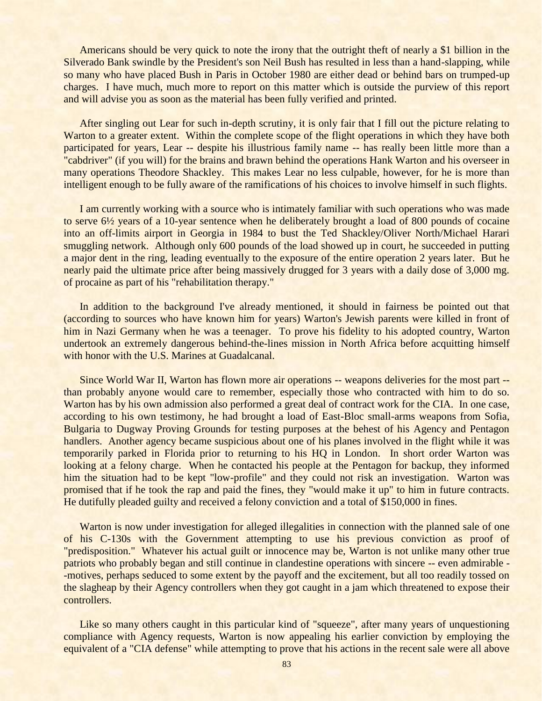Americans should be very quick to note the irony that the outright theft of nearly a \$1 billion in the Silverado Bank swindle by the President's son Neil Bush has resulted in less than a hand-slapping, while so many who have placed Bush in Paris in October 1980 are either dead or behind bars on trumped-up charges. I have much, much more to report on this matter which is outside the purview of this report and will advise you as soon as the material has been fully verified and printed.

After singling out Lear for such in-depth scrutiny, it is only fair that I fill out the picture relating to Warton to a greater extent. Within the complete scope of the flight operations in which they have both participated for years, Lear -- despite his illustrious family name -- has really been little more than a "cabdriver" (if you will) for the brains and brawn behind the operations Hank Warton and his overseer in many operations Theodore Shackley. This makes Lear no less culpable, however, for he is more than intelligent enough to be fully aware of the ramifications of his choices to involve himself in such flights.

I am currently working with a source who is intimately familiar with such operations who was made to serve 6½ years of a 10-year sentence when he deliberately brought a load of 800 pounds of cocaine into an off-limits airport in Georgia in 1984 to bust the Ted Shackley/Oliver North/Michael Harari smuggling network. Although only 600 pounds of the load showed up in court, he succeeded in putting a major dent in the ring, leading eventually to the exposure of the entire operation 2 years later. But he nearly paid the ultimate price after being massively drugged for 3 years with a daily dose of 3,000 mg. of procaine as part of his "rehabilitation therapy."

In addition to the background I've already mentioned, it should in fairness be pointed out that (according to sources who have known him for years) Warton's Jewish parents were killed in front of him in Nazi Germany when he was a teenager. To prove his fidelity to his adopted country, Warton undertook an extremely dangerous behind-the-lines mission in North Africa before acquitting himself with honor with the U.S. Marines at Guadalcanal.

Since World War II, Warton has flown more air operations -- weapons deliveries for the most part - than probably anyone would care to remember, especially those who contracted with him to do so. Warton has by his own admission also performed a great deal of contract work for the CIA. In one case, according to his own testimony, he had brought a load of East-Bloc small-arms weapons from Sofia, Bulgaria to Dugway Proving Grounds for testing purposes at the behest of his Agency and Pentagon handlers. Another agency became suspicious about one of his planes involved in the flight while it was temporarily parked in Florida prior to returning to his HQ in London. In short order Warton was looking at a felony charge. When he contacted his people at the Pentagon for backup, they informed him the situation had to be kept "low-profile" and they could not risk an investigation. Warton was promised that if he took the rap and paid the fines, they "would make it up" to him in future contracts. He dutifully pleaded guilty and received a felony conviction and a total of \$150,000 in fines.

Warton is now under investigation for alleged illegalities in connection with the planned sale of one of his C-130s with the Government attempting to use his previous conviction as proof of "predisposition." Whatever his actual guilt or innocence may be, Warton is not unlike many other true patriots who probably began and still continue in clandestine operations with sincere -- even admirable - -motives, perhaps seduced to some extent by the payoff and the excitement, but all too readily tossed on the slagheap by their Agency controllers when they got caught in a jam which threatened to expose their controllers.

Like so many others caught in this particular kind of "squeeze", after many years of unquestioning compliance with Agency requests, Warton is now appealing his earlier conviction by employing the equivalent of a "CIA defense" while attempting to prove that his actions in the recent sale were all above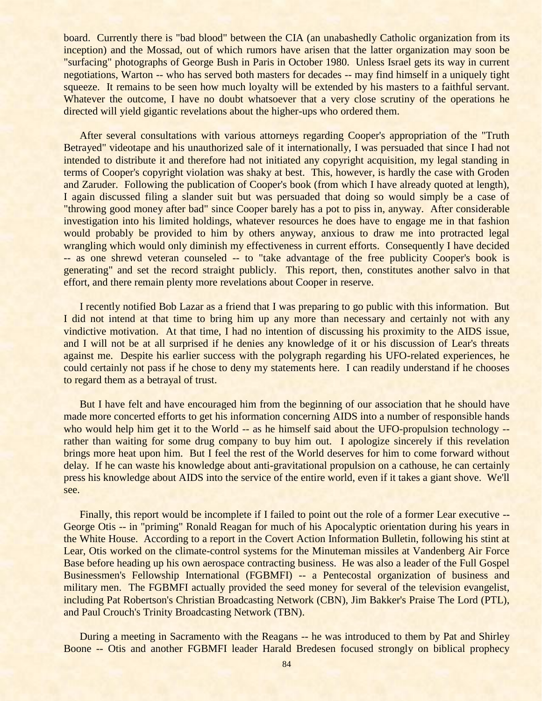board. Currently there is "bad blood" between the CIA (an unabashedly Catholic organization from its inception) and the Mossad, out of which rumors have arisen that the latter organization may soon be "surfacing" photographs of George Bush in Paris in October 1980. Unless Israel gets its way in current negotiations, Warton -- who has served both masters for decades -- may find himself in a uniquely tight squeeze. It remains to be seen how much loyalty will be extended by his masters to a faithful servant. Whatever the outcome, I have no doubt whatsoever that a very close scrutiny of the operations he directed will yield gigantic revelations about the higher-ups who ordered them.

After several consultations with various attorneys regarding Cooper's appropriation of the "Truth Betrayed" videotape and his unauthorized sale of it internationally, I was persuaded that since I had not intended to distribute it and therefore had not initiated any copyright acquisition, my legal standing in terms of Cooper's copyright violation was shaky at best. This, however, is hardly the case with Groden and Zaruder. Following the publication of Cooper's book (from which I have already quoted at length), I again discussed filing a slander suit but was persuaded that doing so would simply be a case of "throwing good money after bad" since Cooper barely has a pot to piss in, anyway. After considerable investigation into his limited holdings, whatever resources he does have to engage me in that fashion would probably be provided to him by others anyway, anxious to draw me into protracted legal wrangling which would only diminish my effectiveness in current efforts. Consequently I have decided -- as one shrewd veteran counseled -- to "take advantage of the free publicity Cooper's book is generating" and set the record straight publicly. This report, then, constitutes another salvo in that effort, and there remain plenty more revelations about Cooper in reserve.

I recently notified Bob Lazar as a friend that I was preparing to go public with this information. But I did not intend at that time to bring him up any more than necessary and certainly not with any vindictive motivation. At that time, I had no intention of discussing his proximity to the AIDS issue, and I will not be at all surprised if he denies any knowledge of it or his discussion of Lear's threats against me. Despite his earlier success with the polygraph regarding his UFO-related experiences, he could certainly not pass if he chose to deny my statements here. I can readily understand if he chooses to regard them as a betrayal of trust.

But I have felt and have encouraged him from the beginning of our association that he should have made more concerted efforts to get his information concerning AIDS into a number of responsible hands who would help him get it to the World -- as he himself said about the UFO-propulsion technology -rather than waiting for some drug company to buy him out. I apologize sincerely if this revelation brings more heat upon him. But I feel the rest of the World deserves for him to come forward without delay. If he can waste his knowledge about anti-gravitational propulsion on a cathouse, he can certainly press his knowledge about AIDS into the service of the entire world, even if it takes a giant shove. We'll see.

Finally, this report would be incomplete if I failed to point out the role of a former Lear executive -- George Otis -- in "priming" Ronald Reagan for much of his Apocalyptic orientation during his years in the White House. According to a report in the Covert Action Information Bulletin, following his stint at Lear, Otis worked on the climate-control systems for the Minuteman missiles at Vandenberg Air Force Base before heading up his own aerospace contracting business. He was also a leader of the Full Gospel Businessmen's Fellowship International (FGBMFI) -- a Pentecostal organization of business and military men. The FGBMFI actually provided the seed money for several of the television evangelist, including Pat Robertson's Christian Broadcasting Network (CBN), Jim Bakker's Praise The Lord (PTL), and Paul Crouch's Trinity Broadcasting Network (TBN).

During a meeting in Sacramento with the Reagans -- he was introduced to them by Pat and Shirley Boone -- Otis and another FGBMFI leader Harald Bredesen focused strongly on biblical prophecy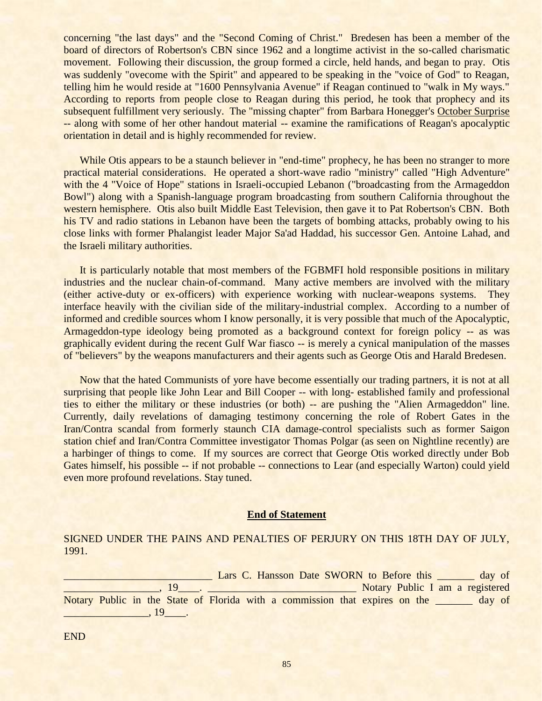concerning "the last days" and the "Second Coming of Christ." Bredesen has been a member of the board of directors of Robertson's CBN since 1962 and a longtime activist in the so-called charismatic movement. Following their discussion, the group formed a circle, held hands, and began to pray. Otis was suddenly "ovecome with the Spirit" and appeared to be speaking in the "voice of God" to Reagan, telling him he would reside at "1600 Pennsylvania Avenue" if Reagan continued to "walk in My ways." According to reports from people close to Reagan during this period, he took that prophecy and its subsequent fulfillment very seriously. The "missing chapter" from Barbara Honegger's October Surprise -- along with some of her other handout material -- examine the ramifications of Reagan's apocalyptic orientation in detail and is highly recommended for review.

While Otis appears to be a staunch believer in "end-time" prophecy, he has been no stranger to more practical material considerations. He operated a short-wave radio "ministry" called "High Adventure" with the 4 "Voice of Hope" stations in Israeli-occupied Lebanon ("broadcasting from the Armageddon Bowl") along with a Spanish-language program broadcasting from southern California throughout the western hemisphere. Otis also built Middle East Television, then gave it to Pat Robertson's CBN. Both his TV and radio stations in Lebanon have been the targets of bombing attacks, probably owing to his close links with former Phalangist leader Major Sa'ad Haddad, his successor Gen. Antoine Lahad, and the Israeli military authorities.

It is particularly notable that most members of the FGBMFI hold responsible positions in military industries and the nuclear chain-of-command. Many active members are involved with the military (either active-duty or ex-officers) with experience working with nuclear-weapons systems. They interface heavily with the civilian side of the military-industrial complex. According to a number of informed and credible sources whom I know personally, it is very possible that much of the Apocalyptic, Armageddon-type ideology being promoted as a background context for foreign policy -- as was graphically evident during the recent Gulf War fiasco -- is merely a cynical manipulation of the masses of "believers" by the weapons manufacturers and their agents such as George Otis and Harald Bredesen.

Now that the hated Communists of yore have become essentially our trading partners, it is not at all surprising that people like John Lear and Bill Cooper -- with long- established family and professional ties to either the military or these industries (or both) -- are pushing the "Alien Armageddon" line. Currently, daily revelations of damaging testimony concerning the role of Robert Gates in the Iran/Contra scandal from formerly staunch CIA damage-control specialists such as former Saigon station chief and Iran/Contra Committee investigator Thomas Polgar (as seen on Nightline recently) are a harbinger of things to come. If my sources are correct that George Otis worked directly under Bob Gates himself, his possible -- if not probable -- connections to Lear (and especially Warton) could yield even more profound revelations. Stay tuned.

## **End of Statement**

SIGNED UNDER THE PAINS AND PENALTIES OF PERJURY ON THIS 18TH DAY OF JULY, 1991.

Lars C. Hansson Date SWORN to Before this day of \_\_\_\_\_\_\_\_\_\_\_\_\_\_\_\_\_\_, 19\_\_\_\_. \_\_\_\_\_\_\_\_\_\_\_\_\_\_\_\_\_\_\_\_\_\_\_\_\_\_\_\_ Notary Public I am a registered Notary Public in the State of Florida with a commission that expires on the <u>secondary of</u>  $\overline{\phantom{1}}$ , 19 $\overline{\phantom{1}}$ .

END